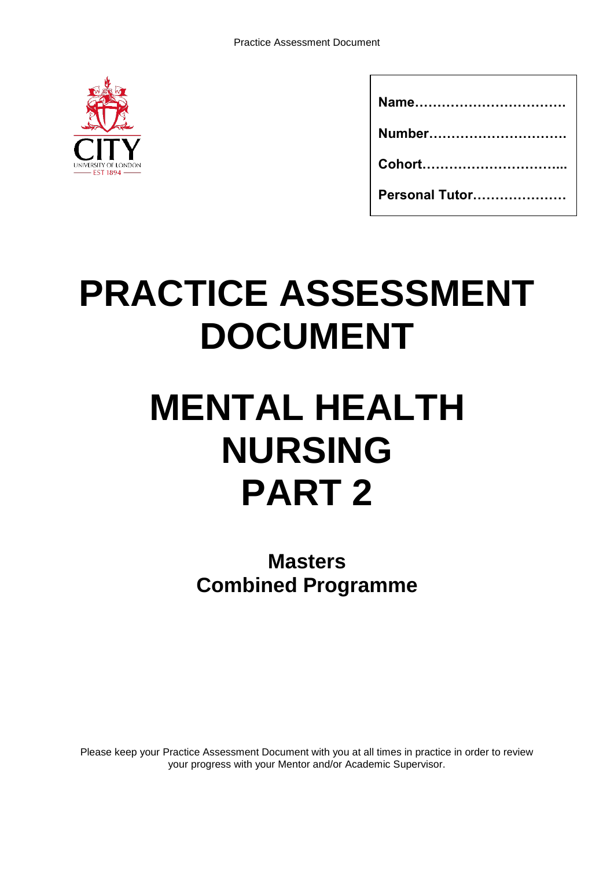

| Number         |
|----------------|
|                |
| Personal Tutor |

# **PRACTICE ASSESSMENT DOCUMENT**

# **MENTAL HEALTH NURSING PART 2**

**Masters Combined Programme**

Please keep your Practice Assessment Document with you at all times in practice in order to review your progress with your Mentor and/or Academic Supervisor.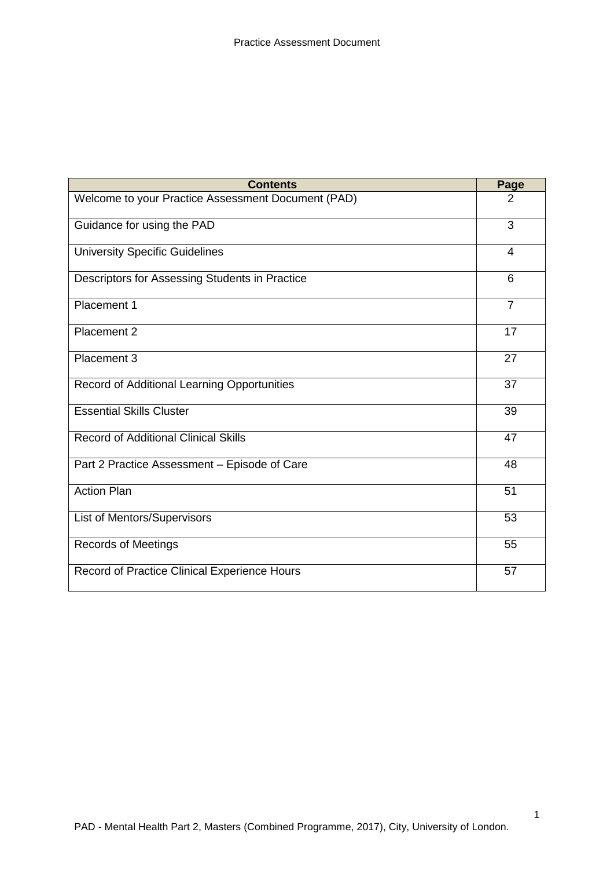| <b>Contents</b>                                    | Page           |
|----------------------------------------------------|----------------|
| Welcome to your Practice Assessment Document (PAD) | 2              |
| Guidance for using the PAD                         | 3              |
| <b>University Specific Guidelines</b>              | 4              |
| Descriptors for Assessing Students in Practice     | 6              |
| Placement 1                                        | $\overline{7}$ |
| Placement 2                                        | 17             |
| Placement 3                                        | 27             |
| Record of Additional Learning Opportunities        | 37             |
| <b>Essential Skills Cluster</b>                    | 39             |
| <b>Record of Additional Clinical Skills</b>        | 47             |
| Part 2 Practice Assessment - Episode of Care       | 48             |
| <b>Action Plan</b>                                 | 51             |
| List of Mentors/Supervisors                        | 53             |
| <b>Records of Meetings</b>                         | 55             |
| Record of Practice Clinical Experience Hours       | 57             |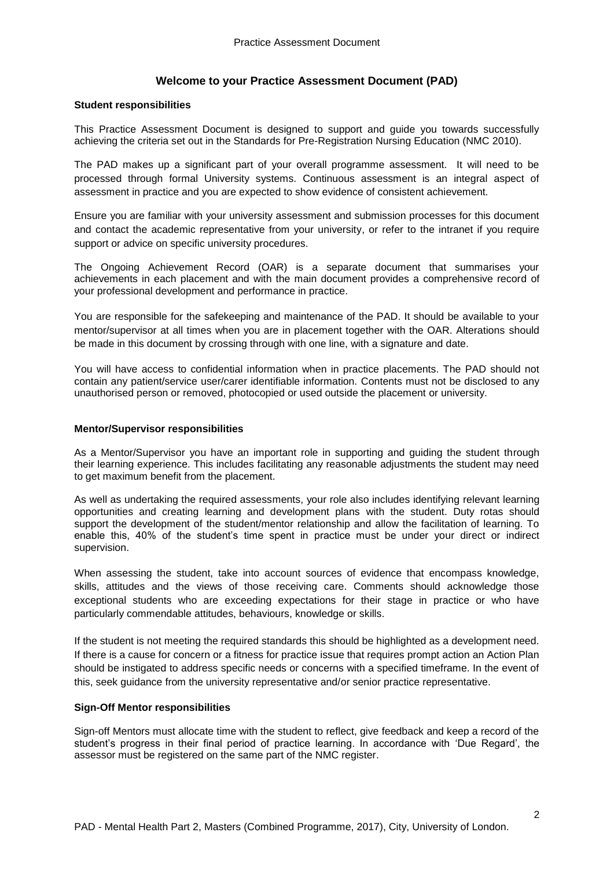#### **Welcome to your Practice Assessment Document (PAD)**

#### **Student responsibilities**

This Practice Assessment Document is designed to support and guide you towards successfully achieving the criteria set out in the Standards for Pre-Registration Nursing Education (NMC 2010).

The PAD makes up a significant part of your overall programme assessment. It will need to be processed through formal University systems. Continuous assessment is an integral aspect of assessment in practice and you are expected to show evidence of consistent achievement.

Ensure you are familiar with your university assessment and submission processes for this document and contact the academic representative from your university, or refer to the intranet if you require support or advice on specific university procedures.

The Ongoing Achievement Record (OAR) is a separate document that summarises your achievements in each placement and with the main document provides a comprehensive record of your professional development and performance in practice.

You are responsible for the safekeeping and maintenance of the PAD. It should be available to your mentor/supervisor at all times when you are in placement together with the OAR. Alterations should be made in this document by crossing through with one line, with a signature and date.

You will have access to confidential information when in practice placements. The PAD should not contain any patient/service user/carer identifiable information. Contents must not be disclosed to any unauthorised person or removed, photocopied or used outside the placement or university.

#### **Mentor/Supervisor responsibilities**

As a Mentor/Supervisor you have an important role in supporting and guiding the student through their learning experience. This includes facilitating any reasonable adjustments the student may need to get maximum benefit from the placement.

As well as undertaking the required assessments, your role also includes identifying relevant learning opportunities and creating learning and development plans with the student. Duty rotas should support the development of the student/mentor relationship and allow the facilitation of learning. To enable this, 40% of the student's time spent in practice must be under your direct or indirect supervision.

When assessing the student, take into account sources of evidence that encompass knowledge, skills, attitudes and the views of those receiving care. Comments should acknowledge those exceptional students who are exceeding expectations for their stage in practice or who have particularly commendable attitudes, behaviours, knowledge or skills.

If the student is not meeting the required standards this should be highlighted as a development need. If there is a cause for concern or a fitness for practice issue that requires prompt action an Action Plan should be instigated to address specific needs or concerns with a specified timeframe. In the event of this, seek guidance from the university representative and/or senior practice representative.

#### **Sign-Off Mentor responsibilities**

Sign-off Mentors must allocate time with the student to reflect, give feedback and keep a record of the student's progress in their final period of practice learning. In accordance with 'Due Regard', the assessor must be registered on the same part of the NMC register.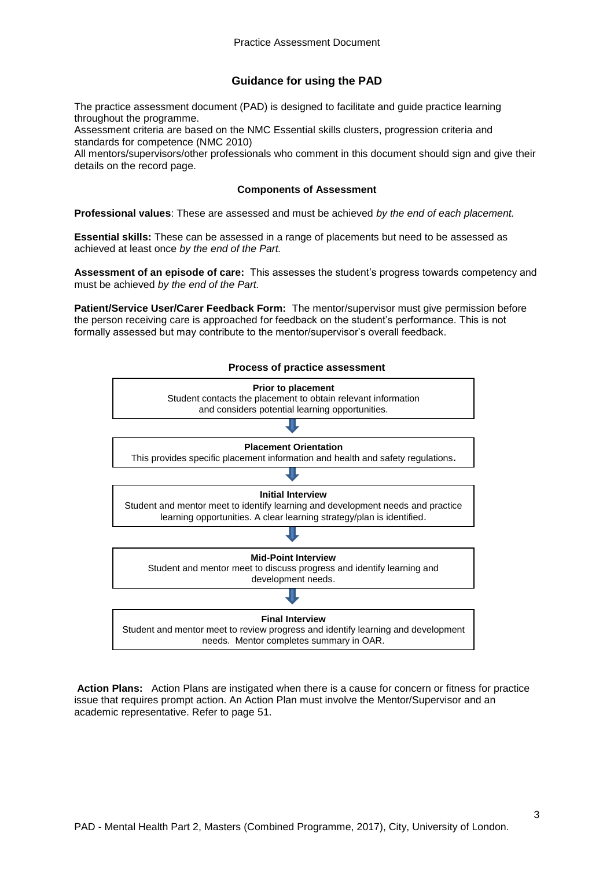#### **Guidance for using the PAD**

The practice assessment document (PAD) is designed to facilitate and guide practice learning throughout the programme.

Assessment criteria are based on the NMC Essential skills clusters, progression criteria and standards for competence (NMC 2010)

All mentors/supervisors/other professionals who comment in this document should sign and give their details on the record page.

#### **Components of Assessment**

**Professional values**: These are assessed and must be achieved *by the end of each placement.*

**Essential skills:** These can be assessed in a range of placements but need to be assessed as achieved at least once *by the end of the Part.*

**Assessment of an episode of care:** This assesses the student's progress towards competency and must be achieved *by the end of the Part.*

**Patient/Service User/Carer Feedback Form:** The mentor/supervisor must give permission before the person receiving care is approached for feedback on the student's performance. This is not formally assessed but may contribute to the mentor/supervisor's overall feedback.



**Action Plans:** Action Plans are instigated when there is a cause for concern or fitness for practice issue that requires prompt action. An Action Plan must involve the Mentor/Supervisor and an academic representative. Refer to page 51.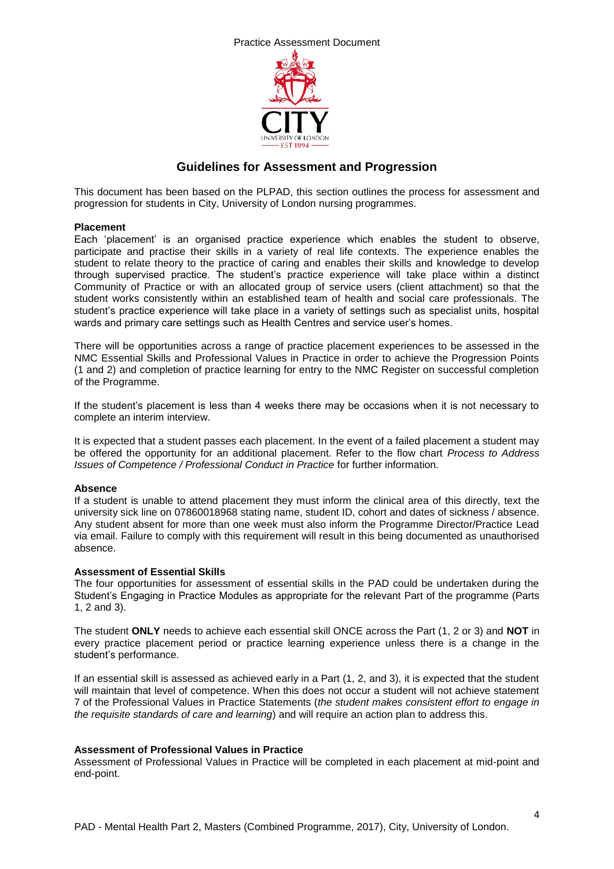



#### **Guidelines for Assessment and Progression**

This document has been based on the PLPAD, this section outlines the process for assessment and progression for students in City, University of London nursing programmes.

#### **Placement**

Each 'placement' is an organised practice experience which enables the student to observe, participate and practise their skills in a variety of real life contexts. The experience enables the student to relate theory to the practice of caring and enables their skills and knowledge to develop through supervised practice. The student's practice experience will take place within a distinct Community of Practice or with an allocated group of service users (client attachment) so that the student works consistently within an established team of health and social care professionals. The student's practice experience will take place in a variety of settings such as specialist units, hospital wards and primary care settings such as Health Centres and service user's homes.

There will be opportunities across a range of practice placement experiences to be assessed in the NMC Essential Skills and Professional Values in Practice in order to achieve the Progression Points (1 and 2) and completion of practice learning for entry to the NMC Register on successful completion of the Programme.

If the student's placement is less than 4 weeks there may be occasions when it is not necessary to complete an interim interview.

It is expected that a student passes each placement. In the event of a failed placement a student may be offered the opportunity for an additional placement. Refer to the flow chart *Process to Address Issues of Competence / Professional Conduct in Practice* for further information.

#### **Absence**

If a student is unable to attend placement they must inform the clinical area of this directly, text the university sick line on 07860018968 stating name, student ID, cohort and dates of sickness / absence. Any student absent for more than one week must also inform the Programme Director/Practice Lead via email. Failure to comply with this requirement will result in this being documented as unauthorised absence.

#### **Assessment of Essential Skills**

The four opportunities for assessment of essential skills in the PAD could be undertaken during the Student's Engaging in Practice Modules as appropriate for the relevant Part of the programme (Parts 1, 2 and 3).

The student **ONLY** needs to achieve each essential skill ONCE across the Part (1, 2 or 3) and **NOT** in every practice placement period or practice learning experience unless there is a change in the student's performance.

If an essential skill is assessed as achieved early in a Part (1, 2, and 3), it is expected that the student will maintain that level of competence. When this does not occur a student will not achieve statement 7 of the Professional Values in Practice Statements (*the student makes consistent effort to engage in the requisite standards of care and learning*) and will require an action plan to address this.

#### **Assessment of Professional Values in Practice**

Assessment of Professional Values in Practice will be completed in each placement at mid-point and end-point.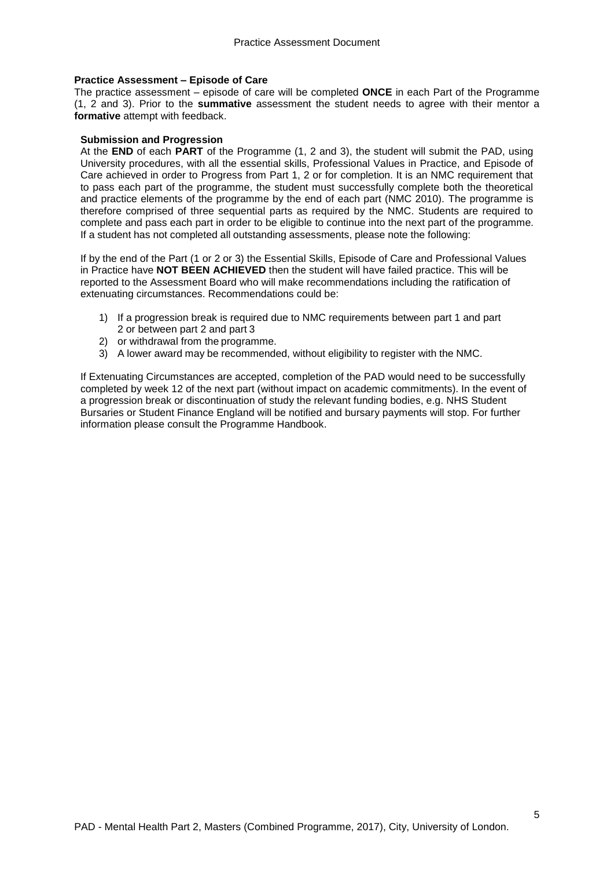#### **Practice Assessment – Episode of Care**

The practice assessment – episode of care will be completed **ONCE** in each Part of the Programme (1, 2 and 3). Prior to the **summative** assessment the student needs to agree with their mentor a **formative** attempt with feedback.

#### **Submission and Progression**

At the **END** of each **PART** of the Programme (1, 2 and 3), the student will submit the PAD, using University procedures, with all the essential skills, Professional Values in Practice, and Episode of Care achieved in order to Progress from Part 1, 2 or for completion. It is an NMC requirement that to pass each part of the programme, the student must successfully complete both the theoretical and practice elements of the programme by the end of each part (NMC 2010). The programme is therefore comprised of three sequential parts as required by the NMC. Students are required to complete and pass each part in order to be eligible to continue into the next part of the programme. If a student has not completed all outstanding assessments, please note the following:

If by the end of the Part (1 or 2 or 3) the Essential Skills, Episode of Care and Professional Values in Practice have **NOT BEEN ACHIEVED** then the student will have failed practice. This will be reported to the Assessment Board who will make recommendations including the ratification of extenuating circumstances. Recommendations could be:

- 1) If a progression break is required due to NMC requirements between part 1 and part 2 or between part 2 and part 3
- 2) or withdrawal from the programme.
- 3) A lower award may be recommended, without eligibility to register with the NMC.

If Extenuating Circumstances are accepted, completion of the PAD would need to be successfully completed by week 12 of the next part (without impact on academic commitments). In the event of a progression break or discontinuation of study the relevant funding bodies, e.g. NHS Student Bursaries or Student Finance England will be notified and bursary payments will stop. For further information please consult the Programme Handbook.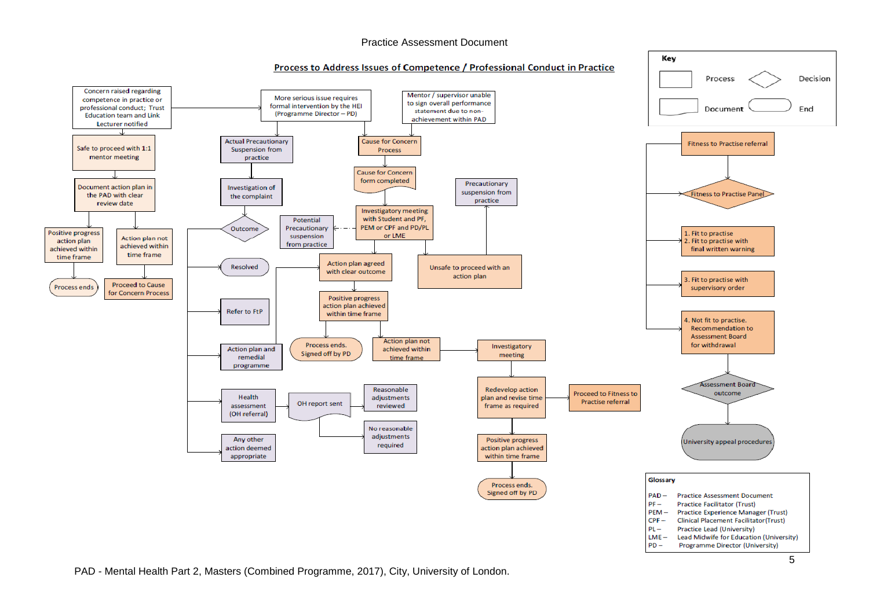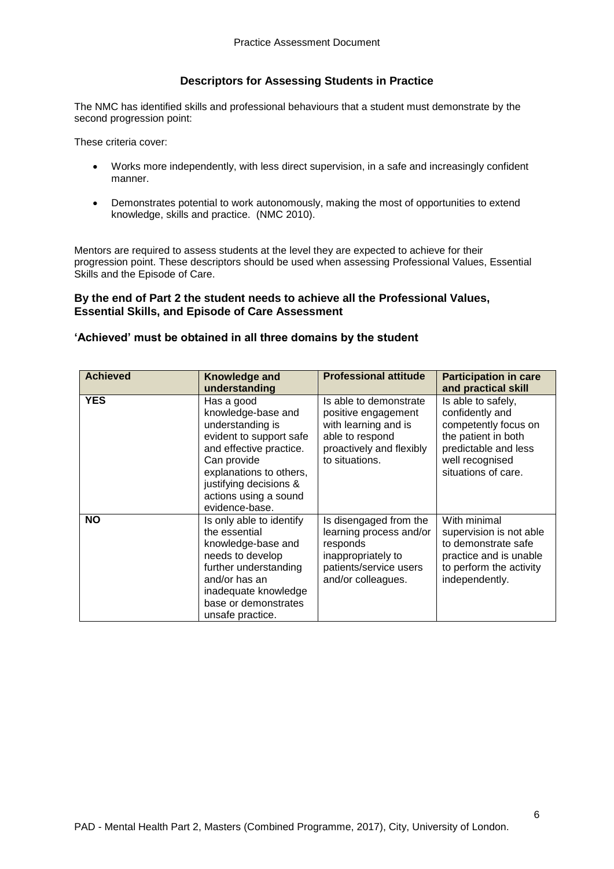#### **Descriptors for Assessing Students in Practice**

The NMC has identified skills and professional behaviours that a student must demonstrate by the second progression point:

These criteria cover:

- Works more independently, with less direct supervision, in a safe and increasingly confident manner.
- Demonstrates potential to work autonomously, making the most of opportunities to extend knowledge, skills and practice. (NMC 2010).

Mentors are required to assess students at the level they are expected to achieve for their progression point. These descriptors should be used when assessing Professional Values, Essential Skills and the Episode of Care.

#### **By the end of Part 2 the student needs to achieve all the Professional Values, Essential Skills, and Episode of Care Assessment**

#### **'Achieved' must be obtained in all three domains by the student**

| <b>Achieved</b> | Knowledge and<br>understanding                                                                                                                                                                                            | <b>Professional attitude</b>                                                                                                           | <b>Participation in care</b><br>and practical skill                                                                                                    |
|-----------------|---------------------------------------------------------------------------------------------------------------------------------------------------------------------------------------------------------------------------|----------------------------------------------------------------------------------------------------------------------------------------|--------------------------------------------------------------------------------------------------------------------------------------------------------|
| <b>YES</b>      | Has a good<br>knowledge-base and<br>understanding is<br>evident to support safe<br>and effective practice.<br>Can provide<br>explanations to others,<br>justifying decisions &<br>actions using a sound<br>evidence-base. | Is able to demonstrate<br>positive engagement<br>with learning and is<br>able to respond<br>proactively and flexibly<br>to situations. | Is able to safely,<br>confidently and<br>competently focus on<br>the patient in both<br>predictable and less<br>well recognised<br>situations of care. |
| <b>NO</b>       | Is only able to identify<br>the essential<br>knowledge-base and<br>needs to develop<br>further understanding<br>and/or has an<br>inadequate knowledge<br>base or demonstrates<br>unsafe practice.                         | Is disengaged from the<br>learning process and/or<br>responds<br>inappropriately to<br>patients/service users<br>and/or colleagues.    | With minimal<br>supervision is not able<br>to demonstrate safe<br>practice and is unable<br>to perform the activity<br>independently.                  |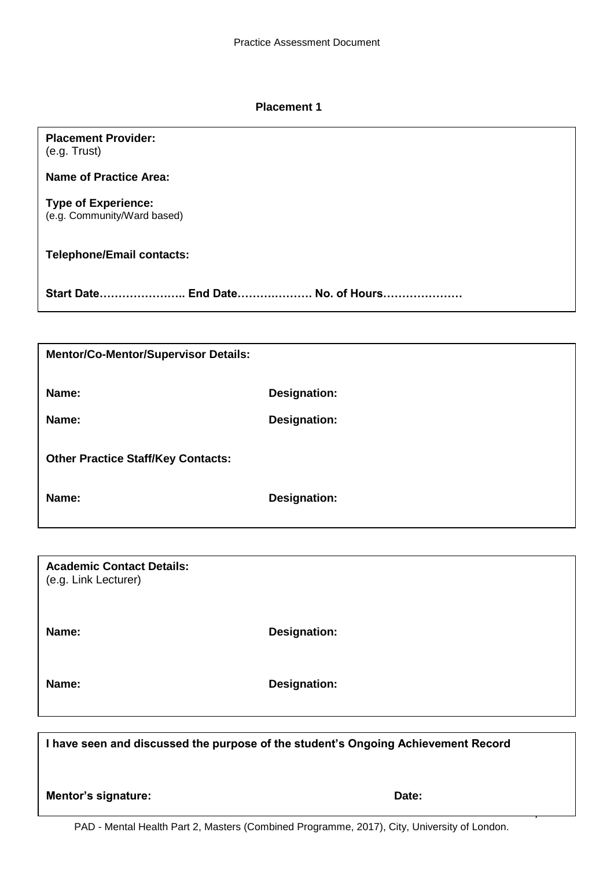#### **Placement 1**

## **Placement Provider:**

(e.g. Trust)

**Name of Practice Area:**

**Type of Experience:** (e.g. Community/Ward based)

**Telephone/Email contacts:** 

**Start Date………………….. End Date……….………. No. of Hours…………………**

| <b>Mentor/Co-Mentor/Supervisor Details:</b> |              |
|---------------------------------------------|--------------|
| Name:                                       | Designation: |
| Name:                                       | Designation: |
| <b>Other Practice Staff/Key Contacts:</b>   |              |
| Name:                                       | Designation: |

**Academic Contact Details:** (e.g. Link Lecturer)

**Name: Designation:** 

**Name: Designation:** 

**I have seen and discussed the purpose of the student's Ongoing Achievement Record**

**Mentor's signature:** Date:

7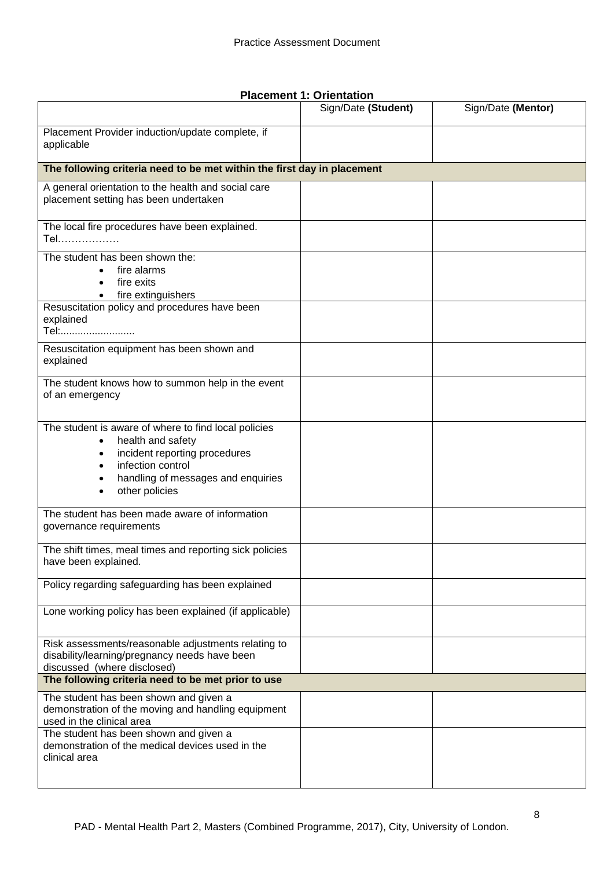|                                                                                                                                                                                         | Sign/Date (Student) | Sign/Date (Mentor) |
|-----------------------------------------------------------------------------------------------------------------------------------------------------------------------------------------|---------------------|--------------------|
| Placement Provider induction/update complete, if<br>applicable                                                                                                                          |                     |                    |
| The following criteria need to be met within the first day in placement                                                                                                                 |                     |                    |
| A general orientation to the health and social care<br>placement setting has been undertaken                                                                                            |                     |                    |
| The local fire procedures have been explained.<br>Tel                                                                                                                                   |                     |                    |
| The student has been shown the:<br>fire alarms<br>fire exits<br>fire extinguishers<br>$\bullet$                                                                                         |                     |                    |
| Resuscitation policy and procedures have been<br>explained<br>Tel:                                                                                                                      |                     |                    |
| Resuscitation equipment has been shown and<br>explained                                                                                                                                 |                     |                    |
| The student knows how to summon help in the event<br>of an emergency                                                                                                                    |                     |                    |
| The student is aware of where to find local policies<br>health and safety<br>incident reporting procedures<br>infection control<br>handling of messages and enquiries<br>other policies |                     |                    |
| The student has been made aware of information<br>governance requirements                                                                                                               |                     |                    |
| The shift times, meal times and reporting sick policies<br>have been explained.                                                                                                         |                     |                    |
| Policy regarding safeguarding has been explained                                                                                                                                        |                     |                    |
| Lone working policy has been explained (if applicable)                                                                                                                                  |                     |                    |
| Risk assessments/reasonable adjustments relating to<br>disability/learning/pregnancy needs have been<br>discussed (where disclosed)                                                     |                     |                    |
| The following criteria need to be met prior to use                                                                                                                                      |                     |                    |
| The student has been shown and given a<br>demonstration of the moving and handling equipment<br>used in the clinical area                                                               |                     |                    |
| The student has been shown and given a<br>demonstration of the medical devices used in the<br>clinical area                                                                             |                     |                    |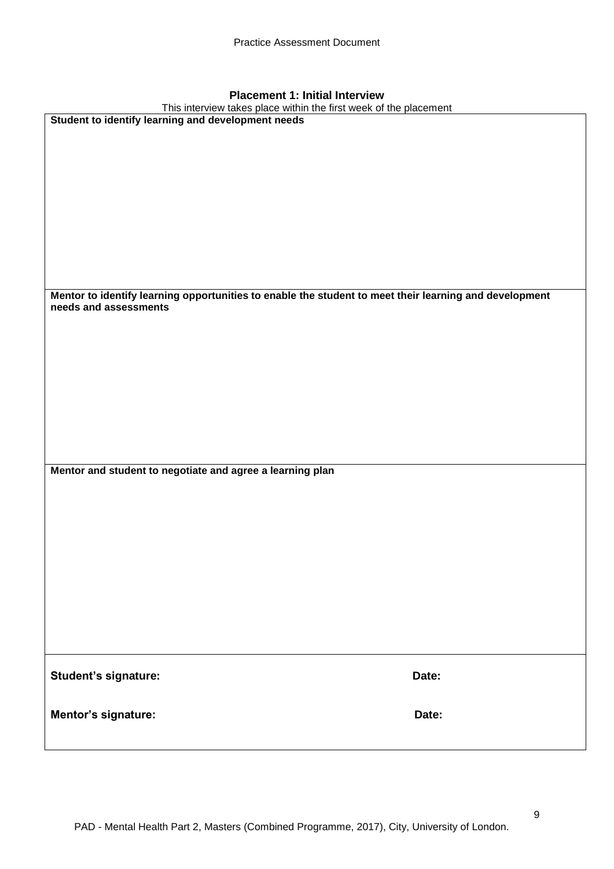| <b>Placement 1: Initial Interview</b>                                                                                   |       |
|-------------------------------------------------------------------------------------------------------------------------|-------|
| This interview takes place within the first week of the placement<br>Student to identify learning and development needs |       |
|                                                                                                                         |       |
|                                                                                                                         |       |
|                                                                                                                         |       |
|                                                                                                                         |       |
|                                                                                                                         |       |
|                                                                                                                         |       |
|                                                                                                                         |       |
|                                                                                                                         |       |
|                                                                                                                         |       |
|                                                                                                                         |       |
| Mentor to identify learning opportunities to enable the student to meet their learning and development                  |       |
| needs and assessments                                                                                                   |       |
|                                                                                                                         |       |
|                                                                                                                         |       |
|                                                                                                                         |       |
|                                                                                                                         |       |
|                                                                                                                         |       |
|                                                                                                                         |       |
|                                                                                                                         |       |
|                                                                                                                         |       |
|                                                                                                                         |       |
| Mentor and student to negotiate and agree a learning plan                                                               |       |
|                                                                                                                         |       |
|                                                                                                                         |       |
|                                                                                                                         |       |
|                                                                                                                         |       |
|                                                                                                                         |       |
|                                                                                                                         |       |
|                                                                                                                         |       |
|                                                                                                                         |       |
|                                                                                                                         |       |
|                                                                                                                         |       |
|                                                                                                                         |       |
| Student's signature:                                                                                                    | Date: |
|                                                                                                                         |       |
|                                                                                                                         |       |
| Mentor's signature:                                                                                                     | Date: |
|                                                                                                                         |       |

9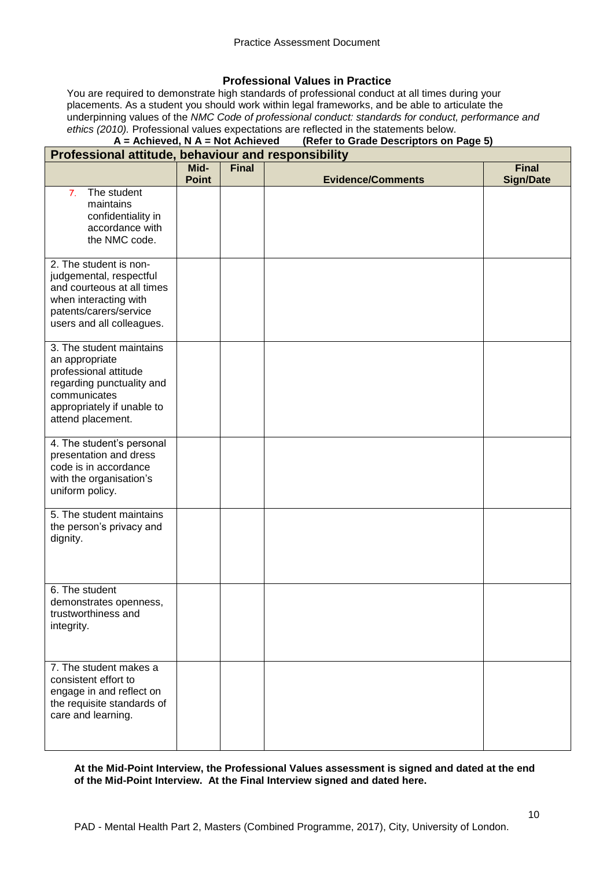#### **Professional Values in Practice**

You are required to demonstrate high standards of professional conduct at all times during your placements. As a student you should work within legal frameworks, and be able to articulate the underpinning values of the *NMC Code of professional conduct: standards for conduct, performance and ethics (2010).* Professional values expectations are reflected in the statements below.<br>**A** = **Achieved, N** A = Not Achieved (Refer to Grade Descriptors on I

## **Achieved, N A = Not Achieved** (Refer to Grade Descriptors on Page 5)

| Professional attitude, behaviour and responsibility                                                                                                                 |                      |              |                          |                                  |
|---------------------------------------------------------------------------------------------------------------------------------------------------------------------|----------------------|--------------|--------------------------|----------------------------------|
|                                                                                                                                                                     | Mid-<br><b>Point</b> | <b>Final</b> | <b>Evidence/Comments</b> | <b>Final</b><br><b>Sign/Date</b> |
| The student<br>7.<br>maintains<br>confidentiality in<br>accordance with<br>the NMC code.                                                                            |                      |              |                          |                                  |
| 2. The student is non-<br>judgemental, respectful<br>and courteous at all times<br>when interacting with<br>patents/carers/service<br>users and all colleagues.     |                      |              |                          |                                  |
| 3. The student maintains<br>an appropriate<br>professional attitude<br>regarding punctuality and<br>communicates<br>appropriately if unable to<br>attend placement. |                      |              |                          |                                  |
| 4. The student's personal<br>presentation and dress<br>code is in accordance<br>with the organisation's<br>uniform policy.                                          |                      |              |                          |                                  |
| 5. The student maintains<br>the person's privacy and<br>dignity.                                                                                                    |                      |              |                          |                                  |
| 6. The student<br>demonstrates openness,<br>trustworthiness and<br>integrity.                                                                                       |                      |              |                          |                                  |
| 7. The student makes a<br>consistent effort to<br>engage in and reflect on<br>the requisite standards of<br>care and learning.                                      |                      |              |                          |                                  |

#### **At the Mid-Point Interview, the Professional Values assessment is signed and dated at the end of the Mid-Point Interview. At the Final Interview signed and dated here.**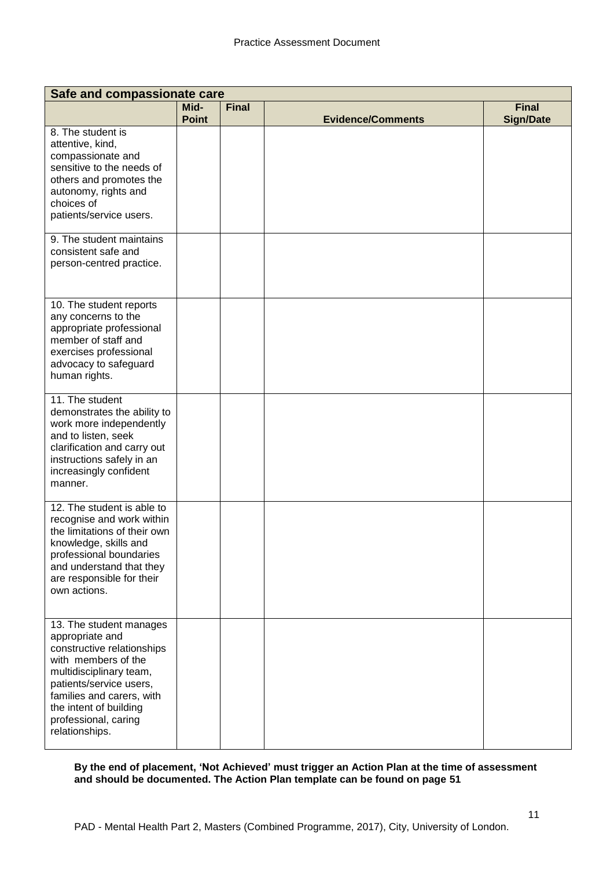| Safe and compassionate care                                                                                                                                                                                                                            |                      |              |                          |                                  |
|--------------------------------------------------------------------------------------------------------------------------------------------------------------------------------------------------------------------------------------------------------|----------------------|--------------|--------------------------|----------------------------------|
|                                                                                                                                                                                                                                                        | Mid-<br><b>Point</b> | <b>Final</b> | <b>Evidence/Comments</b> | <b>Final</b><br><b>Sign/Date</b> |
| 8. The student is<br>attentive, kind,<br>compassionate and<br>sensitive to the needs of<br>others and promotes the<br>autonomy, rights and<br>choices of<br>patients/service users.                                                                    |                      |              |                          |                                  |
| 9. The student maintains<br>consistent safe and<br>person-centred practice.                                                                                                                                                                            |                      |              |                          |                                  |
| 10. The student reports<br>any concerns to the<br>appropriate professional<br>member of staff and<br>exercises professional<br>advocacy to safeguard<br>human rights.                                                                                  |                      |              |                          |                                  |
| 11. The student<br>demonstrates the ability to<br>work more independently<br>and to listen, seek<br>clarification and carry out<br>instructions safely in an<br>increasingly confident<br>manner.                                                      |                      |              |                          |                                  |
| 12. The student is able to<br>recognise and work within<br>the limitations of their own<br>knowledge, skills and<br>professional boundaries<br>and understand that they<br>are responsible for their<br>own actions.                                   |                      |              |                          |                                  |
| 13. The student manages<br>appropriate and<br>constructive relationships<br>with members of the<br>multidisciplinary team,<br>patients/service users,<br>families and carers, with<br>the intent of building<br>professional, caring<br>relationships. |                      |              |                          |                                  |

**By the end of placement, 'Not Achieved' must trigger an Action Plan at the time of assessment and should be documented. The Action Plan template can be found on page 51**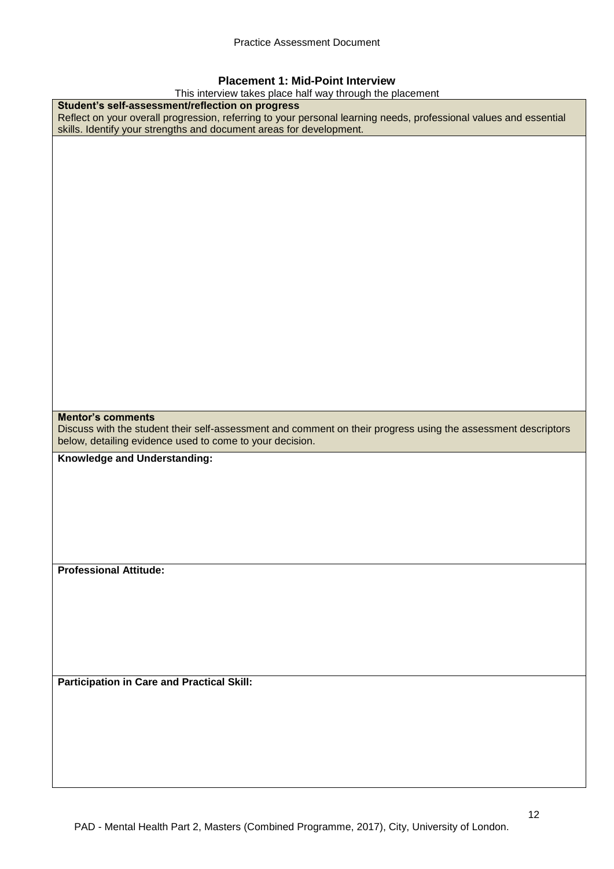#### **Placement 1: Mid-Point Interview**

This interview takes place half way through the placement

| This interview takes place half way through the placement                                                                                                                                                                                    |
|----------------------------------------------------------------------------------------------------------------------------------------------------------------------------------------------------------------------------------------------|
| Student's self-assessment/reflection on progress<br>Reflect on your overall progression, referring to your personal learning needs, professional values and essential<br>skills. Identify your strengths and document areas for development. |
|                                                                                                                                                                                                                                              |
|                                                                                                                                                                                                                                              |
|                                                                                                                                                                                                                                              |
|                                                                                                                                                                                                                                              |
|                                                                                                                                                                                                                                              |
|                                                                                                                                                                                                                                              |
|                                                                                                                                                                                                                                              |
|                                                                                                                                                                                                                                              |
|                                                                                                                                                                                                                                              |
|                                                                                                                                                                                                                                              |
|                                                                                                                                                                                                                                              |
| <b>Mentor's comments</b>                                                                                                                                                                                                                     |
| Discuss with the student their self-assessment and comment on their progress using the assessment descriptors                                                                                                                                |
| below, detailing evidence used to come to your decision.                                                                                                                                                                                     |
| Knowledge and Understanding:                                                                                                                                                                                                                 |
|                                                                                                                                                                                                                                              |
|                                                                                                                                                                                                                                              |
|                                                                                                                                                                                                                                              |
|                                                                                                                                                                                                                                              |
| <b>Professional Attitude:</b>                                                                                                                                                                                                                |
|                                                                                                                                                                                                                                              |
|                                                                                                                                                                                                                                              |
|                                                                                                                                                                                                                                              |
| <b>Participation in Care and Practical Skill:</b>                                                                                                                                                                                            |
|                                                                                                                                                                                                                                              |
|                                                                                                                                                                                                                                              |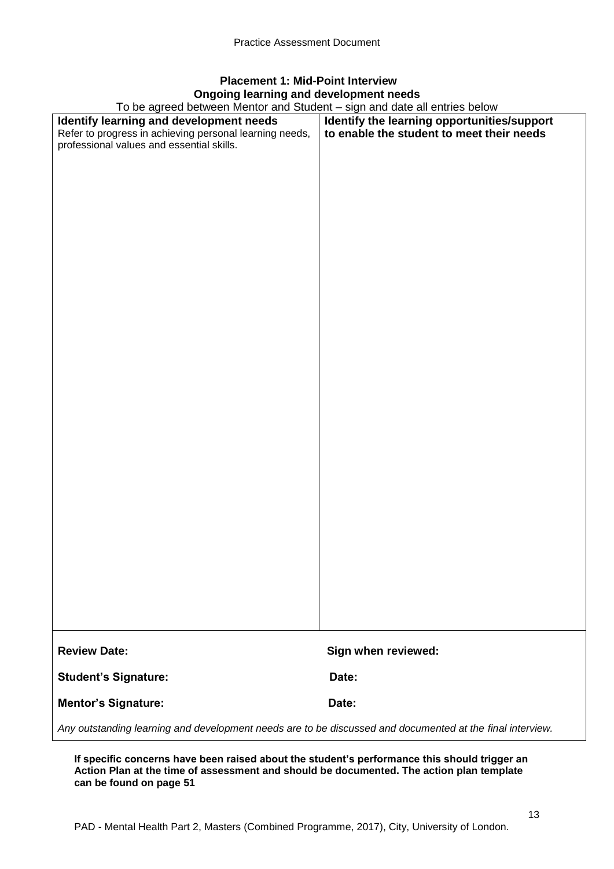## **Placement 1: Mid-Point Interview Ongoing learning and development needs**

To be agreed between Mentor and Student – sign and date all entries below

| To be agreed between Mentor and Student – sign and date all entries below                                 |                                             |
|-----------------------------------------------------------------------------------------------------------|---------------------------------------------|
| Identify learning and development needs                                                                   | Identify the learning opportunities/support |
| Refer to progress in achieving personal learning needs,                                                   | to enable the student to meet their needs   |
| professional values and essential skills.                                                                 |                                             |
|                                                                                                           |                                             |
|                                                                                                           |                                             |
|                                                                                                           |                                             |
|                                                                                                           |                                             |
|                                                                                                           |                                             |
|                                                                                                           |                                             |
|                                                                                                           |                                             |
|                                                                                                           |                                             |
|                                                                                                           |                                             |
|                                                                                                           |                                             |
|                                                                                                           |                                             |
|                                                                                                           |                                             |
|                                                                                                           |                                             |
|                                                                                                           |                                             |
|                                                                                                           |                                             |
|                                                                                                           |                                             |
|                                                                                                           |                                             |
|                                                                                                           |                                             |
|                                                                                                           |                                             |
|                                                                                                           |                                             |
|                                                                                                           |                                             |
|                                                                                                           |                                             |
|                                                                                                           |                                             |
|                                                                                                           |                                             |
|                                                                                                           |                                             |
|                                                                                                           |                                             |
|                                                                                                           |                                             |
|                                                                                                           |                                             |
|                                                                                                           |                                             |
|                                                                                                           |                                             |
|                                                                                                           |                                             |
|                                                                                                           |                                             |
|                                                                                                           |                                             |
|                                                                                                           |                                             |
|                                                                                                           |                                             |
|                                                                                                           |                                             |
|                                                                                                           |                                             |
|                                                                                                           |                                             |
| <b>Review Date:</b>                                                                                       | Sign when reviewed:                         |
| <b>Student's Signature:</b>                                                                               | Date:                                       |
| <b>Mentor's Signature:</b>                                                                                | Date:                                       |
| Any outstanding learning and development needs are to be discussed and documented at the final interview. |                                             |

**If specific concerns have been raised about the student's performance this should trigger an Action Plan at the time of assessment and should be documented. The action plan template can be found on page 51**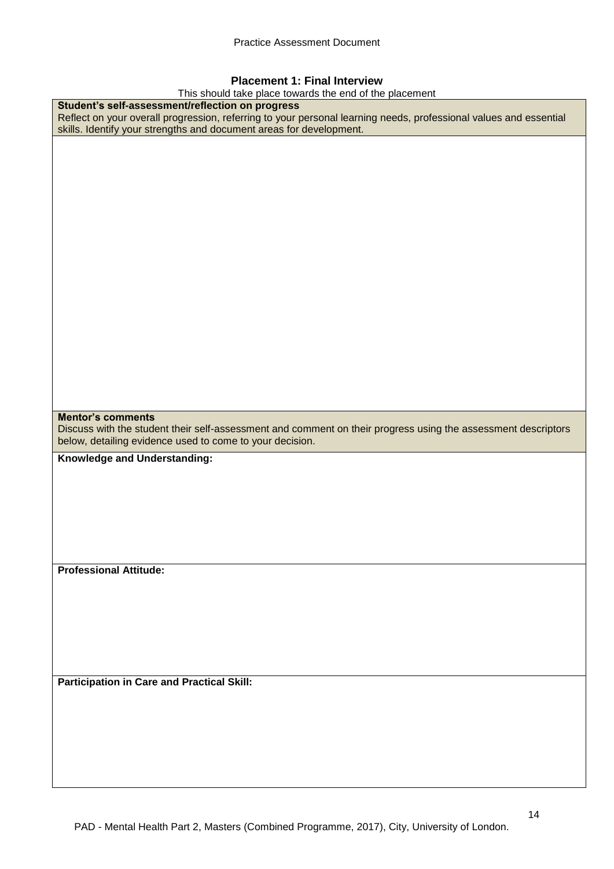#### **Placement 1: Final Interview**

This should take place towards the end of the placement

| This should take place towards the end of the placement                                                           |
|-------------------------------------------------------------------------------------------------------------------|
| Student's self-assessment/reflection on progress                                                                  |
| Reflect on your overall progression, referring to your personal learning needs, professional values and essential |
| skills. Identify your strengths and document areas for development.                                               |
|                                                                                                                   |
|                                                                                                                   |
|                                                                                                                   |
|                                                                                                                   |
|                                                                                                                   |
|                                                                                                                   |
|                                                                                                                   |
|                                                                                                                   |
|                                                                                                                   |
|                                                                                                                   |
|                                                                                                                   |
|                                                                                                                   |
|                                                                                                                   |
|                                                                                                                   |
|                                                                                                                   |
|                                                                                                                   |
|                                                                                                                   |
|                                                                                                                   |
|                                                                                                                   |
|                                                                                                                   |
|                                                                                                                   |
|                                                                                                                   |
| <b>Mentor's comments</b>                                                                                          |
|                                                                                                                   |
|                                                                                                                   |
| Discuss with the student their self-assessment and comment on their progress using the assessment descriptors     |
| below, detailing evidence used to come to your decision.                                                          |
| Knowledge and Understanding:                                                                                      |
|                                                                                                                   |
|                                                                                                                   |
|                                                                                                                   |
|                                                                                                                   |
|                                                                                                                   |
|                                                                                                                   |
|                                                                                                                   |
|                                                                                                                   |
| <b>Professional Attitude:</b>                                                                                     |
|                                                                                                                   |
|                                                                                                                   |
|                                                                                                                   |
|                                                                                                                   |
|                                                                                                                   |
|                                                                                                                   |
|                                                                                                                   |
|                                                                                                                   |
|                                                                                                                   |
| <b>Participation in Care and Practical Skill:</b>                                                                 |
|                                                                                                                   |
|                                                                                                                   |
|                                                                                                                   |
|                                                                                                                   |
|                                                                                                                   |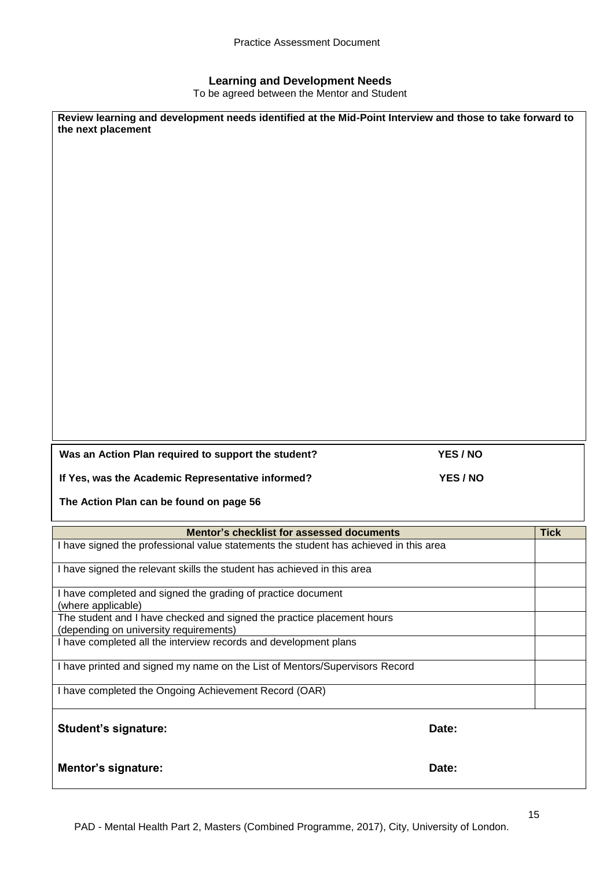#### **Learning and Development Needs**

To be agreed between the Mentor and Student

| Review learning and development needs identified at the Mid-Point Interview and those to take forward to<br>the next placement |          |             |
|--------------------------------------------------------------------------------------------------------------------------------|----------|-------------|
| Was an Action Plan required to support the student?                                                                            | YES / NO |             |
| If Yes, was the Academic Representative informed?                                                                              | YES / NO |             |
| The Action Plan can be found on page 56                                                                                        |          |             |
| Mentor's checklist for assessed documents                                                                                      |          | <b>Tick</b> |
| I have signed the professional value statements the student has achieved in this area                                          |          |             |
| I have signed the relevant skills the student has achieved in this area                                                        |          |             |
| I have completed and signed the grading of practice document<br>(where applicable)                                             |          |             |
| The student and I have checked and signed the practice placement hours<br>(depending on university requirements)               |          |             |
| I have completed all the interview records and development plans                                                               |          |             |
| I have printed and signed my name on the List of Mentors/Supervisors Record                                                    |          |             |
| I have completed the Ongoing Achievement Record (OAR)                                                                          |          |             |
| <b>Student's signature:</b>                                                                                                    | Date:    |             |
| <b>Mentor's signature:</b>                                                                                                     | Date:    |             |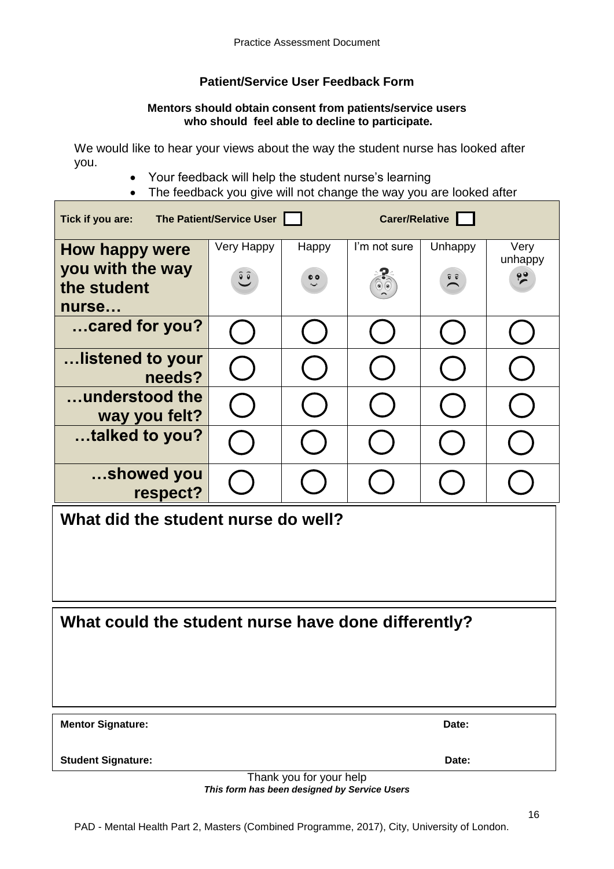## **Patient/Service User Feedback Form**

#### **Mentors should obtain consent from patients/service users who should feel able to decline to participate.**

We would like to hear your views about the way the student nurse has looked after you.

- Your feedback will help the student nurse's learning
- The feedback you give will not change the way you are looked after

| The Patient/Service User<br>Carer/Relative<br>Tick if you are: |            |           |              |                                               |                 |  |
|----------------------------------------------------------------|------------|-----------|--------------|-----------------------------------------------|-----------------|--|
| <b>How happy were</b>                                          | Very Happy | Happy     | I'm not sure | Unhappy                                       | Very<br>unhappy |  |
| you with the way<br>the student                                | $\hat{e}$  | $\bullet$ |              | $\widehat{\mathbf{v}}$ $\widehat{\mathbf{v}}$ | $\frac{99}{5}$  |  |
| nurse                                                          |            |           |              |                                               |                 |  |
| cared for you?                                                 |            |           |              |                                               |                 |  |
| …listened to your<br>needs?                                    |            |           |              |                                               |                 |  |
| understood the<br>way you felt?                                |            |           |              |                                               |                 |  |
| talked to you?                                                 |            |           |              |                                               |                 |  |
| showed you<br>respect?                                         |            |           |              |                                               |                 |  |
| What did the student nurse do well?                            |            |           |              |                                               |                 |  |
|                                                                |            |           |              |                                               |                 |  |
|                                                                |            |           |              |                                               |                 |  |
| What could the student nurse have done differently?            |            |           |              |                                               |                 |  |
|                                                                |            |           |              |                                               |                 |  |
|                                                                |            |           |              |                                               |                 |  |
| <b>Mentor Signature:</b>                                       |            |           |              | Date:                                         |                 |  |
| <b>Student Signature:</b>                                      |            |           |              | Date:                                         |                 |  |
| Thank you for your help                                        |            |           |              |                                               |                 |  |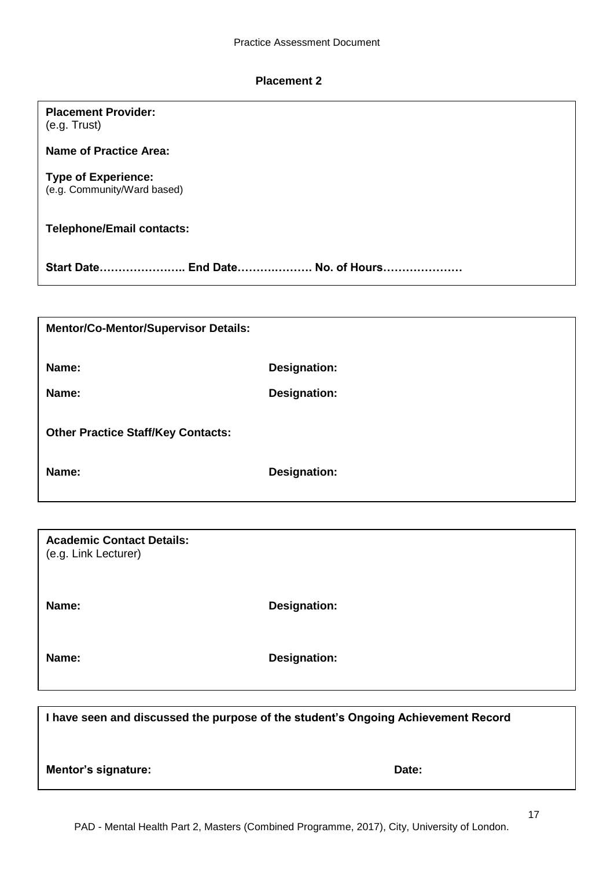#### **Placement 2**

**Placement Provider:**

| (e.g. Trust)                                              |                                                                                   |
|-----------------------------------------------------------|-----------------------------------------------------------------------------------|
| <b>Name of Practice Area:</b>                             |                                                                                   |
| <b>Type of Experience:</b><br>(e.g. Community/Ward based) |                                                                                   |
| <b>Telephone/Email contacts:</b>                          |                                                                                   |
| Start Date End Date No. of Hours                          |                                                                                   |
|                                                           |                                                                                   |
| <b>Mentor/Co-Mentor/Supervisor Details:</b>               |                                                                                   |
| Name:                                                     | <b>Designation:</b>                                                               |
| Name:                                                     | <b>Designation:</b>                                                               |
| <b>Other Practice Staff/Key Contacts:</b>                 |                                                                                   |
| Name:                                                     | <b>Designation:</b>                                                               |
|                                                           |                                                                                   |
| <b>Academic Contact Details:</b><br>(e.g. Link Lecturer)  |                                                                                   |
| Name:                                                     | <b>Designation:</b>                                                               |
| Name:                                                     | <b>Designation:</b>                                                               |
|                                                           |                                                                                   |
|                                                           | I have seen and discussed the purpose of the student's Ongoing Achievement Record |
| Mentor's signature:                                       | Date:                                                                             |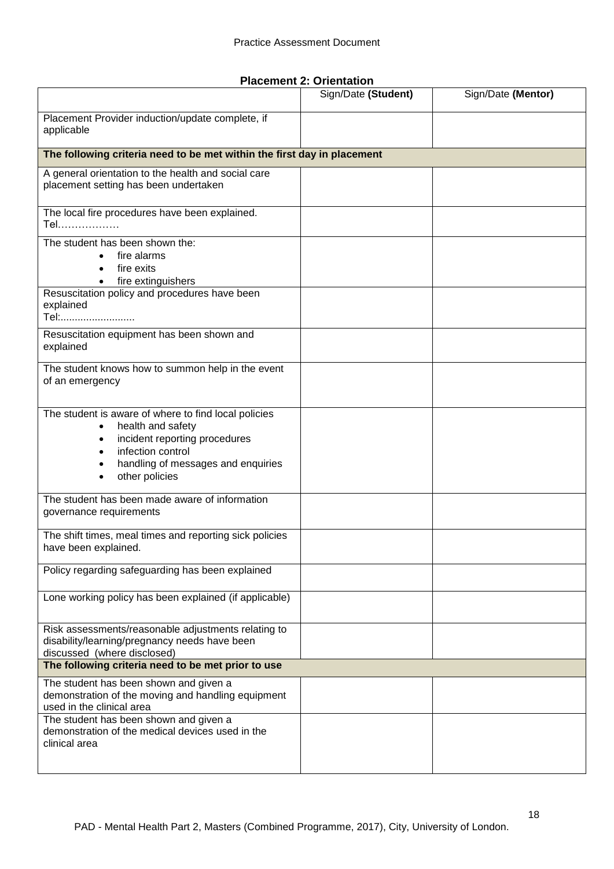**Placement 2: Orientation**

|                                                                                                                                                                                         | Sign/Date (Student) | Sign/Date (Mentor) |
|-----------------------------------------------------------------------------------------------------------------------------------------------------------------------------------------|---------------------|--------------------|
| Placement Provider induction/update complete, if<br>applicable                                                                                                                          |                     |                    |
| The following criteria need to be met within the first day in placement                                                                                                                 |                     |                    |
| A general orientation to the health and social care<br>placement setting has been undertaken                                                                                            |                     |                    |
| The local fire procedures have been explained.<br>Tel                                                                                                                                   |                     |                    |
| The student has been shown the:<br>fire alarms<br>$\bullet$<br>fire exits<br>fire extinguishers<br>$\bullet$                                                                            |                     |                    |
| Resuscitation policy and procedures have been<br>explained<br>Tel:                                                                                                                      |                     |                    |
| Resuscitation equipment has been shown and<br>explained                                                                                                                                 |                     |                    |
| The student knows how to summon help in the event<br>of an emergency                                                                                                                    |                     |                    |
| The student is aware of where to find local policies<br>health and safety<br>incident reporting procedures<br>infection control<br>handling of messages and enquiries<br>other policies |                     |                    |
| The student has been made aware of information<br>governance requirements                                                                                                               |                     |                    |
| The shift times, meal times and reporting sick policies<br>have been explained.                                                                                                         |                     |                    |
| Policy regarding safeguarding has been explained                                                                                                                                        |                     |                    |
| Lone working policy has been explained (if applicable)                                                                                                                                  |                     |                    |
| Risk assessments/reasonable adjustments relating to<br>disability/learning/pregnancy needs have been<br>discussed (where disclosed)                                                     |                     |                    |
| The following criteria need to be met prior to use                                                                                                                                      |                     |                    |
| The student has been shown and given a<br>demonstration of the moving and handling equipment<br>used in the clinical area                                                               |                     |                    |
| The student has been shown and given a<br>demonstration of the medical devices used in the<br>clinical area                                                                             |                     |                    |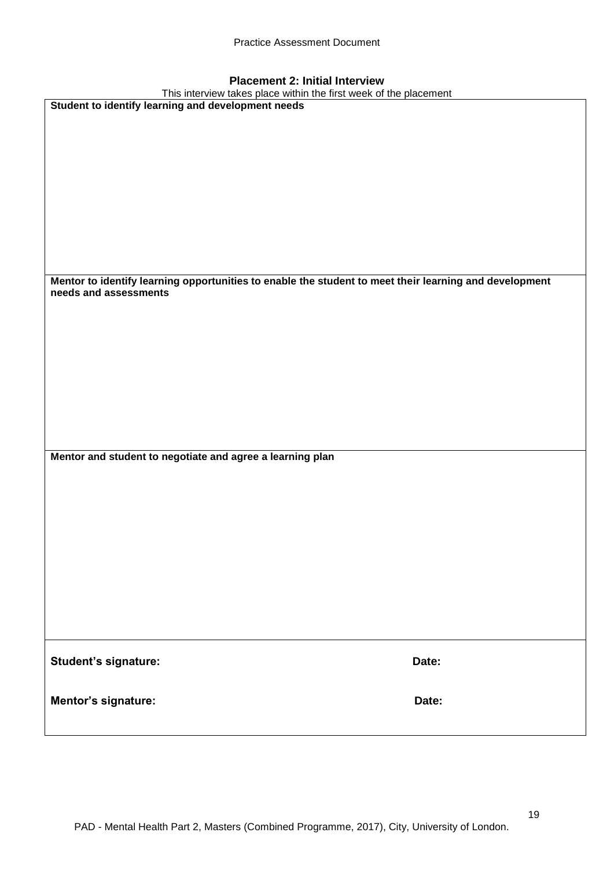## **Placement 2: Initial Interview**

| Placement Z: mitial interview                                                                          |       |
|--------------------------------------------------------------------------------------------------------|-------|
| This interview takes place within the first week of the placement                                      |       |
| Student to identify learning and development needs                                                     |       |
|                                                                                                        |       |
|                                                                                                        |       |
|                                                                                                        |       |
|                                                                                                        |       |
|                                                                                                        |       |
|                                                                                                        |       |
|                                                                                                        |       |
|                                                                                                        |       |
|                                                                                                        |       |
|                                                                                                        |       |
|                                                                                                        |       |
|                                                                                                        |       |
|                                                                                                        |       |
|                                                                                                        |       |
| Mentor to identify learning opportunities to enable the student to meet their learning and development |       |
| needs and assessments                                                                                  |       |
|                                                                                                        |       |
|                                                                                                        |       |
|                                                                                                        |       |
|                                                                                                        |       |
|                                                                                                        |       |
|                                                                                                        |       |
|                                                                                                        |       |
|                                                                                                        |       |
|                                                                                                        |       |
|                                                                                                        |       |
|                                                                                                        |       |
|                                                                                                        |       |
|                                                                                                        |       |
| Mentor and student to negotiate and agree a learning plan                                              |       |
|                                                                                                        |       |
|                                                                                                        |       |
|                                                                                                        |       |
|                                                                                                        |       |
|                                                                                                        |       |
|                                                                                                        |       |
|                                                                                                        |       |
|                                                                                                        |       |
|                                                                                                        |       |
|                                                                                                        |       |
|                                                                                                        |       |
|                                                                                                        |       |
|                                                                                                        |       |
|                                                                                                        |       |
|                                                                                                        |       |
|                                                                                                        |       |
|                                                                                                        |       |
| Student's signature:                                                                                   | Date: |
|                                                                                                        |       |
|                                                                                                        |       |
|                                                                                                        |       |
| Mentor's signature:                                                                                    | Date: |
|                                                                                                        |       |
|                                                                                                        |       |

19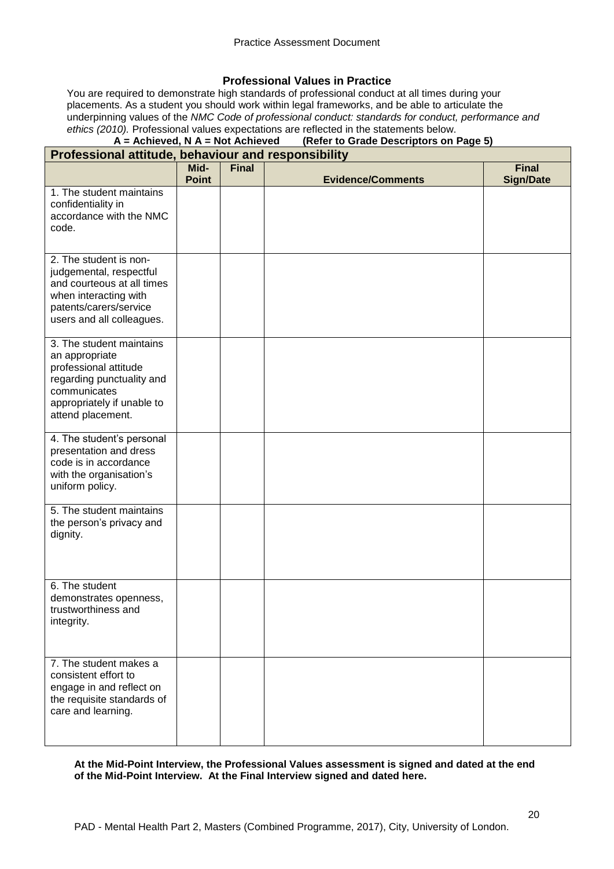#### **Professional Values in Practice**

You are required to demonstrate high standards of professional conduct at all times during your placements. As a student you should work within legal frameworks, and be able to articulate the underpinning values of the *NMC Code of professional conduct: standards for conduct, performance and ethics (2010).* Professional values expectations are reflected in the statements below.<br>**A** = **Achieved, N** A = Not Achieved (Refer to Grade Descriptors on I

#### **(Refer to Grade Descriptors on Page 5) Professional attitude, behaviour and responsibility**

| $\mathbf r$ rulessional attitude, behaviour and responsibility                                                                                                      |                      |              |                          |                                  |
|---------------------------------------------------------------------------------------------------------------------------------------------------------------------|----------------------|--------------|--------------------------|----------------------------------|
|                                                                                                                                                                     | Mid-<br><b>Point</b> | <b>Final</b> | <b>Evidence/Comments</b> | <b>Final</b><br><b>Sign/Date</b> |
| 1. The student maintains<br>confidentiality in<br>accordance with the NMC<br>code.                                                                                  |                      |              |                          |                                  |
| 2. The student is non-<br>judgemental, respectful<br>and courteous at all times<br>when interacting with<br>patents/carers/service<br>users and all colleagues.     |                      |              |                          |                                  |
| 3. The student maintains<br>an appropriate<br>professional attitude<br>regarding punctuality and<br>communicates<br>appropriately if unable to<br>attend placement. |                      |              |                          |                                  |
| 4. The student's personal<br>presentation and dress<br>code is in accordance<br>with the organisation's<br>uniform policy.                                          |                      |              |                          |                                  |
| 5. The student maintains<br>the person's privacy and<br>dignity.                                                                                                    |                      |              |                          |                                  |
| 6. The student<br>demonstrates openness,<br>trustworthiness and<br>integrity.                                                                                       |                      |              |                          |                                  |
| 7. The student makes a<br>consistent effort to<br>engage in and reflect on<br>the requisite standards of<br>care and learning.                                      |                      |              |                          |                                  |

#### **At the Mid-Point Interview, the Professional Values assessment is signed and dated at the end of the Mid-Point Interview. At the Final Interview signed and dated here.**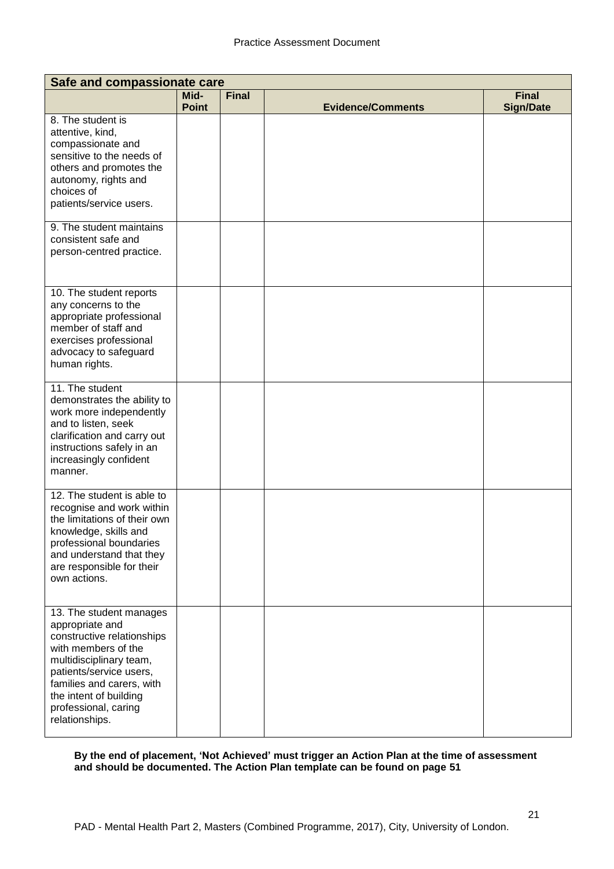| Safe and compassionate care                                                                                                                                                                                                                            |                      |              |                          |                                  |  |  |
|--------------------------------------------------------------------------------------------------------------------------------------------------------------------------------------------------------------------------------------------------------|----------------------|--------------|--------------------------|----------------------------------|--|--|
|                                                                                                                                                                                                                                                        | Mid-<br><b>Point</b> | <b>Final</b> | <b>Evidence/Comments</b> | <b>Final</b><br><b>Sign/Date</b> |  |  |
| 8. The student is<br>attentive, kind,<br>compassionate and<br>sensitive to the needs of<br>others and promotes the<br>autonomy, rights and<br>choices of<br>patients/service users.                                                                    |                      |              |                          |                                  |  |  |
| 9. The student maintains<br>consistent safe and<br>person-centred practice.                                                                                                                                                                            |                      |              |                          |                                  |  |  |
| 10. The student reports<br>any concerns to the<br>appropriate professional<br>member of staff and<br>exercises professional<br>advocacy to safeguard<br>human rights.                                                                                  |                      |              |                          |                                  |  |  |
| 11. The student<br>demonstrates the ability to<br>work more independently<br>and to listen, seek<br>clarification and carry out<br>instructions safely in an<br>increasingly confident<br>manner.                                                      |                      |              |                          |                                  |  |  |
| 12. The student is able to<br>recognise and work within<br>the limitations of their own<br>knowledge, skills and<br>professional boundaries<br>and understand that they<br>are responsible for their<br>own actions.                                   |                      |              |                          |                                  |  |  |
| 13. The student manages<br>appropriate and<br>constructive relationships<br>with members of the<br>multidisciplinary team,<br>patients/service users,<br>families and carers, with<br>the intent of building<br>professional, caring<br>relationships. |                      |              |                          |                                  |  |  |

**By the end of placement, 'Not Achieved' must trigger an Action Plan at the time of assessment and should be documented. The Action Plan template can be found on page 51**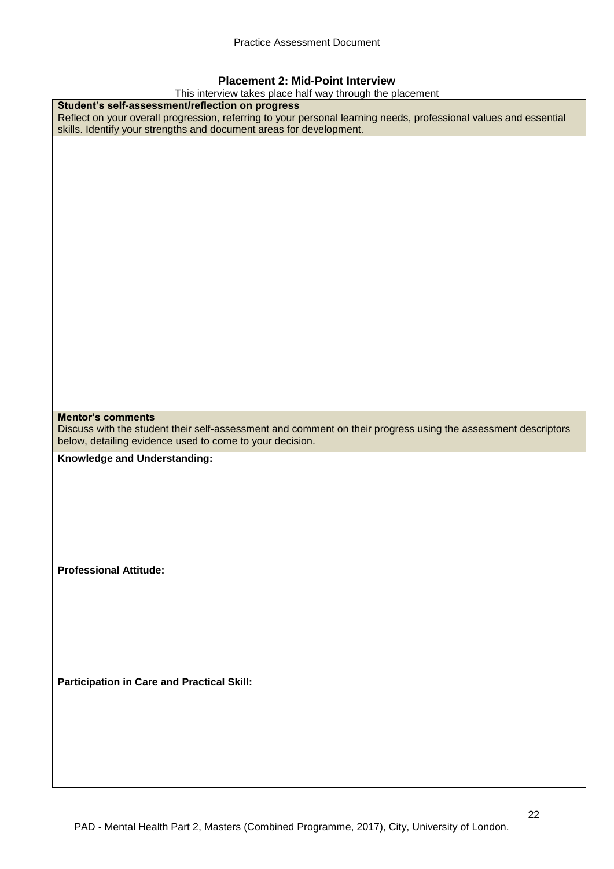#### **Placement 2: Mid-Point Interview**

This interview takes place half way through the placement

| This interview takes place half way through the placement                                                                                                                                                                                    |
|----------------------------------------------------------------------------------------------------------------------------------------------------------------------------------------------------------------------------------------------|
| Student's self-assessment/reflection on progress<br>Reflect on your overall progression, referring to your personal learning needs, professional values and essential<br>skills. Identify your strengths and document areas for development. |
|                                                                                                                                                                                                                                              |
|                                                                                                                                                                                                                                              |
|                                                                                                                                                                                                                                              |
|                                                                                                                                                                                                                                              |
|                                                                                                                                                                                                                                              |
|                                                                                                                                                                                                                                              |
|                                                                                                                                                                                                                                              |
|                                                                                                                                                                                                                                              |
|                                                                                                                                                                                                                                              |
|                                                                                                                                                                                                                                              |
|                                                                                                                                                                                                                                              |
|                                                                                                                                                                                                                                              |
|                                                                                                                                                                                                                                              |
|                                                                                                                                                                                                                                              |
|                                                                                                                                                                                                                                              |
|                                                                                                                                                                                                                                              |
|                                                                                                                                                                                                                                              |
|                                                                                                                                                                                                                                              |
|                                                                                                                                                                                                                                              |
| <b>Mentor's comments</b>                                                                                                                                                                                                                     |
|                                                                                                                                                                                                                                              |
|                                                                                                                                                                                                                                              |
| Discuss with the student their self-assessment and comment on their progress using the assessment descriptors<br>below, detailing evidence used to come to your decision.                                                                    |
|                                                                                                                                                                                                                                              |
| Knowledge and Understanding:                                                                                                                                                                                                                 |
|                                                                                                                                                                                                                                              |
|                                                                                                                                                                                                                                              |
|                                                                                                                                                                                                                                              |
|                                                                                                                                                                                                                                              |
|                                                                                                                                                                                                                                              |
|                                                                                                                                                                                                                                              |
| <b>Professional Attitude:</b>                                                                                                                                                                                                                |
|                                                                                                                                                                                                                                              |
|                                                                                                                                                                                                                                              |
|                                                                                                                                                                                                                                              |
|                                                                                                                                                                                                                                              |
|                                                                                                                                                                                                                                              |
|                                                                                                                                                                                                                                              |
|                                                                                                                                                                                                                                              |
| <b>Participation in Care and Practical Skill:</b>                                                                                                                                                                                            |
|                                                                                                                                                                                                                                              |
|                                                                                                                                                                                                                                              |
|                                                                                                                                                                                                                                              |
|                                                                                                                                                                                                                                              |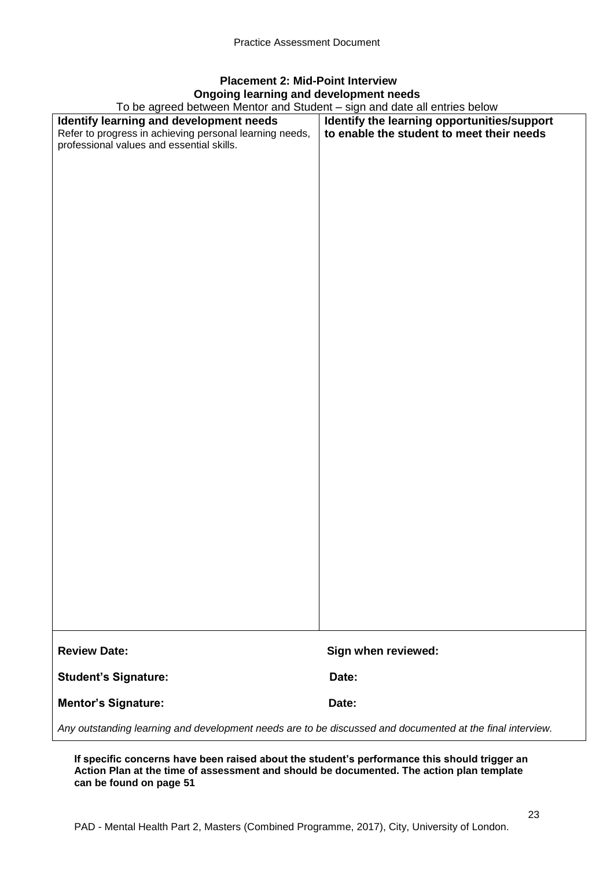## **Placement 2: Mid-Point Interview Ongoing learning and development needs**

To be agreed between Mentor and Student – sign and date all entries below

| To be agreed between Mentor and Student – sign and date all entries below                                 |                                             |  |  |  |
|-----------------------------------------------------------------------------------------------------------|---------------------------------------------|--|--|--|
| Identify learning and development needs                                                                   | Identify the learning opportunities/support |  |  |  |
| Refer to progress in achieving personal learning needs,                                                   | to enable the student to meet their needs   |  |  |  |
| professional values and essential skills.                                                                 |                                             |  |  |  |
|                                                                                                           |                                             |  |  |  |
|                                                                                                           |                                             |  |  |  |
|                                                                                                           |                                             |  |  |  |
|                                                                                                           |                                             |  |  |  |
|                                                                                                           |                                             |  |  |  |
|                                                                                                           |                                             |  |  |  |
|                                                                                                           |                                             |  |  |  |
|                                                                                                           |                                             |  |  |  |
|                                                                                                           |                                             |  |  |  |
|                                                                                                           |                                             |  |  |  |
|                                                                                                           |                                             |  |  |  |
|                                                                                                           |                                             |  |  |  |
|                                                                                                           |                                             |  |  |  |
|                                                                                                           |                                             |  |  |  |
|                                                                                                           |                                             |  |  |  |
|                                                                                                           |                                             |  |  |  |
|                                                                                                           |                                             |  |  |  |
|                                                                                                           |                                             |  |  |  |
|                                                                                                           |                                             |  |  |  |
|                                                                                                           |                                             |  |  |  |
|                                                                                                           |                                             |  |  |  |
|                                                                                                           |                                             |  |  |  |
|                                                                                                           |                                             |  |  |  |
|                                                                                                           |                                             |  |  |  |
|                                                                                                           |                                             |  |  |  |
|                                                                                                           |                                             |  |  |  |
|                                                                                                           |                                             |  |  |  |
|                                                                                                           |                                             |  |  |  |
|                                                                                                           |                                             |  |  |  |
|                                                                                                           |                                             |  |  |  |
|                                                                                                           |                                             |  |  |  |
|                                                                                                           |                                             |  |  |  |
|                                                                                                           |                                             |  |  |  |
|                                                                                                           |                                             |  |  |  |
|                                                                                                           |                                             |  |  |  |
|                                                                                                           |                                             |  |  |  |
|                                                                                                           |                                             |  |  |  |
|                                                                                                           |                                             |  |  |  |
|                                                                                                           |                                             |  |  |  |
|                                                                                                           |                                             |  |  |  |
|                                                                                                           |                                             |  |  |  |
|                                                                                                           |                                             |  |  |  |
|                                                                                                           |                                             |  |  |  |
|                                                                                                           |                                             |  |  |  |
| <b>Review Date:</b>                                                                                       | Sign when reviewed:                         |  |  |  |
|                                                                                                           |                                             |  |  |  |
|                                                                                                           |                                             |  |  |  |
| <b>Student's Signature:</b>                                                                               | Date:                                       |  |  |  |
|                                                                                                           |                                             |  |  |  |
| <b>Mentor's Signature:</b>                                                                                | Date:                                       |  |  |  |
|                                                                                                           |                                             |  |  |  |
| Any outstanding learning and development needs are to be discussed and documented at the final interview. |                                             |  |  |  |

**If specific concerns have been raised about the student's performance this should trigger an Action Plan at the time of assessment and should be documented. The action plan template can be found on page 51**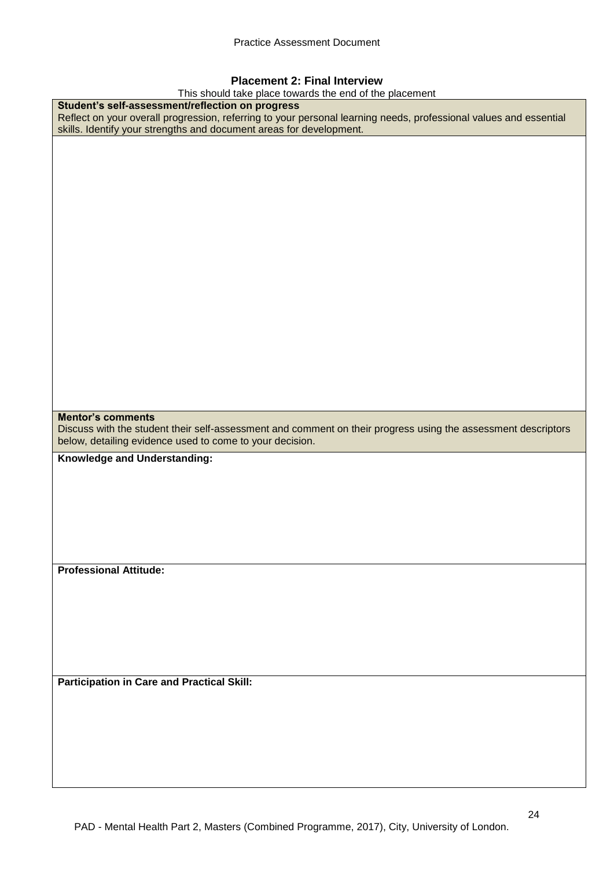#### **Placement 2: Final Interview**

This should take place towards the end of the placement

| This should take place towards the end of the placement                                                           |
|-------------------------------------------------------------------------------------------------------------------|
| Student's self-assessment/reflection on progress                                                                  |
| Reflect on your overall progression, referring to your personal learning needs, professional values and essential |
| skills. Identify your strengths and document areas for development.                                               |
|                                                                                                                   |
|                                                                                                                   |
|                                                                                                                   |
|                                                                                                                   |
|                                                                                                                   |
|                                                                                                                   |
|                                                                                                                   |
|                                                                                                                   |
|                                                                                                                   |
|                                                                                                                   |
|                                                                                                                   |
|                                                                                                                   |
|                                                                                                                   |
|                                                                                                                   |
|                                                                                                                   |
|                                                                                                                   |
|                                                                                                                   |
|                                                                                                                   |
|                                                                                                                   |
|                                                                                                                   |
|                                                                                                                   |
|                                                                                                                   |
|                                                                                                                   |
|                                                                                                                   |
|                                                                                                                   |
| <b>Mentor's comments</b>                                                                                          |
|                                                                                                                   |
|                                                                                                                   |
| Discuss with the student their self-assessment and comment on their progress using the assessment descriptors     |
| below, detailing evidence used to come to your decision.                                                          |
|                                                                                                                   |
| Knowledge and Understanding:                                                                                      |
|                                                                                                                   |
|                                                                                                                   |
|                                                                                                                   |
|                                                                                                                   |
|                                                                                                                   |
|                                                                                                                   |
|                                                                                                                   |
|                                                                                                                   |
|                                                                                                                   |
| <b>Professional Attitude:</b>                                                                                     |
|                                                                                                                   |
|                                                                                                                   |
|                                                                                                                   |
|                                                                                                                   |
|                                                                                                                   |
|                                                                                                                   |
|                                                                                                                   |
|                                                                                                                   |
|                                                                                                                   |
| <b>Participation in Care and Practical Skill:</b>                                                                 |
|                                                                                                                   |
|                                                                                                                   |
|                                                                                                                   |
|                                                                                                                   |
|                                                                                                                   |
|                                                                                                                   |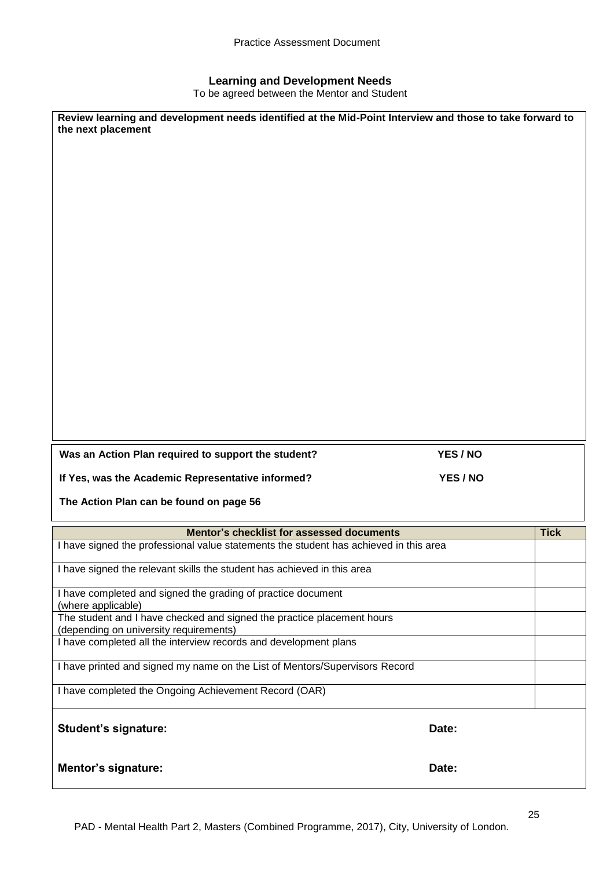#### **Learning and Development Needs**

To be agreed between the Mentor and Student

| Review learning and development needs identified at the Mid-Point Interview and those to take forward to<br>the next placement |          |             |
|--------------------------------------------------------------------------------------------------------------------------------|----------|-------------|
| Was an Action Plan required to support the student?                                                                            | YES / NO |             |
| If Yes, was the Academic Representative informed?                                                                              | YES / NO |             |
| The Action Plan can be found on page 56                                                                                        |          |             |
| Mentor's checklist for assessed documents                                                                                      |          | <b>Tick</b> |
| I have signed the professional value statements the student has achieved in this area                                          |          |             |
| I have signed the relevant skills the student has achieved in this area                                                        |          |             |
| I have completed and signed the grading of practice document<br>(where applicable)                                             |          |             |
| The student and I have checked and signed the practice placement hours<br>(depending on university requirements)               |          |             |
| I have completed all the interview records and development plans                                                               |          |             |
| I have printed and signed my name on the List of Mentors/Supervisors Record                                                    |          |             |
| I have completed the Ongoing Achievement Record (OAR)                                                                          |          |             |
| <b>Student's signature:</b>                                                                                                    | Date:    |             |
| <b>Mentor's signature:</b>                                                                                                     | Date:    |             |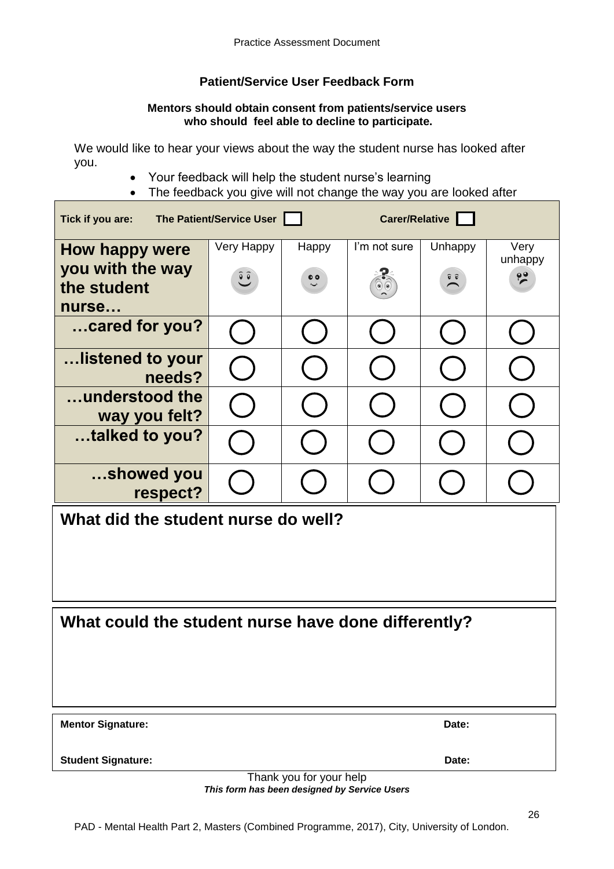## **Patient/Service User Feedback Form**

#### **Mentors should obtain consent from patients/service users who should feel able to decline to participate.**

We would like to hear your views about the way the student nurse has looked after you.

- Your feedback will help the student nurse's learning
- The feedback you give will not change the way you are looked after

| Carer/Relative<br>The Patient/Service User<br>Tick if you are: |            |           |              |                                               |                 |  |
|----------------------------------------------------------------|------------|-----------|--------------|-----------------------------------------------|-----------------|--|
| <b>How happy were</b>                                          | Very Happy | Happy     | I'm not sure | Unhappy                                       | Very<br>unhappy |  |
| you with the way<br>the student                                | $\hat{e}$  | $\bullet$ |              | $\widehat{\mathbf{v}}$ $\widehat{\mathbf{v}}$ | $\frac{1}{2}$   |  |
| nurse                                                          |            |           |              |                                               |                 |  |
| cared for you?                                                 |            |           |              |                                               |                 |  |
| …listened to your<br>needs?                                    |            |           |              |                                               |                 |  |
| understood the<br>way you felt?                                |            |           |              |                                               |                 |  |
| talked to you?                                                 |            |           |              |                                               |                 |  |
| showed you<br>respect?                                         |            |           |              |                                               |                 |  |
| What did the student nurse do well?                            |            |           |              |                                               |                 |  |
|                                                                |            |           |              |                                               |                 |  |
|                                                                |            |           |              |                                               |                 |  |
| What could the student nurse have done differently?            |            |           |              |                                               |                 |  |
|                                                                |            |           |              |                                               |                 |  |
|                                                                |            |           |              |                                               |                 |  |
| <b>Mentor Signature:</b>                                       |            |           |              | Date:                                         |                 |  |
| <b>Student Signature:</b>                                      |            |           |              | Date:                                         |                 |  |
| Thank you for your help                                        |            |           |              |                                               |                 |  |

*This form has been designed by Service Users*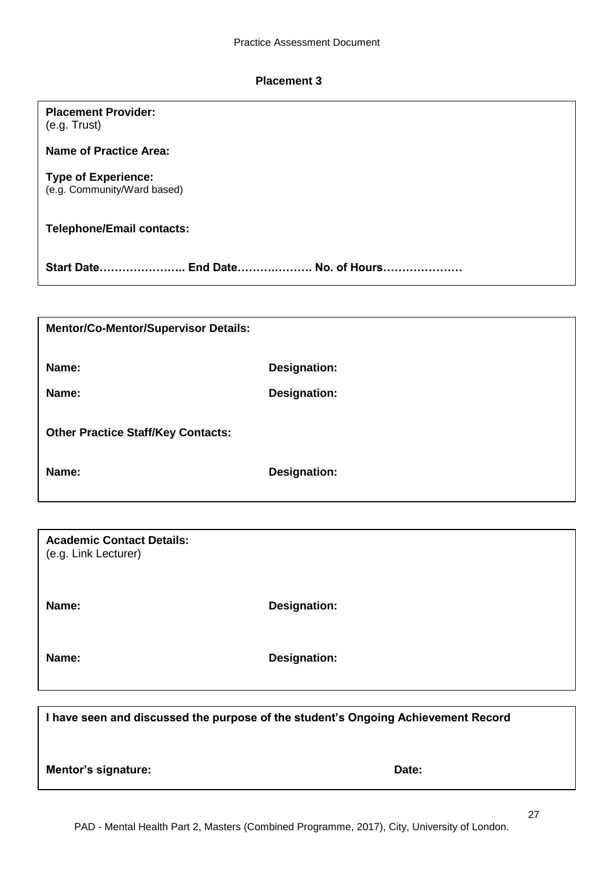#### **Placement 3**

**Placement Provider:**

| (e.g. Trust)                                              |                                                                                   |
|-----------------------------------------------------------|-----------------------------------------------------------------------------------|
| <b>Name of Practice Area:</b>                             |                                                                                   |
| <b>Type of Experience:</b><br>(e.g. Community/Ward based) |                                                                                   |
| <b>Telephone/Email contacts:</b>                          |                                                                                   |
| Start Date End Date No. of Hours                          |                                                                                   |
|                                                           |                                                                                   |
| <b>Mentor/Co-Mentor/Supervisor Details:</b>               |                                                                                   |
| Name:                                                     | <b>Designation:</b>                                                               |
| Name:                                                     | <b>Designation:</b>                                                               |
| <b>Other Practice Staff/Key Contacts:</b>                 |                                                                                   |
| Name:                                                     | <b>Designation:</b>                                                               |
|                                                           |                                                                                   |
| <b>Academic Contact Details:</b><br>(e.g. Link Lecturer)  |                                                                                   |
| Name:                                                     | <b>Designation:</b>                                                               |
| Name:                                                     | <b>Designation:</b>                                                               |
|                                                           |                                                                                   |
|                                                           | I have seen and discussed the purpose of the student's Ongoing Achievement Record |
| Mentor's signature:                                       | Date:                                                                             |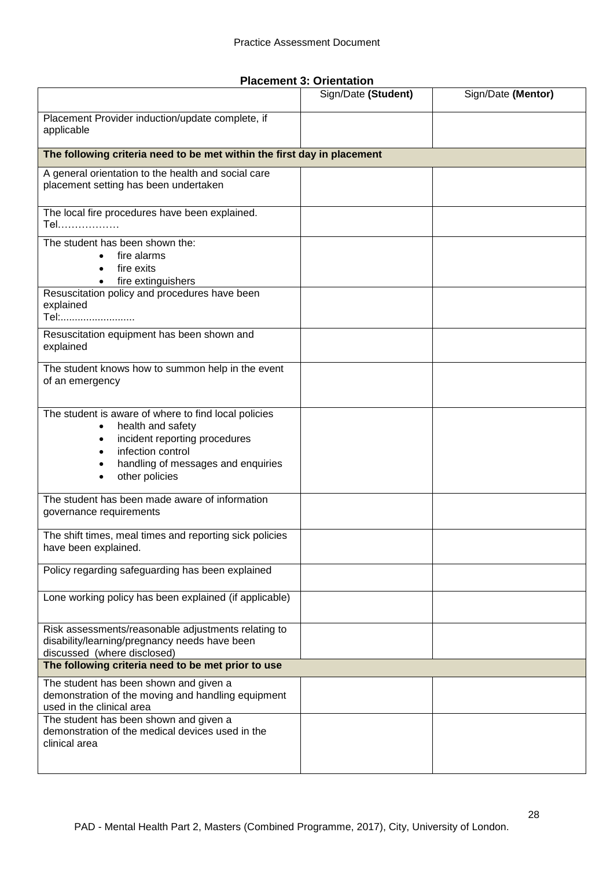**Placement 3: Orientation**

|                                                                                                                                                                                         | Sign/Date (Student) | Sign/Date (Mentor) |
|-----------------------------------------------------------------------------------------------------------------------------------------------------------------------------------------|---------------------|--------------------|
| Placement Provider induction/update complete, if<br>applicable                                                                                                                          |                     |                    |
| The following criteria need to be met within the first day in placement                                                                                                                 |                     |                    |
| A general orientation to the health and social care<br>placement setting has been undertaken                                                                                            |                     |                    |
| The local fire procedures have been explained.<br>Tel                                                                                                                                   |                     |                    |
| The student has been shown the:<br>fire alarms<br>fire exits<br>fire extinguishers<br>$\bullet$                                                                                         |                     |                    |
| Resuscitation policy and procedures have been<br>explained<br>Tel:                                                                                                                      |                     |                    |
| Resuscitation equipment has been shown and<br>explained                                                                                                                                 |                     |                    |
| The student knows how to summon help in the event<br>of an emergency                                                                                                                    |                     |                    |
| The student is aware of where to find local policies<br>health and safety<br>incident reporting procedures<br>infection control<br>handling of messages and enquiries<br>other policies |                     |                    |
| The student has been made aware of information<br>governance requirements                                                                                                               |                     |                    |
| The shift times, meal times and reporting sick policies<br>have been explained.                                                                                                         |                     |                    |
| Policy regarding safeguarding has been explained                                                                                                                                        |                     |                    |
| Lone working policy has been explained (if applicable)                                                                                                                                  |                     |                    |
| Risk assessments/reasonable adjustments relating to<br>disability/learning/pregnancy needs have been<br>discussed (where disclosed)                                                     |                     |                    |
| The following criteria need to be met prior to use                                                                                                                                      |                     |                    |
| The student has been shown and given a<br>demonstration of the moving and handling equipment<br>used in the clinical area                                                               |                     |                    |
| The student has been shown and given a<br>demonstration of the medical devices used in the<br>clinical area                                                                             |                     |                    |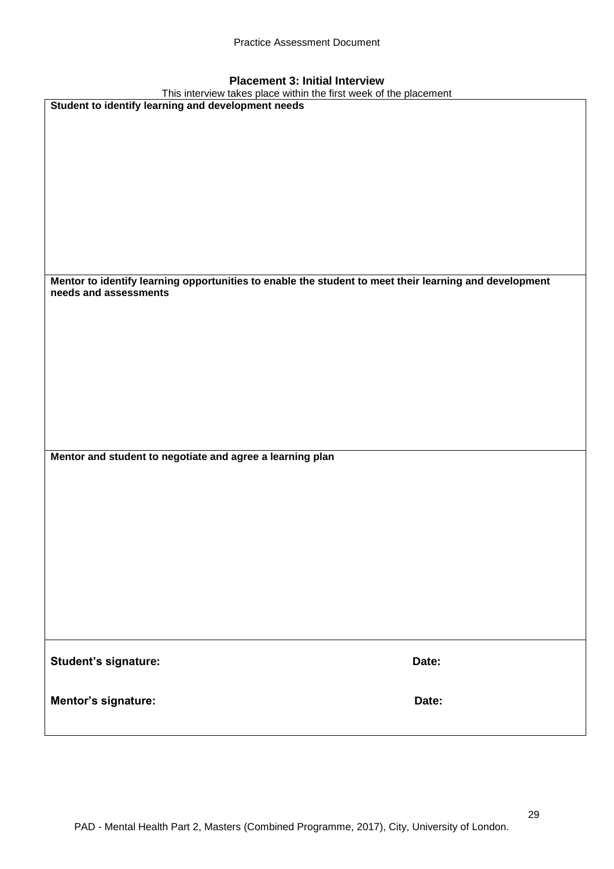| <b>Placement 3: Initial Interview</b> |  |  |  |  |
|---------------------------------------|--|--|--|--|
|---------------------------------------|--|--|--|--|

| $\mathbf{r}$ ractifient of militar intervies<br>This interview takes place within the first week of the placement |       |  |  |
|-------------------------------------------------------------------------------------------------------------------|-------|--|--|
| Student to identify learning and development needs                                                                |       |  |  |
|                                                                                                                   |       |  |  |
|                                                                                                                   |       |  |  |
|                                                                                                                   |       |  |  |
|                                                                                                                   |       |  |  |
|                                                                                                                   |       |  |  |
|                                                                                                                   |       |  |  |
|                                                                                                                   |       |  |  |
|                                                                                                                   |       |  |  |
|                                                                                                                   |       |  |  |
|                                                                                                                   |       |  |  |
|                                                                                                                   |       |  |  |
|                                                                                                                   |       |  |  |
|                                                                                                                   |       |  |  |
|                                                                                                                   |       |  |  |
| Mentor to identify learning opportunities to enable the student to meet their learning and development            |       |  |  |
| needs and assessments                                                                                             |       |  |  |
|                                                                                                                   |       |  |  |
|                                                                                                                   |       |  |  |
|                                                                                                                   |       |  |  |
|                                                                                                                   |       |  |  |
|                                                                                                                   |       |  |  |
|                                                                                                                   |       |  |  |
|                                                                                                                   |       |  |  |
|                                                                                                                   |       |  |  |
|                                                                                                                   |       |  |  |
|                                                                                                                   |       |  |  |
|                                                                                                                   |       |  |  |
|                                                                                                                   |       |  |  |
| Mentor and student to negotiate and agree a learning plan                                                         |       |  |  |
|                                                                                                                   |       |  |  |
|                                                                                                                   |       |  |  |
|                                                                                                                   |       |  |  |
|                                                                                                                   |       |  |  |
|                                                                                                                   |       |  |  |
|                                                                                                                   |       |  |  |
|                                                                                                                   |       |  |  |
|                                                                                                                   |       |  |  |
|                                                                                                                   |       |  |  |
|                                                                                                                   |       |  |  |
|                                                                                                                   |       |  |  |
|                                                                                                                   |       |  |  |
|                                                                                                                   |       |  |  |
|                                                                                                                   |       |  |  |
|                                                                                                                   |       |  |  |
|                                                                                                                   |       |  |  |
| Student's signature:                                                                                              | Date: |  |  |
|                                                                                                                   |       |  |  |
|                                                                                                                   |       |  |  |
|                                                                                                                   |       |  |  |
| Mentor's signature:                                                                                               | Date: |  |  |
|                                                                                                                   |       |  |  |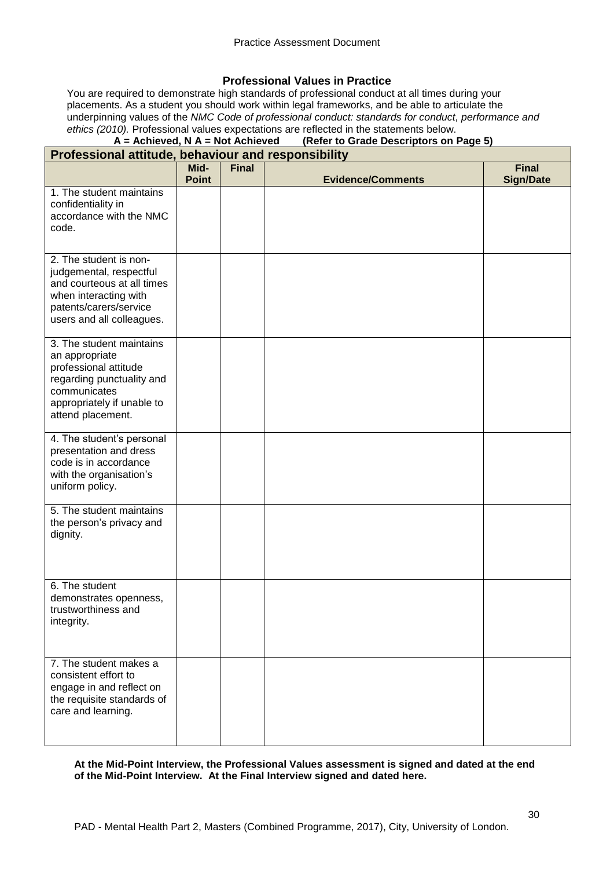#### **Professional Values in Practice**

You are required to demonstrate high standards of professional conduct at all times during your placements. As a student you should work within legal frameworks, and be able to articulate the underpinning values of the *NMC Code of professional conduct: standards for conduct, performance and ethics (2010).* Professional values expectations are reflected in the statements below.<br>**A** = **Achieved, N** A = Not Achieved (Refer to Grade Descriptors on I

#### **(Refer to Grade Descriptors on Page 5) Professional attitude, behaviour and responsibility**

| r roressional attituue, behaviour and responsibility                                                                                                                |                      |              |                          |                                  |
|---------------------------------------------------------------------------------------------------------------------------------------------------------------------|----------------------|--------------|--------------------------|----------------------------------|
|                                                                                                                                                                     | Mid-<br><b>Point</b> | <b>Final</b> | <b>Evidence/Comments</b> | <b>Final</b><br><b>Sign/Date</b> |
| 1. The student maintains<br>confidentiality in<br>accordance with the NMC<br>code.                                                                                  |                      |              |                          |                                  |
| 2. The student is non-<br>judgemental, respectful<br>and courteous at all times<br>when interacting with<br>patents/carers/service<br>users and all colleagues.     |                      |              |                          |                                  |
| 3. The student maintains<br>an appropriate<br>professional attitude<br>regarding punctuality and<br>communicates<br>appropriately if unable to<br>attend placement. |                      |              |                          |                                  |
| 4. The student's personal<br>presentation and dress<br>code is in accordance<br>with the organisation's<br>uniform policy.                                          |                      |              |                          |                                  |
| 5. The student maintains<br>the person's privacy and<br>dignity.                                                                                                    |                      |              |                          |                                  |
| 6. The student<br>demonstrates openness,<br>trustworthiness and<br>integrity.                                                                                       |                      |              |                          |                                  |
| 7. The student makes a<br>consistent effort to<br>engage in and reflect on<br>the requisite standards of<br>care and learning.                                      |                      |              |                          |                                  |

#### **At the Mid-Point Interview, the Professional Values assessment is signed and dated at the end of the Mid-Point Interview. At the Final Interview signed and dated here.**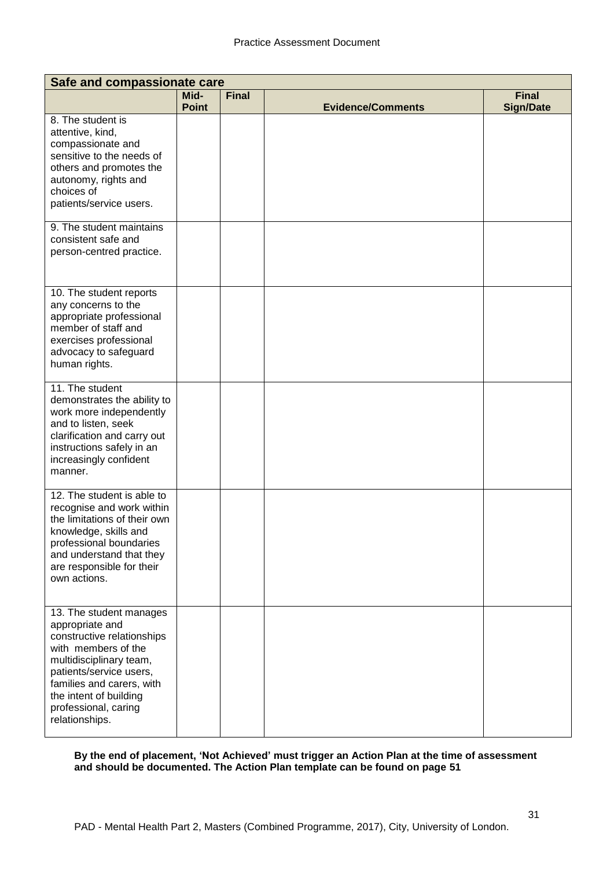| Safe and compassionate care                                                                                                                                                                                                                            |                      |              |                          |                                  |
|--------------------------------------------------------------------------------------------------------------------------------------------------------------------------------------------------------------------------------------------------------|----------------------|--------------|--------------------------|----------------------------------|
|                                                                                                                                                                                                                                                        | Mid-<br><b>Point</b> | <b>Final</b> | <b>Evidence/Comments</b> | <b>Final</b><br><b>Sign/Date</b> |
| 8. The student is<br>attentive, kind,<br>compassionate and<br>sensitive to the needs of<br>others and promotes the<br>autonomy, rights and<br>choices of<br>patients/service users.                                                                    |                      |              |                          |                                  |
| 9. The student maintains<br>consistent safe and<br>person-centred practice.                                                                                                                                                                            |                      |              |                          |                                  |
| 10. The student reports<br>any concerns to the<br>appropriate professional<br>member of staff and<br>exercises professional<br>advocacy to safeguard<br>human rights.                                                                                  |                      |              |                          |                                  |
| 11. The student<br>demonstrates the ability to<br>work more independently<br>and to listen, seek<br>clarification and carry out<br>instructions safely in an<br>increasingly confident<br>manner.                                                      |                      |              |                          |                                  |
| 12. The student is able to<br>recognise and work within<br>the limitations of their own<br>knowledge, skills and<br>professional boundaries<br>and understand that they<br>are responsible for their<br>own actions.                                   |                      |              |                          |                                  |
| 13. The student manages<br>appropriate and<br>constructive relationships<br>with members of the<br>multidisciplinary team,<br>patients/service users,<br>families and carers, with<br>the intent of building<br>professional, caring<br>relationships. |                      |              |                          |                                  |

**By the end of placement, 'Not Achieved' must trigger an Action Plan at the time of assessment and should be documented. The Action Plan template can be found on page 51**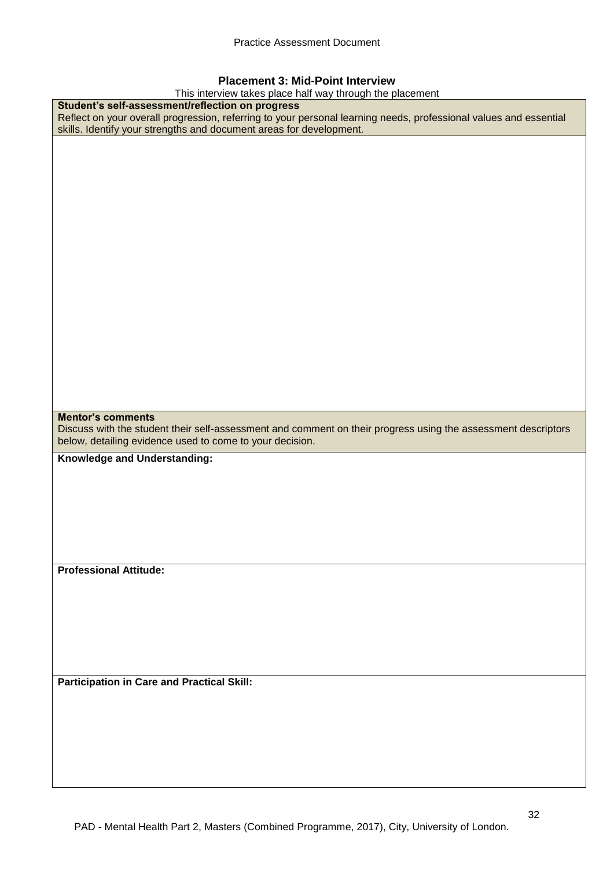#### **Placement 3: Mid-Point Interview**

This interview takes place half way through the placement

| This interview takes place half way through the placement                                                         |
|-------------------------------------------------------------------------------------------------------------------|
| Student's self-assessment/reflection on progress                                                                  |
| Reflect on your overall progression, referring to your personal learning needs, professional values and essential |
| skills. Identify your strengths and document areas for development.                                               |
|                                                                                                                   |
|                                                                                                                   |
|                                                                                                                   |
|                                                                                                                   |
|                                                                                                                   |
|                                                                                                                   |
|                                                                                                                   |
|                                                                                                                   |
|                                                                                                                   |
|                                                                                                                   |
|                                                                                                                   |
|                                                                                                                   |
|                                                                                                                   |
|                                                                                                                   |
|                                                                                                                   |
|                                                                                                                   |
|                                                                                                                   |
|                                                                                                                   |
|                                                                                                                   |
|                                                                                                                   |
|                                                                                                                   |
|                                                                                                                   |
|                                                                                                                   |
|                                                                                                                   |
|                                                                                                                   |
|                                                                                                                   |
|                                                                                                                   |
|                                                                                                                   |
| <b>Mentor's comments</b>                                                                                          |
|                                                                                                                   |
|                                                                                                                   |
| Discuss with the student their self-assessment and comment on their progress using the assessment descriptors     |
| below, detailing evidence used to come to your decision.                                                          |
|                                                                                                                   |
| Knowledge and Understanding:                                                                                      |
|                                                                                                                   |
|                                                                                                                   |
|                                                                                                                   |
|                                                                                                                   |
|                                                                                                                   |
|                                                                                                                   |
|                                                                                                                   |
|                                                                                                                   |
|                                                                                                                   |
|                                                                                                                   |
| <b>Professional Attitude:</b>                                                                                     |
|                                                                                                                   |
|                                                                                                                   |
|                                                                                                                   |
|                                                                                                                   |
|                                                                                                                   |
|                                                                                                                   |
|                                                                                                                   |
|                                                                                                                   |
|                                                                                                                   |
|                                                                                                                   |
|                                                                                                                   |
| <b>Participation in Care and Practical Skill:</b>                                                                 |
|                                                                                                                   |
|                                                                                                                   |
|                                                                                                                   |
|                                                                                                                   |
|                                                                                                                   |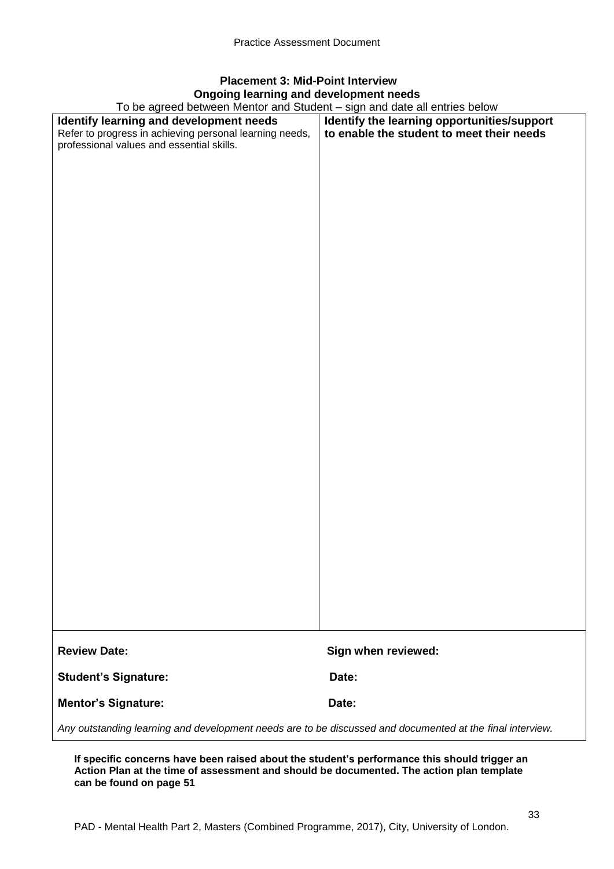## **Placement 3: Mid-Point Interview Ongoing learning and development needs**

To be agreed between Mentor and Student – sign and date all entries below

| To be agreed between Mentor and Student – sign and date all entries below                                 |                                             |  |  |
|-----------------------------------------------------------------------------------------------------------|---------------------------------------------|--|--|
| Identify learning and development needs                                                                   | Identify the learning opportunities/support |  |  |
| Refer to progress in achieving personal learning needs,                                                   | to enable the student to meet their needs   |  |  |
| professional values and essential skills.                                                                 |                                             |  |  |
|                                                                                                           |                                             |  |  |
|                                                                                                           |                                             |  |  |
|                                                                                                           |                                             |  |  |
|                                                                                                           |                                             |  |  |
|                                                                                                           |                                             |  |  |
|                                                                                                           |                                             |  |  |
|                                                                                                           |                                             |  |  |
|                                                                                                           |                                             |  |  |
|                                                                                                           |                                             |  |  |
|                                                                                                           |                                             |  |  |
|                                                                                                           |                                             |  |  |
|                                                                                                           |                                             |  |  |
|                                                                                                           |                                             |  |  |
|                                                                                                           |                                             |  |  |
|                                                                                                           |                                             |  |  |
|                                                                                                           |                                             |  |  |
|                                                                                                           |                                             |  |  |
|                                                                                                           |                                             |  |  |
|                                                                                                           |                                             |  |  |
|                                                                                                           |                                             |  |  |
|                                                                                                           |                                             |  |  |
|                                                                                                           |                                             |  |  |
|                                                                                                           |                                             |  |  |
|                                                                                                           |                                             |  |  |
|                                                                                                           |                                             |  |  |
|                                                                                                           |                                             |  |  |
|                                                                                                           |                                             |  |  |
|                                                                                                           |                                             |  |  |
|                                                                                                           |                                             |  |  |
|                                                                                                           |                                             |  |  |
|                                                                                                           |                                             |  |  |
|                                                                                                           |                                             |  |  |
|                                                                                                           |                                             |  |  |
|                                                                                                           |                                             |  |  |
|                                                                                                           |                                             |  |  |
|                                                                                                           |                                             |  |  |
|                                                                                                           |                                             |  |  |
|                                                                                                           |                                             |  |  |
|                                                                                                           |                                             |  |  |
|                                                                                                           |                                             |  |  |
|                                                                                                           |                                             |  |  |
|                                                                                                           |                                             |  |  |
|                                                                                                           |                                             |  |  |
| <b>Review Date:</b>                                                                                       | Sign when reviewed:                         |  |  |
|                                                                                                           |                                             |  |  |
|                                                                                                           |                                             |  |  |
| <b>Student's Signature:</b>                                                                               | Date:                                       |  |  |
|                                                                                                           |                                             |  |  |
| <b>Mentor's Signature:</b>                                                                                | Date:                                       |  |  |
|                                                                                                           |                                             |  |  |
| Any outstanding learning and development needs are to be discussed and documented at the final interview. |                                             |  |  |

**If specific concerns have been raised about the student's performance this should trigger an Action Plan at the time of assessment and should be documented. The action plan template can be found on page 51**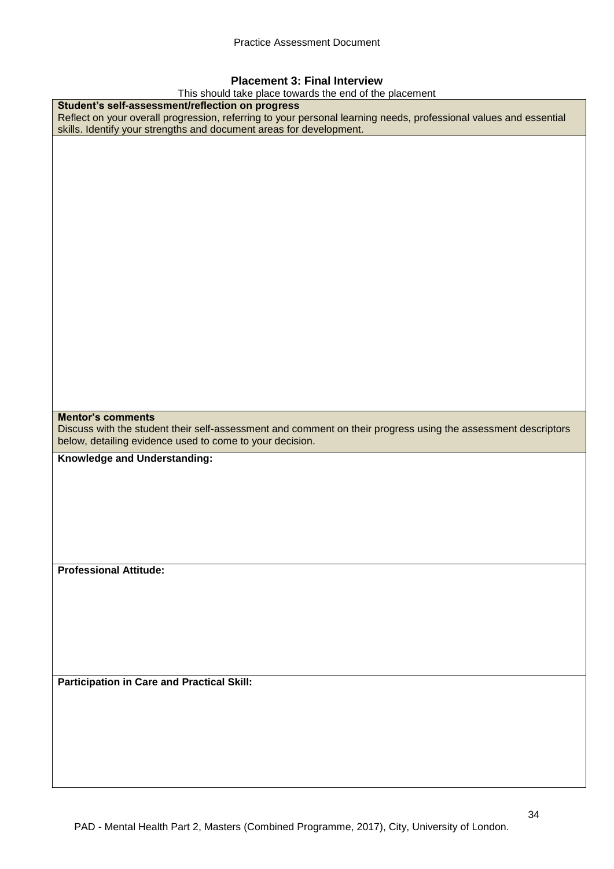#### **Placement 3: Final Interview**

This should take place towards the end of the placement

| This should take place towards the end of the placement                                                           |
|-------------------------------------------------------------------------------------------------------------------|
| Student's self-assessment/reflection on progress                                                                  |
| Reflect on your overall progression, referring to your personal learning needs, professional values and essential |
| skills. Identify your strengths and document areas for development.                                               |
|                                                                                                                   |
|                                                                                                                   |
|                                                                                                                   |
|                                                                                                                   |
|                                                                                                                   |
|                                                                                                                   |
|                                                                                                                   |
|                                                                                                                   |
|                                                                                                                   |
|                                                                                                                   |
|                                                                                                                   |
|                                                                                                                   |
|                                                                                                                   |
|                                                                                                                   |
|                                                                                                                   |
|                                                                                                                   |
|                                                                                                                   |
|                                                                                                                   |
|                                                                                                                   |
|                                                                                                                   |
|                                                                                                                   |
|                                                                                                                   |
|                                                                                                                   |
|                                                                                                                   |
|                                                                                                                   |
|                                                                                                                   |
| <b>Mentor's comments</b>                                                                                          |
| Discuss with the student their self-assessment and comment on their progress using the assessment descriptors     |
|                                                                                                                   |
|                                                                                                                   |
| below, detailing evidence used to come to your decision.                                                          |
|                                                                                                                   |
| Knowledge and Understanding:                                                                                      |
|                                                                                                                   |
|                                                                                                                   |
|                                                                                                                   |
|                                                                                                                   |
|                                                                                                                   |
|                                                                                                                   |
|                                                                                                                   |
|                                                                                                                   |
|                                                                                                                   |
| <b>Professional Attitude:</b>                                                                                     |
|                                                                                                                   |
|                                                                                                                   |
|                                                                                                                   |
|                                                                                                                   |
|                                                                                                                   |
|                                                                                                                   |
|                                                                                                                   |
|                                                                                                                   |
|                                                                                                                   |
|                                                                                                                   |
| <b>Participation in Care and Practical Skill:</b>                                                                 |
|                                                                                                                   |
|                                                                                                                   |
|                                                                                                                   |
|                                                                                                                   |
|                                                                                                                   |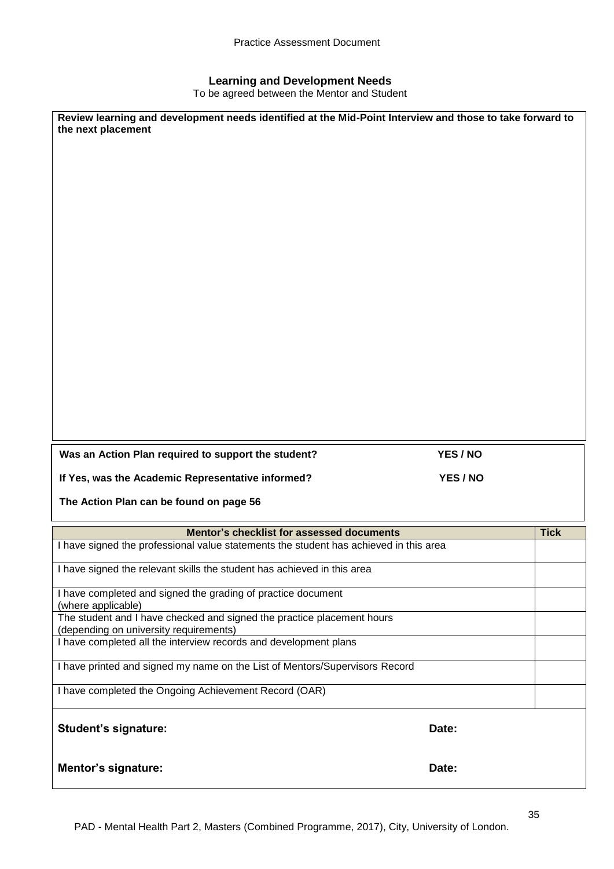#### **Learning and Development Needs**

To be agreed between the Mentor and Student

| Review learning and development needs identified at the Mid-Point Interview and those to take forward to<br>the next placement |          |             |
|--------------------------------------------------------------------------------------------------------------------------------|----------|-------------|
| Was an Action Plan required to support the student?                                                                            | YES / NO |             |
| If Yes, was the Academic Representative informed?                                                                              | YES / NO |             |
| The Action Plan can be found on page 56                                                                                        |          |             |
| Mentor's checklist for assessed documents                                                                                      |          | <b>Tick</b> |
| I have signed the professional value statements the student has achieved in this area                                          |          |             |
| I have signed the relevant skills the student has achieved in this area                                                        |          |             |
| I have completed and signed the grading of practice document<br>(where applicable)                                             |          |             |
| The student and I have checked and signed the practice placement hours<br>(depending on university requirements)               |          |             |
| I have completed all the interview records and development plans                                                               |          |             |
| I have printed and signed my name on the List of Mentors/Supervisors Record                                                    |          |             |
| I have completed the Ongoing Achievement Record (OAR)                                                                          |          |             |
| <b>Student's signature:</b>                                                                                                    | Date:    |             |
| <b>Mentor's signature:</b>                                                                                                     | Date:    |             |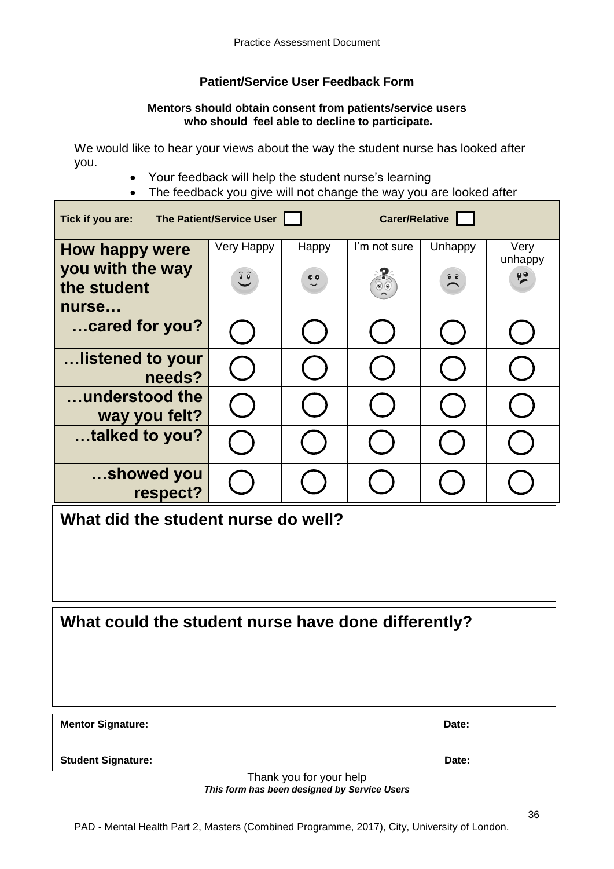## **Patient/Service User Feedback Form**

#### **Mentors should obtain consent from patients/service users who should feel able to decline to participate.**

We would like to hear your views about the way the student nurse has looked after you.

- Your feedback will help the student nurse's learning
- The feedback you give will not change the way you are looked after

| The Patient/Service User<br>Carer/Relative<br>Tick if you are: |            |                         |              |                                               |                 |
|----------------------------------------------------------------|------------|-------------------------|--------------|-----------------------------------------------|-----------------|
| <b>How happy were</b>                                          | Very Happy | Happy                   | I'm not sure | Unhappy                                       | Very<br>unhappy |
| you with the way<br>the student                                | $\hat{e}$  | $\bullet$               |              | $\widehat{\mathbf{v}}$ $\widehat{\mathbf{v}}$ | $\frac{99}{5}$  |
| nurse                                                          |            |                         |              |                                               |                 |
| cared for you?                                                 |            |                         |              |                                               |                 |
| …listened to your<br>needs?                                    |            |                         |              |                                               |                 |
| understood the<br>way you felt?                                |            |                         |              |                                               |                 |
| talked to you?                                                 |            |                         |              |                                               |                 |
| showed you<br>respect?                                         |            |                         |              |                                               |                 |
| What did the student nurse do well?                            |            |                         |              |                                               |                 |
|                                                                |            |                         |              |                                               |                 |
|                                                                |            |                         |              |                                               |                 |
| What could the student nurse have done differently?            |            |                         |              |                                               |                 |
|                                                                |            |                         |              |                                               |                 |
|                                                                |            |                         |              |                                               |                 |
| <b>Mentor Signature:</b>                                       | Date:      |                         |              |                                               |                 |
| <b>Student Signature:</b>                                      |            |                         |              | Date:                                         |                 |
|                                                                |            | Thank you for your help |              |                                               |                 |

*This form has been designed by Service Users*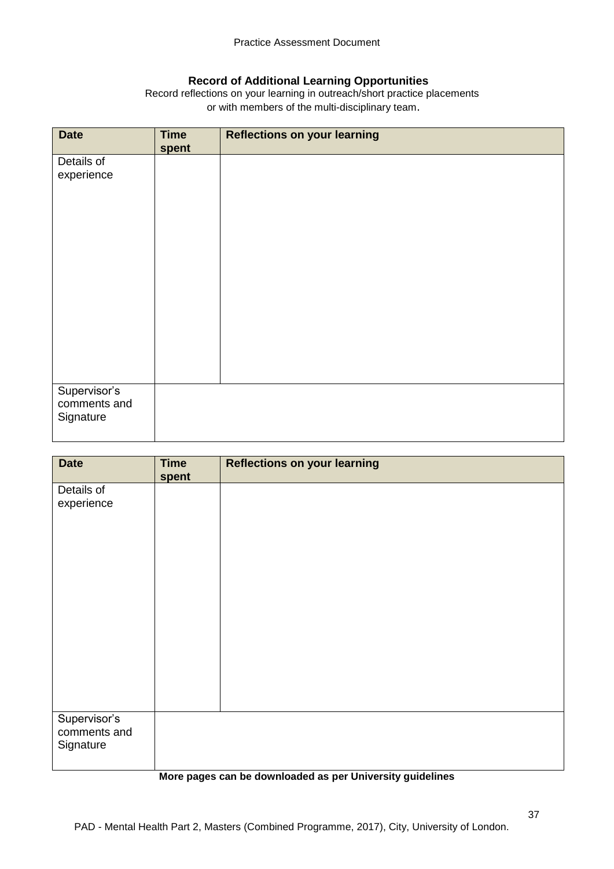#### **Record of Additional Learning Opportunities**

Record reflections on your learning in outreach/short practice placements or with members of the multi-disciplinary team.

| <b>Date</b>                               | <b>Time</b><br>spent | <b>Reflections on your learning</b> |
|-------------------------------------------|----------------------|-------------------------------------|
| Details of<br>experience                  |                      |                                     |
| Supervisor's<br>comments and<br>Signature |                      |                                     |

| <b>Date</b>                               | <b>Time</b><br>spent | <b>Reflections on your learning</b> |
|-------------------------------------------|----------------------|-------------------------------------|
| Details of<br>experience                  |                      |                                     |
| Supervisor's<br>comments and<br>Signature |                      |                                     |

#### **More pages can be downloaded as per University guidelines**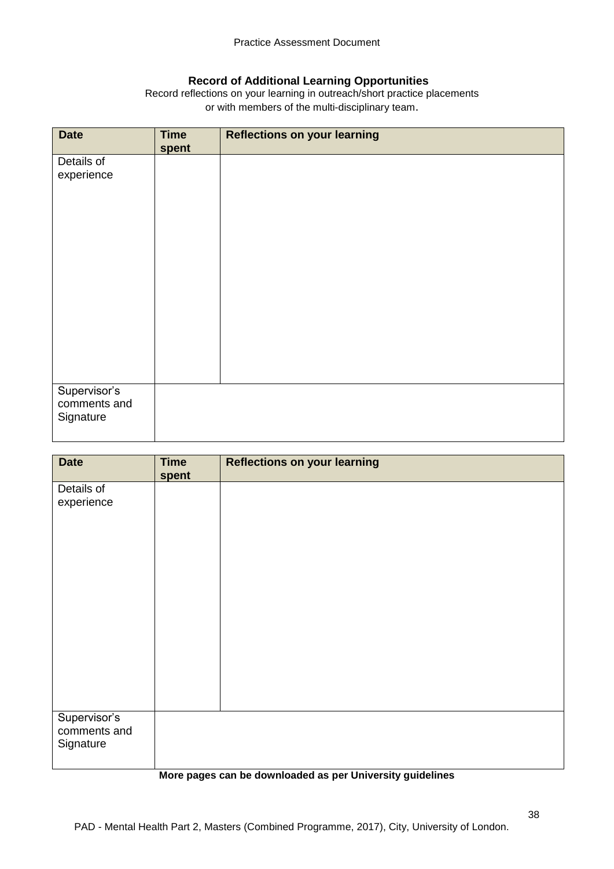## **Record of Additional Learning Opportunities**

Record reflections on your learning in outreach/short practice placements or with members of the multi-disciplinary team.

| <b>Date</b>                  | <b>Time</b><br>spent | <b>Reflections on your learning</b> |
|------------------------------|----------------------|-------------------------------------|
| Details of                   |                      |                                     |
| experience                   |                      |                                     |
|                              |                      |                                     |
|                              |                      |                                     |
|                              |                      |                                     |
|                              |                      |                                     |
|                              |                      |                                     |
|                              |                      |                                     |
|                              |                      |                                     |
|                              |                      |                                     |
|                              |                      |                                     |
|                              |                      |                                     |
|                              |                      |                                     |
| Supervisor's<br>comments and |                      |                                     |
| Signature                    |                      |                                     |
|                              |                      |                                     |

| <b>Date</b>                               | <b>Time</b><br>spent | <b>Reflections on your learning</b> |
|-------------------------------------------|----------------------|-------------------------------------|
| Details of<br>experience                  |                      |                                     |
|                                           |                      |                                     |
|                                           |                      |                                     |
|                                           |                      |                                     |
|                                           |                      |                                     |
|                                           |                      |                                     |
| Supervisor's<br>comments and<br>Signature |                      |                                     |

#### **More pages can be downloaded as per University guidelines**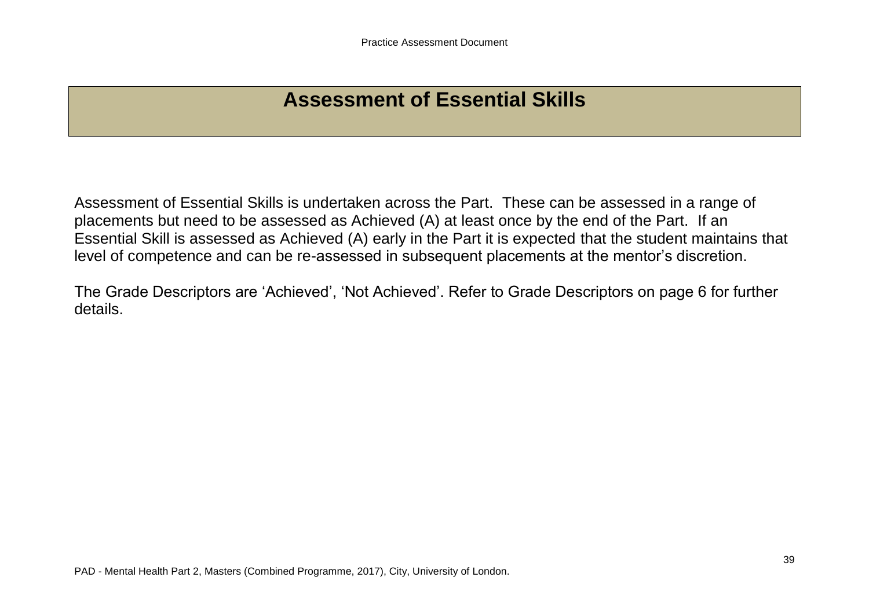# **Assessment of Essential Skills**

Assessment of Essential Skills is undertaken across the Part. These can be assessed in a range of placements but need to be assessed as Achieved (A) at least once by the end of the Part. If an Essential Skill is assessed as Achieved (A) early in the Part it is expected that the student maintains that level of competence and can be re-assessed in subsequent placements at the mentor's discretion.

The Grade Descriptors are 'Achieved', 'Not Achieved'. Refer to Grade Descriptors on page 6 for further details.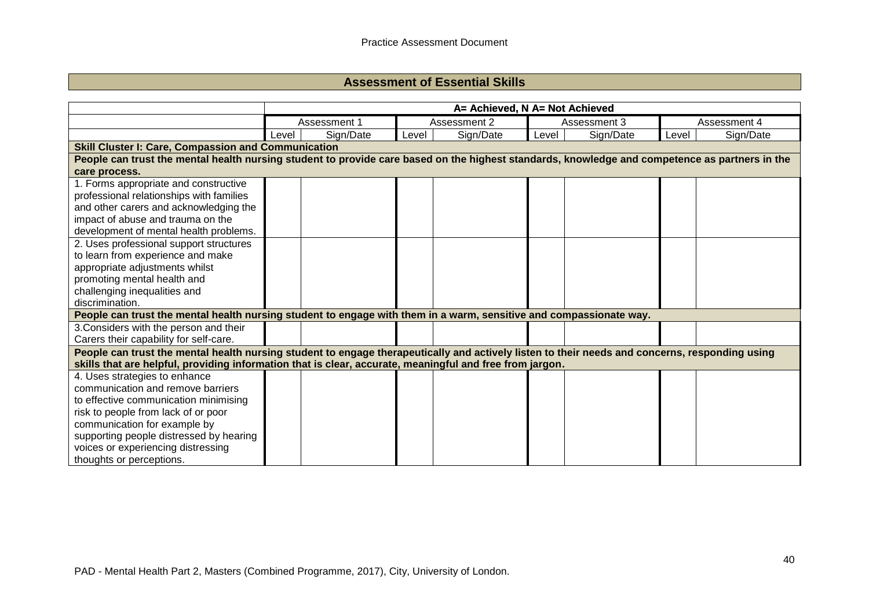## **Assessment of Essential Skills**

|                                                                                                                                                | A= Achieved, N A= Not Achieved |              |       |              |       |              |       |              |
|------------------------------------------------------------------------------------------------------------------------------------------------|--------------------------------|--------------|-------|--------------|-------|--------------|-------|--------------|
|                                                                                                                                                |                                | Assessment 1 |       | Assessment 2 |       | Assessment 3 |       | Assessment 4 |
|                                                                                                                                                | Level                          | Sign/Date    | Level | Sign/Date    | Level | Sign/Date    | Level | Sign/Date    |
| <b>Skill Cluster I: Care, Compassion and Communication</b>                                                                                     |                                |              |       |              |       |              |       |              |
| People can trust the mental health nursing student to provide care based on the highest standards, knowledge and competence as partners in the |                                |              |       |              |       |              |       |              |
| care process.                                                                                                                                  |                                |              |       |              |       |              |       |              |
| 1. Forms appropriate and constructive                                                                                                          |                                |              |       |              |       |              |       |              |
| professional relationships with families                                                                                                       |                                |              |       |              |       |              |       |              |
| and other carers and acknowledging the                                                                                                         |                                |              |       |              |       |              |       |              |
| impact of abuse and trauma on the                                                                                                              |                                |              |       |              |       |              |       |              |
| development of mental health problems.                                                                                                         |                                |              |       |              |       |              |       |              |
| 2. Uses professional support structures                                                                                                        |                                |              |       |              |       |              |       |              |
| to learn from experience and make                                                                                                              |                                |              |       |              |       |              |       |              |
| appropriate adjustments whilst                                                                                                                 |                                |              |       |              |       |              |       |              |
| promoting mental health and                                                                                                                    |                                |              |       |              |       |              |       |              |
| challenging inequalities and                                                                                                                   |                                |              |       |              |       |              |       |              |
| discrimination.                                                                                                                                |                                |              |       |              |       |              |       |              |
| People can trust the mental health nursing student to engage with them in a warm, sensitive and compassionate way.                             |                                |              |       |              |       |              |       |              |
| 3. Considers with the person and their                                                                                                         |                                |              |       |              |       |              |       |              |
| Carers their capability for self-care.                                                                                                         |                                |              |       |              |       |              |       |              |
| People can trust the mental health nursing student to engage therapeutically and actively listen to their needs and concerns, responding using |                                |              |       |              |       |              |       |              |
| skills that are helpful, providing information that is clear, accurate, meaningful and free from jargon.                                       |                                |              |       |              |       |              |       |              |
| 4. Uses strategies to enhance                                                                                                                  |                                |              |       |              |       |              |       |              |
| communication and remove barriers                                                                                                              |                                |              |       |              |       |              |       |              |
| to effective communication minimising                                                                                                          |                                |              |       |              |       |              |       |              |
| risk to people from lack of or poor                                                                                                            |                                |              |       |              |       |              |       |              |
| communication for example by                                                                                                                   |                                |              |       |              |       |              |       |              |
| supporting people distressed by hearing                                                                                                        |                                |              |       |              |       |              |       |              |
| voices or experiencing distressing                                                                                                             |                                |              |       |              |       |              |       |              |
| thoughts or perceptions.                                                                                                                       |                                |              |       |              |       |              |       |              |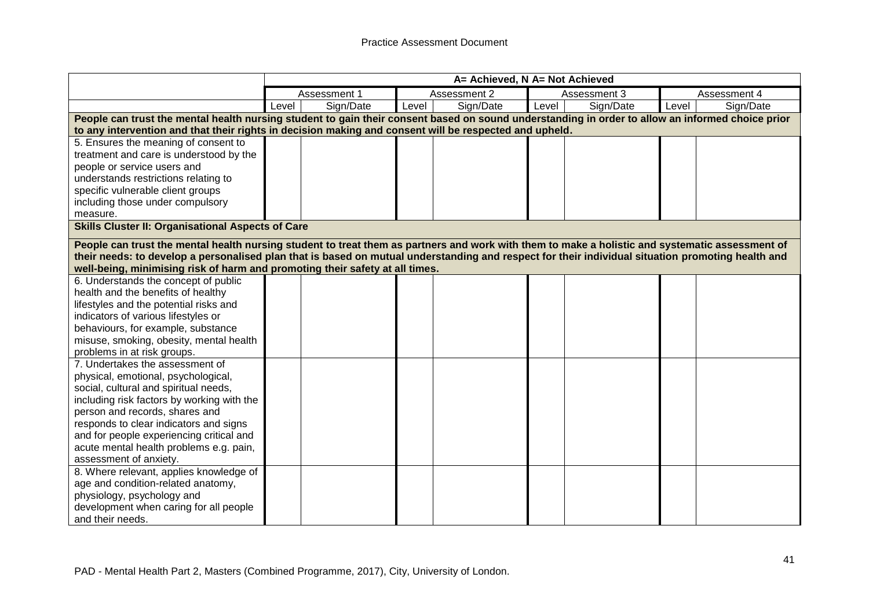|                                                                                                                                                   |       | A= Achieved, N A= Not Achieved |              |           |              |           |              |           |
|---------------------------------------------------------------------------------------------------------------------------------------------------|-------|--------------------------------|--------------|-----------|--------------|-----------|--------------|-----------|
|                                                                                                                                                   |       | Assessment 1                   | Assessment 2 |           | Assessment 3 |           | Assessment 4 |           |
|                                                                                                                                                   | Level | Sign/Date                      | Level        | Sign/Date | Level        | Sign/Date | Level        | Sign/Date |
| People can trust the mental health nursing student to gain their consent based on sound understanding in order to allow an informed choice prior  |       |                                |              |           |              |           |              |           |
| to any intervention and that their rights in decision making and consent will be respected and upheld.                                            |       |                                |              |           |              |           |              |           |
| 5. Ensures the meaning of consent to                                                                                                              |       |                                |              |           |              |           |              |           |
| treatment and care is understood by the                                                                                                           |       |                                |              |           |              |           |              |           |
| people or service users and                                                                                                                       |       |                                |              |           |              |           |              |           |
| understands restrictions relating to                                                                                                              |       |                                |              |           |              |           |              |           |
| specific vulnerable client groups                                                                                                                 |       |                                |              |           |              |           |              |           |
| including those under compulsory                                                                                                                  |       |                                |              |           |              |           |              |           |
| measure.                                                                                                                                          |       |                                |              |           |              |           |              |           |
| <b>Skills Cluster II: Organisational Aspects of Care</b>                                                                                          |       |                                |              |           |              |           |              |           |
| People can trust the mental health nursing student to treat them as partners and work with them to make a holistic and systematic assessment of   |       |                                |              |           |              |           |              |           |
| their needs: to develop a personalised plan that is based on mutual understanding and respect for their individual situation promoting health and |       |                                |              |           |              |           |              |           |
| well-being, minimising risk of harm and promoting their safety at all times.                                                                      |       |                                |              |           |              |           |              |           |
| 6. Understands the concept of public                                                                                                              |       |                                |              |           |              |           |              |           |
| health and the benefits of healthy                                                                                                                |       |                                |              |           |              |           |              |           |
| lifestyles and the potential risks and                                                                                                            |       |                                |              |           |              |           |              |           |
| indicators of various lifestyles or                                                                                                               |       |                                |              |           |              |           |              |           |
| behaviours, for example, substance                                                                                                                |       |                                |              |           |              |           |              |           |
| misuse, smoking, obesity, mental health                                                                                                           |       |                                |              |           |              |           |              |           |
| problems in at risk groups.                                                                                                                       |       |                                |              |           |              |           |              |           |
| 7. Undertakes the assessment of                                                                                                                   |       |                                |              |           |              |           |              |           |
| physical, emotional, psychological,                                                                                                               |       |                                |              |           |              |           |              |           |
| social, cultural and spiritual needs,                                                                                                             |       |                                |              |           |              |           |              |           |
| including risk factors by working with the                                                                                                        |       |                                |              |           |              |           |              |           |
| person and records, shares and                                                                                                                    |       |                                |              |           |              |           |              |           |
| responds to clear indicators and signs                                                                                                            |       |                                |              |           |              |           |              |           |
| and for people experiencing critical and                                                                                                          |       |                                |              |           |              |           |              |           |
| acute mental health problems e.g. pain,                                                                                                           |       |                                |              |           |              |           |              |           |
| assessment of anxiety.                                                                                                                            |       |                                |              |           |              |           |              |           |
| 8. Where relevant, applies knowledge of                                                                                                           |       |                                |              |           |              |           |              |           |
| age and condition-related anatomy,                                                                                                                |       |                                |              |           |              |           |              |           |
| physiology, psychology and                                                                                                                        |       |                                |              |           |              |           |              |           |
| development when caring for all people                                                                                                            |       |                                |              |           |              |           |              |           |
| and their needs.                                                                                                                                  |       |                                |              |           |              |           |              |           |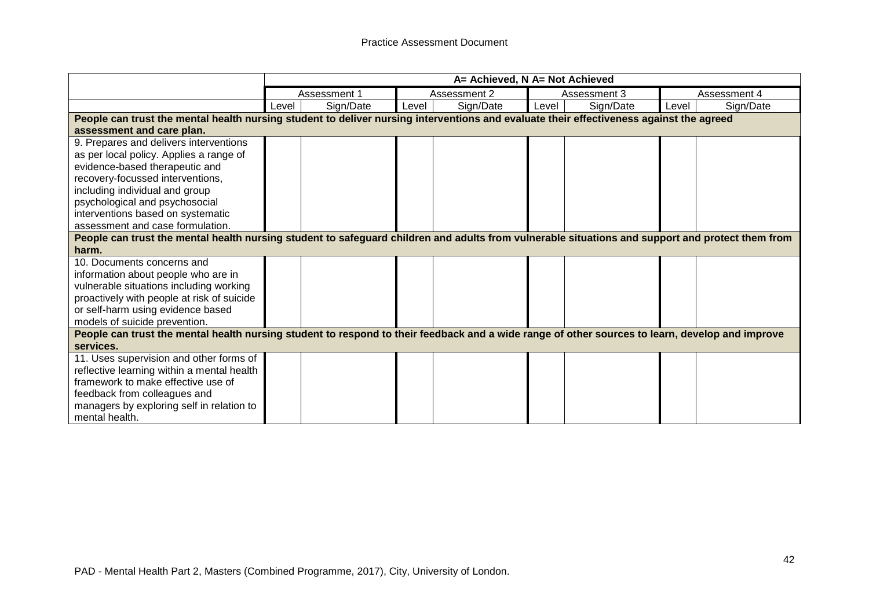|                                                                                                                                                  | A= Achieved, N A= Not Achieved |              |       |              |       |              |       |              |
|--------------------------------------------------------------------------------------------------------------------------------------------------|--------------------------------|--------------|-------|--------------|-------|--------------|-------|--------------|
|                                                                                                                                                  |                                | Assessment 1 |       | Assessment 2 |       | Assessment 3 |       | Assessment 4 |
|                                                                                                                                                  | Level                          | Sign/Date    | Level | Sign/Date    | Level | Sign/Date    | Level | Sign/Date    |
| People can trust the mental health nursing student to deliver nursing interventions and evaluate their effectiveness against the agreed          |                                |              |       |              |       |              |       |              |
| assessment and care plan.                                                                                                                        |                                |              |       |              |       |              |       |              |
| 9. Prepares and delivers interventions                                                                                                           |                                |              |       |              |       |              |       |              |
| as per local policy. Applies a range of                                                                                                          |                                |              |       |              |       |              |       |              |
| evidence-based therapeutic and                                                                                                                   |                                |              |       |              |       |              |       |              |
| recovery-focussed interventions,                                                                                                                 |                                |              |       |              |       |              |       |              |
| including individual and group                                                                                                                   |                                |              |       |              |       |              |       |              |
| psychological and psychosocial                                                                                                                   |                                |              |       |              |       |              |       |              |
| interventions based on systematic                                                                                                                |                                |              |       |              |       |              |       |              |
| assessment and case formulation.                                                                                                                 |                                |              |       |              |       |              |       |              |
| People can trust the mental health nursing student to safeguard children and adults from vulnerable situations and support and protect them from |                                |              |       |              |       |              |       |              |
| harm.                                                                                                                                            |                                |              |       |              |       |              |       |              |
| 10. Documents concerns and                                                                                                                       |                                |              |       |              |       |              |       |              |
| information about people who are in                                                                                                              |                                |              |       |              |       |              |       |              |
| vulnerable situations including working                                                                                                          |                                |              |       |              |       |              |       |              |
| proactively with people at risk of suicide                                                                                                       |                                |              |       |              |       |              |       |              |
| or self-harm using evidence based                                                                                                                |                                |              |       |              |       |              |       |              |
| models of suicide prevention.                                                                                                                    |                                |              |       |              |       |              |       |              |
| People can trust the mental health nursing student to respond to their feedback and a wide range of other sources to learn, develop and improve  |                                |              |       |              |       |              |       |              |
| services.                                                                                                                                        |                                |              |       |              |       |              |       |              |
| 11. Uses supervision and other forms of                                                                                                          |                                |              |       |              |       |              |       |              |
| reflective learning within a mental health                                                                                                       |                                |              |       |              |       |              |       |              |
| framework to make effective use of                                                                                                               |                                |              |       |              |       |              |       |              |
| feedback from colleagues and                                                                                                                     |                                |              |       |              |       |              |       |              |
| managers by exploring self in relation to                                                                                                        |                                |              |       |              |       |              |       |              |
| mental health.                                                                                                                                   |                                |              |       |              |       |              |       |              |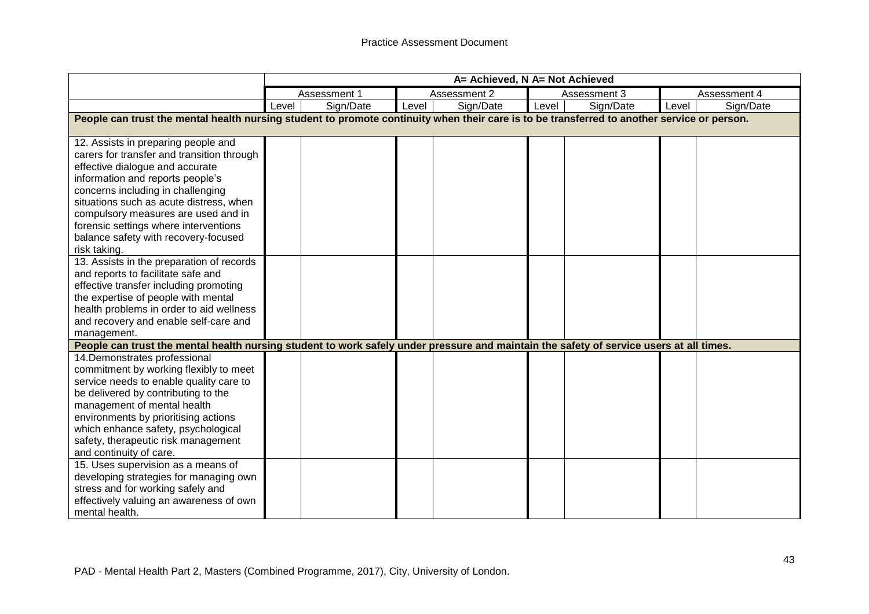|                                                                                                                                                                                                                                                                                                                                                                                  |       | A= Achieved, N A= Not Achieved |       |              |       |              |       |              |
|----------------------------------------------------------------------------------------------------------------------------------------------------------------------------------------------------------------------------------------------------------------------------------------------------------------------------------------------------------------------------------|-------|--------------------------------|-------|--------------|-------|--------------|-------|--------------|
|                                                                                                                                                                                                                                                                                                                                                                                  |       | Assessment 1                   |       | Assessment 2 |       | Assessment 3 |       | Assessment 4 |
|                                                                                                                                                                                                                                                                                                                                                                                  | Level | Sign/Date                      | Level | Sign/Date    | Level | Sign/Date    | Level | Sign/Date    |
| People can trust the mental health nursing student to promote continuity when their care is to be transferred to another service or person.                                                                                                                                                                                                                                      |       |                                |       |              |       |              |       |              |
| 12. Assists in preparing people and<br>carers for transfer and transition through<br>effective dialogue and accurate<br>information and reports people's<br>concerns including in challenging<br>situations such as acute distress, when<br>compulsory measures are used and in<br>forensic settings where interventions<br>balance safety with recovery-focused<br>risk taking. |       |                                |       |              |       |              |       |              |
| 13. Assists in the preparation of records<br>and reports to facilitate safe and<br>effective transfer including promoting<br>the expertise of people with mental<br>health problems in order to aid wellness<br>and recovery and enable self-care and<br>management.                                                                                                             |       |                                |       |              |       |              |       |              |
| People can trust the mental health nursing student to work safely under pressure and maintain the safety of service users at all times.                                                                                                                                                                                                                                          |       |                                |       |              |       |              |       |              |
| 14. Demonstrates professional<br>commitment by working flexibly to meet<br>service needs to enable quality care to<br>be delivered by contributing to the<br>management of mental health<br>environments by prioritising actions<br>which enhance safety, psychological<br>safety, therapeutic risk management<br>and continuity of care.                                        |       |                                |       |              |       |              |       |              |
| 15. Uses supervision as a means of<br>developing strategies for managing own<br>stress and for working safely and<br>effectively valuing an awareness of own<br>mental health.                                                                                                                                                                                                   |       |                                |       |              |       |              |       |              |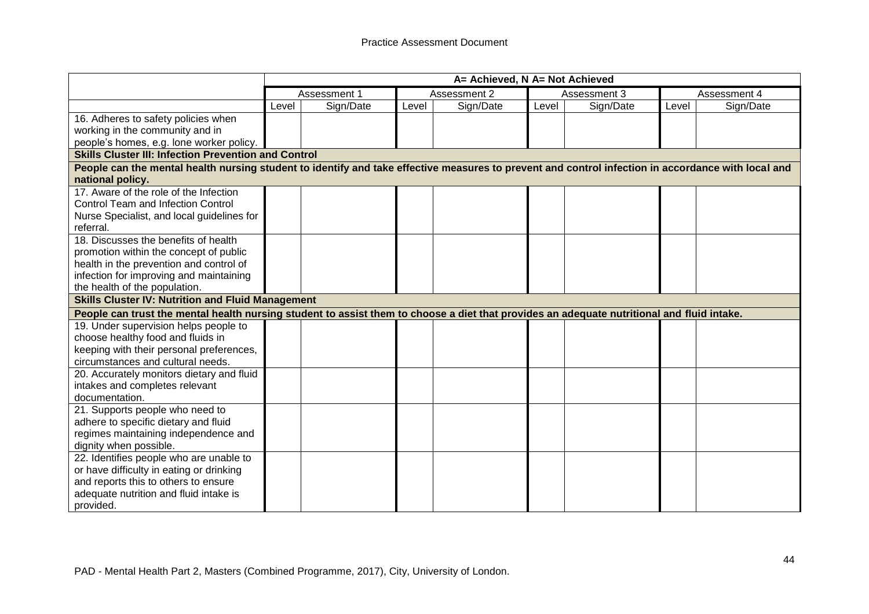|                                                                                                                                                                        |       | A= Achieved, N A= Not Achieved |       |              |       |              |       |              |
|------------------------------------------------------------------------------------------------------------------------------------------------------------------------|-------|--------------------------------|-------|--------------|-------|--------------|-------|--------------|
|                                                                                                                                                                        |       | Assessment 1                   |       | Assessment 2 |       | Assessment 3 |       | Assessment 4 |
|                                                                                                                                                                        | Level | Sign/Date                      | Level | Sign/Date    | Level | Sign/Date    | Level | Sign/Date    |
| 16. Adheres to safety policies when                                                                                                                                    |       |                                |       |              |       |              |       |              |
| working in the community and in                                                                                                                                        |       |                                |       |              |       |              |       |              |
| people's homes, e.g. lone worker policy.                                                                                                                               |       |                                |       |              |       |              |       |              |
| <b>Skills Cluster III: Infection Prevention and Control</b>                                                                                                            |       |                                |       |              |       |              |       |              |
| People can the mental health nursing student to identify and take effective measures to prevent and control infection in accordance with local and<br>national policy. |       |                                |       |              |       |              |       |              |
| 17. Aware of the role of the Infection                                                                                                                                 |       |                                |       |              |       |              |       |              |
| <b>Control Team and Infection Control</b>                                                                                                                              |       |                                |       |              |       |              |       |              |
| Nurse Specialist, and local guidelines for                                                                                                                             |       |                                |       |              |       |              |       |              |
| referral.                                                                                                                                                              |       |                                |       |              |       |              |       |              |
| 18. Discusses the benefits of health                                                                                                                                   |       |                                |       |              |       |              |       |              |
| promotion within the concept of public                                                                                                                                 |       |                                |       |              |       |              |       |              |
| health in the prevention and control of                                                                                                                                |       |                                |       |              |       |              |       |              |
| infection for improving and maintaining                                                                                                                                |       |                                |       |              |       |              |       |              |
| the health of the population.                                                                                                                                          |       |                                |       |              |       |              |       |              |
| <b>Skills Cluster IV: Nutrition and Fluid Management</b>                                                                                                               |       |                                |       |              |       |              |       |              |
| People can trust the mental health nursing student to assist them to choose a diet that provides an adequate nutritional and fluid intake.                             |       |                                |       |              |       |              |       |              |
| 19. Under supervision helps people to                                                                                                                                  |       |                                |       |              |       |              |       |              |
| choose healthy food and fluids in                                                                                                                                      |       |                                |       |              |       |              |       |              |
| keeping with their personal preferences,                                                                                                                               |       |                                |       |              |       |              |       |              |
| circumstances and cultural needs.                                                                                                                                      |       |                                |       |              |       |              |       |              |
| 20. Accurately monitors dietary and fluid                                                                                                                              |       |                                |       |              |       |              |       |              |
| intakes and completes relevant                                                                                                                                         |       |                                |       |              |       |              |       |              |
| documentation.                                                                                                                                                         |       |                                |       |              |       |              |       |              |
| 21. Supports people who need to                                                                                                                                        |       |                                |       |              |       |              |       |              |
| adhere to specific dietary and fluid                                                                                                                                   |       |                                |       |              |       |              |       |              |
| regimes maintaining independence and                                                                                                                                   |       |                                |       |              |       |              |       |              |
| dignity when possible.                                                                                                                                                 |       |                                |       |              |       |              |       |              |
| 22. Identifies people who are unable to                                                                                                                                |       |                                |       |              |       |              |       |              |
| or have difficulty in eating or drinking                                                                                                                               |       |                                |       |              |       |              |       |              |
| and reports this to others to ensure                                                                                                                                   |       |                                |       |              |       |              |       |              |
| adequate nutrition and fluid intake is                                                                                                                                 |       |                                |       |              |       |              |       |              |
| provided.                                                                                                                                                              |       |                                |       |              |       |              |       |              |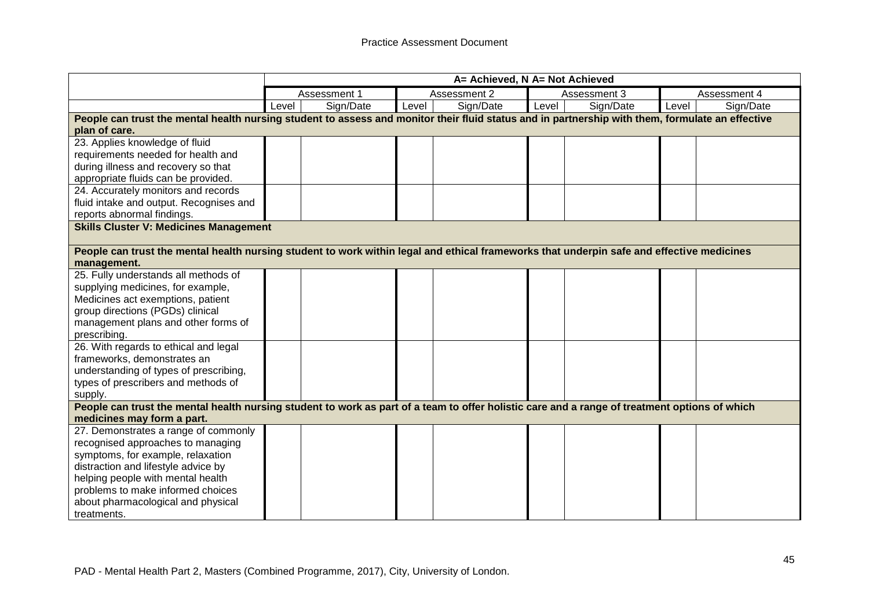|                                                                                                                                                  |       | A= Achieved, N A= Not Achieved |       |              |       |              |       |              |
|--------------------------------------------------------------------------------------------------------------------------------------------------|-------|--------------------------------|-------|--------------|-------|--------------|-------|--------------|
|                                                                                                                                                  |       | Assessment 1                   |       | Assessment 2 |       | Assessment 3 |       | Assessment 4 |
|                                                                                                                                                  | Level | Sign/Date                      | Level | Sign/Date    | Level | Sign/Date    | Level | Sign/Date    |
| People can trust the mental health nursing student to assess and monitor their fluid status and in partnership with them, formulate an effective |       |                                |       |              |       |              |       |              |
| plan of care.                                                                                                                                    |       |                                |       |              |       |              |       |              |
| 23. Applies knowledge of fluid                                                                                                                   |       |                                |       |              |       |              |       |              |
| requirements needed for health and                                                                                                               |       |                                |       |              |       |              |       |              |
| during illness and recovery so that                                                                                                              |       |                                |       |              |       |              |       |              |
| appropriate fluids can be provided.                                                                                                              |       |                                |       |              |       |              |       |              |
| 24. Accurately monitors and records                                                                                                              |       |                                |       |              |       |              |       |              |
| fluid intake and output. Recognises and                                                                                                          |       |                                |       |              |       |              |       |              |
| reports abnormal findings.                                                                                                                       |       |                                |       |              |       |              |       |              |
| <b>Skills Cluster V: Medicines Management</b>                                                                                                    |       |                                |       |              |       |              |       |              |
|                                                                                                                                                  |       |                                |       |              |       |              |       |              |
| People can trust the mental health nursing student to work within legal and ethical frameworks that underpin safe and effective medicines        |       |                                |       |              |       |              |       |              |
| management.                                                                                                                                      |       |                                |       |              |       |              |       |              |
| 25. Fully understands all methods of                                                                                                             |       |                                |       |              |       |              |       |              |
| supplying medicines, for example,                                                                                                                |       |                                |       |              |       |              |       |              |
| Medicines act exemptions, patient                                                                                                                |       |                                |       |              |       |              |       |              |
| group directions (PGDs) clinical                                                                                                                 |       |                                |       |              |       |              |       |              |
| management plans and other forms of                                                                                                              |       |                                |       |              |       |              |       |              |
| prescribing.                                                                                                                                     |       |                                |       |              |       |              |       |              |
| 26. With regards to ethical and legal                                                                                                            |       |                                |       |              |       |              |       |              |
| frameworks, demonstrates an                                                                                                                      |       |                                |       |              |       |              |       |              |
| understanding of types of prescribing,                                                                                                           |       |                                |       |              |       |              |       |              |
| types of prescribers and methods of                                                                                                              |       |                                |       |              |       |              |       |              |
| supply.                                                                                                                                          |       |                                |       |              |       |              |       |              |
| People can trust the mental health nursing student to work as part of a team to offer holistic care and a range of treatment options of which    |       |                                |       |              |       |              |       |              |
| medicines may form a part.                                                                                                                       |       |                                |       |              |       |              |       |              |
| 27. Demonstrates a range of commonly                                                                                                             |       |                                |       |              |       |              |       |              |
| recognised approaches to managing                                                                                                                |       |                                |       |              |       |              |       |              |
| symptoms, for example, relaxation                                                                                                                |       |                                |       |              |       |              |       |              |
| distraction and lifestyle advice by                                                                                                              |       |                                |       |              |       |              |       |              |
| helping people with mental health                                                                                                                |       |                                |       |              |       |              |       |              |
| problems to make informed choices                                                                                                                |       |                                |       |              |       |              |       |              |
| about pharmacological and physical                                                                                                               |       |                                |       |              |       |              |       |              |
| treatments.                                                                                                                                      |       |                                |       |              |       |              |       |              |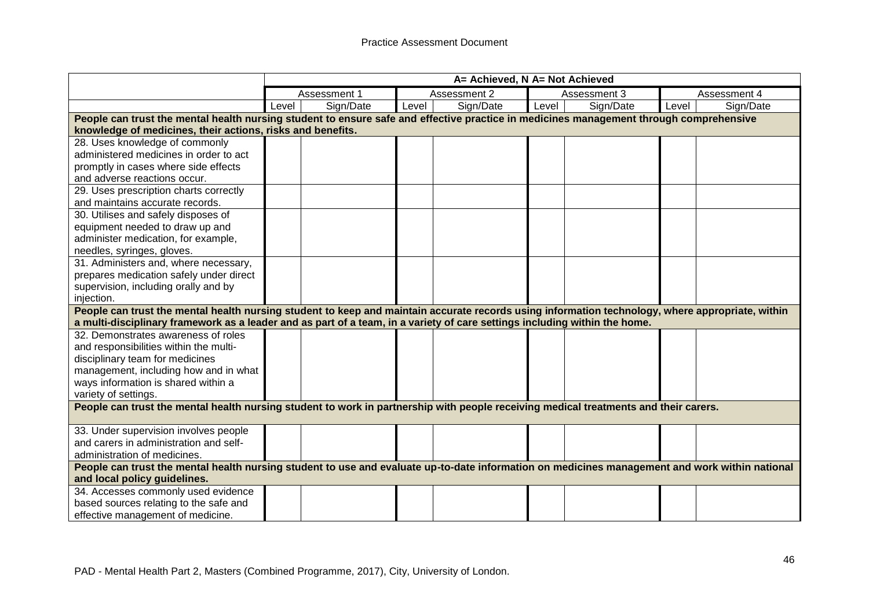|                                                                                                                                                  |              | A= Achieved, N A= Not Achieved |       |              |       |              |              |           |
|--------------------------------------------------------------------------------------------------------------------------------------------------|--------------|--------------------------------|-------|--------------|-------|--------------|--------------|-----------|
|                                                                                                                                                  | Assessment 1 |                                |       | Assessment 2 |       | Assessment 3 | Assessment 4 |           |
|                                                                                                                                                  | Level        | Sign/Date                      | Level | Sign/Date    | Level | Sign/Date    | Level        | Sign/Date |
| People can trust the mental health nursing student to ensure safe and effective practice in medicines management through comprehensive           |              |                                |       |              |       |              |              |           |
| knowledge of medicines, their actions, risks and benefits.                                                                                       |              |                                |       |              |       |              |              |           |
| 28. Uses knowledge of commonly<br>administered medicines in order to act                                                                         |              |                                |       |              |       |              |              |           |
|                                                                                                                                                  |              |                                |       |              |       |              |              |           |
| promptly in cases where side effects<br>and adverse reactions occur.                                                                             |              |                                |       |              |       |              |              |           |
| 29. Uses prescription charts correctly                                                                                                           |              |                                |       |              |       |              |              |           |
| and maintains accurate records.                                                                                                                  |              |                                |       |              |       |              |              |           |
| 30. Utilises and safely disposes of                                                                                                              |              |                                |       |              |       |              |              |           |
| equipment needed to draw up and                                                                                                                  |              |                                |       |              |       |              |              |           |
| administer medication, for example,                                                                                                              |              |                                |       |              |       |              |              |           |
| needles, syringes, gloves.                                                                                                                       |              |                                |       |              |       |              |              |           |
| 31. Administers and, where necessary,                                                                                                            |              |                                |       |              |       |              |              |           |
| prepares medication safely under direct                                                                                                          |              |                                |       |              |       |              |              |           |
| supervision, including orally and by                                                                                                             |              |                                |       |              |       |              |              |           |
| injection.                                                                                                                                       |              |                                |       |              |       |              |              |           |
| People can trust the mental health nursing student to keep and maintain accurate records using information technology, where appropriate, within |              |                                |       |              |       |              |              |           |
| a multi-disciplinary framework as a leader and as part of a team, in a variety of care settings including within the home.                       |              |                                |       |              |       |              |              |           |
| 32. Demonstrates awareness of roles                                                                                                              |              |                                |       |              |       |              |              |           |
| and responsibilities within the multi-                                                                                                           |              |                                |       |              |       |              |              |           |
| disciplinary team for medicines                                                                                                                  |              |                                |       |              |       |              |              |           |
| management, including how and in what                                                                                                            |              |                                |       |              |       |              |              |           |
| ways information is shared within a                                                                                                              |              |                                |       |              |       |              |              |           |
| variety of settings.                                                                                                                             |              |                                |       |              |       |              |              |           |
| People can trust the mental health nursing student to work in partnership with people receiving medical treatments and their carers.             |              |                                |       |              |       |              |              |           |
| 33. Under supervision involves people                                                                                                            |              |                                |       |              |       |              |              |           |
| and carers in administration and self-                                                                                                           |              |                                |       |              |       |              |              |           |
| administration of medicines.                                                                                                                     |              |                                |       |              |       |              |              |           |
| People can trust the mental health nursing student to use and evaluate up-to-date information on medicines management and work within national   |              |                                |       |              |       |              |              |           |
| and local policy guidelines.                                                                                                                     |              |                                |       |              |       |              |              |           |
| 34. Accesses commonly used evidence                                                                                                              |              |                                |       |              |       |              |              |           |
| based sources relating to the safe and                                                                                                           |              |                                |       |              |       |              |              |           |
| effective management of medicine.                                                                                                                |              |                                |       |              |       |              |              |           |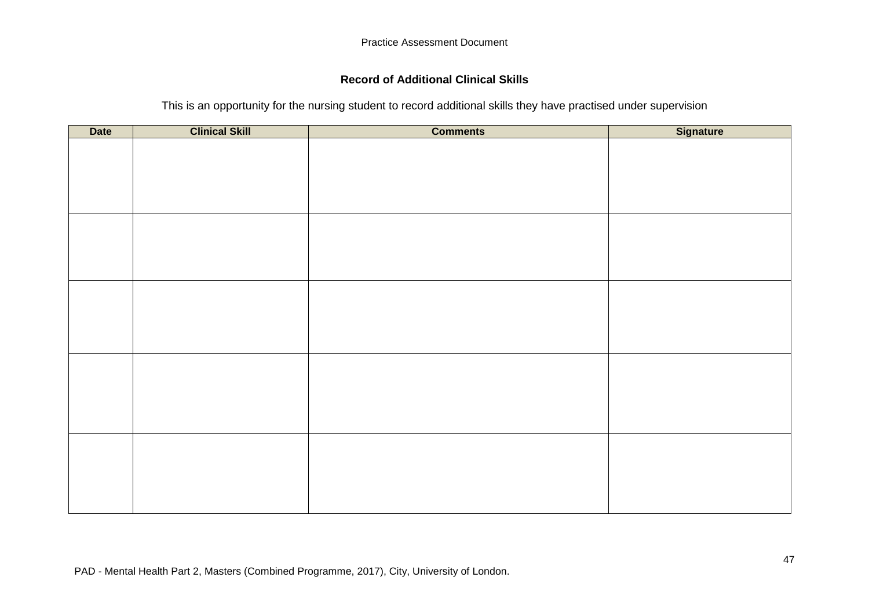## **Record of Additional Clinical Skills**

### This is an opportunity for the nursing student to record additional skills they have practised under supervision

| <b>Date</b> | <b>Clinical Skill</b> | <b>Comments</b> | <b>Signature</b> |
|-------------|-----------------------|-----------------|------------------|
|             |                       |                 |                  |
|             |                       |                 |                  |
|             |                       |                 |                  |
|             |                       |                 |                  |
|             |                       |                 |                  |
|             |                       |                 |                  |
|             |                       |                 |                  |
|             |                       |                 |                  |
|             |                       |                 |                  |
|             |                       |                 |                  |
|             |                       |                 |                  |
|             |                       |                 |                  |
|             |                       |                 |                  |
|             |                       |                 |                  |
|             |                       |                 |                  |
|             |                       |                 |                  |
|             |                       |                 |                  |
|             |                       |                 |                  |
|             |                       |                 |                  |
|             |                       |                 |                  |
|             |                       |                 |                  |
|             |                       |                 |                  |
|             |                       |                 |                  |
|             |                       |                 |                  |
|             |                       |                 |                  |
|             |                       |                 |                  |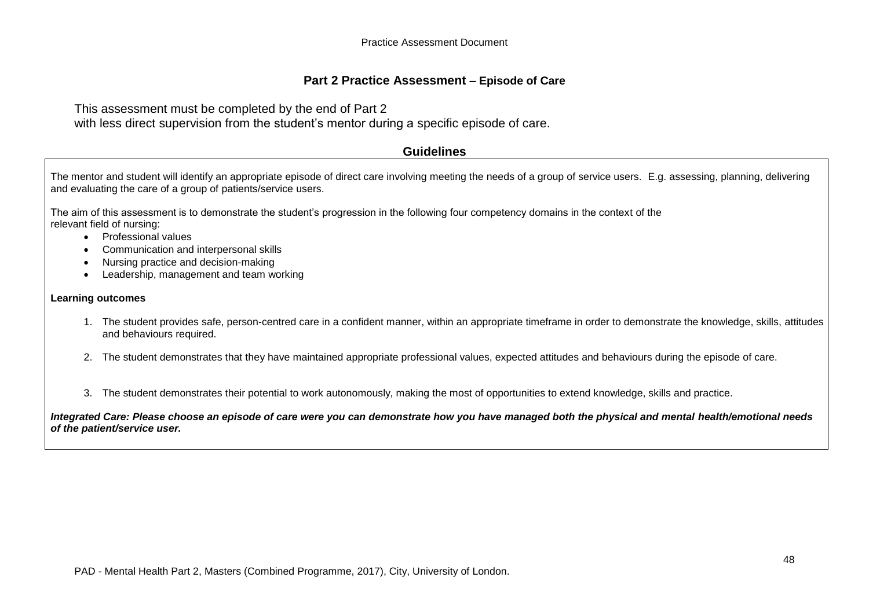### **Part 2 Practice Assessment – Episode of Care**

This assessment must be completed by the end of Part 2 with less direct supervision from the student's mentor during a specific episode of care.

#### **Guidelines**

The mentor and student will identify an appropriate episode of direct care involving meeting the needs of a group of service users. E.g. assessing, planning, delivering and evaluating the care of a group of patients/service users.

The aim of this assessment is to demonstrate the student's progression in the following four competency domains in the context of the relevant field of nursing:

- Professional values
- Communication and interpersonal skills
- Nursing practice and decision-making
- Leadership, management and team working

#### **Learning outcomes**

- 1. The student provides safe, person-centred care in a confident manner, within an appropriate timeframe in order to demonstrate the knowledge, skills, attitudes and behaviours required.
- 2. The student demonstrates that they have maintained appropriate professional values, expected attitudes and behaviours during the episode of care.
- 3. The student demonstrates their potential to work autonomously, making the most of opportunities to extend knowledge, skills and practice.

*Integrated Care: Please choose an episode of care were you can demonstrate how you have managed both the physical and mental health/emotional needs of the patient/service user.*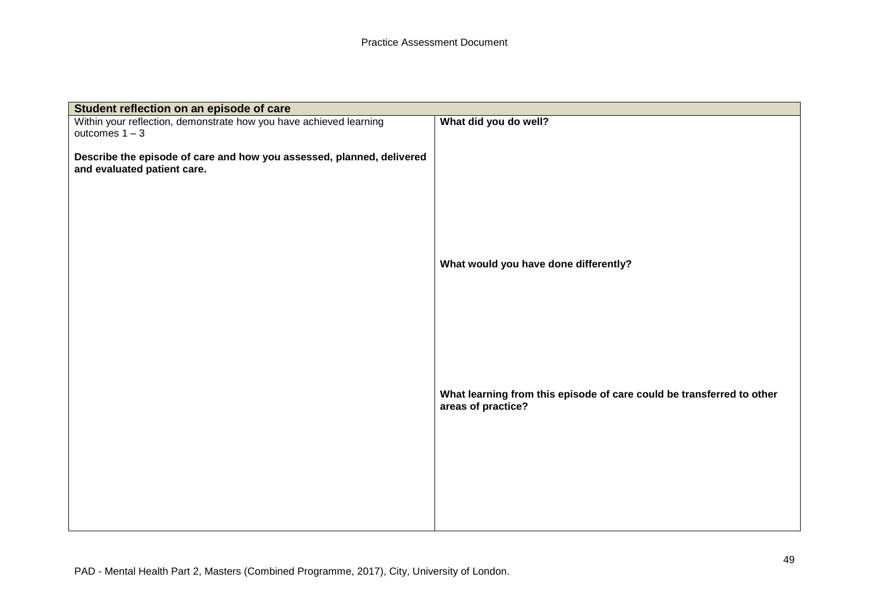| Student reflection on an episode of care                                                             |                                                                                             |
|------------------------------------------------------------------------------------------------------|---------------------------------------------------------------------------------------------|
| Within your reflection, demonstrate how you have achieved learning                                   | What did you do well?                                                                       |
| outcomes $1 - 3$                                                                                     |                                                                                             |
| Describe the episode of care and how you assessed, planned, delivered<br>and evaluated patient care. |                                                                                             |
|                                                                                                      |                                                                                             |
|                                                                                                      |                                                                                             |
|                                                                                                      | What would you have done differently?                                                       |
|                                                                                                      |                                                                                             |
|                                                                                                      |                                                                                             |
|                                                                                                      |                                                                                             |
|                                                                                                      | What learning from this episode of care could be transferred to other<br>areas of practice? |
|                                                                                                      |                                                                                             |
|                                                                                                      |                                                                                             |
|                                                                                                      |                                                                                             |
|                                                                                                      |                                                                                             |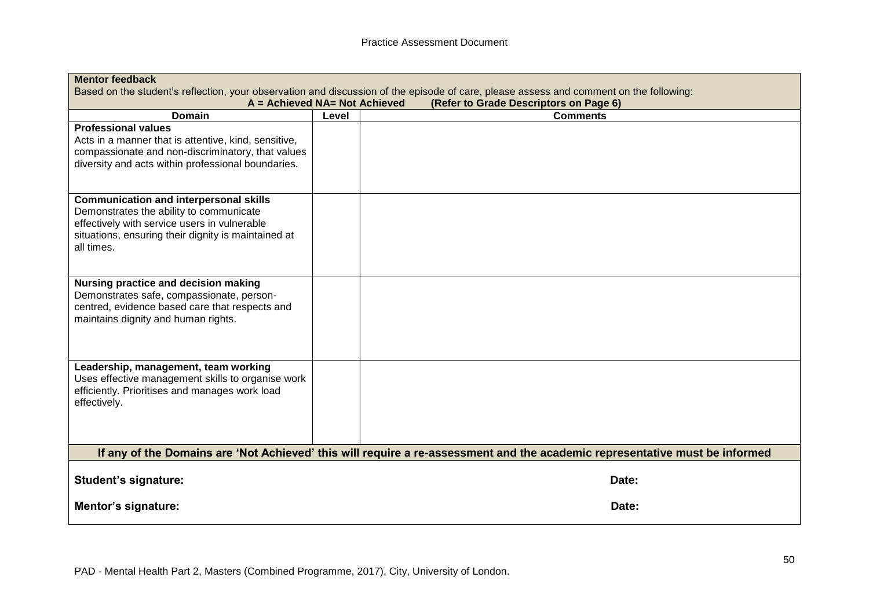| <b>Mentor feedback</b>                                                                                                                                                                                        |                               |                                                                                                                             |  |  |  |  |  |
|---------------------------------------------------------------------------------------------------------------------------------------------------------------------------------------------------------------|-------------------------------|-----------------------------------------------------------------------------------------------------------------------------|--|--|--|--|--|
| Based on the student's reflection, your observation and discussion of the episode of care, please assess and comment on the following:                                                                        |                               |                                                                                                                             |  |  |  |  |  |
|                                                                                                                                                                                                               | A = Achieved NA= Not Achieved | (Refer to Grade Descriptors on Page 6)                                                                                      |  |  |  |  |  |
| <b>Domain</b>                                                                                                                                                                                                 | Level                         | <b>Comments</b>                                                                                                             |  |  |  |  |  |
| <b>Professional values</b><br>Acts in a manner that is attentive, kind, sensitive,<br>compassionate and non-discriminatory, that values<br>diversity and acts within professional boundaries.                 |                               |                                                                                                                             |  |  |  |  |  |
| <b>Communication and interpersonal skills</b><br>Demonstrates the ability to communicate<br>effectively with service users in vulnerable<br>situations, ensuring their dignity is maintained at<br>all times. |                               |                                                                                                                             |  |  |  |  |  |
| Nursing practice and decision making<br>Demonstrates safe, compassionate, person-<br>centred, evidence based care that respects and<br>maintains dignity and human rights.                                    |                               |                                                                                                                             |  |  |  |  |  |
| Leadership, management, team working<br>Uses effective management skills to organise work<br>efficiently. Prioritises and manages work load<br>effectively.                                                   |                               |                                                                                                                             |  |  |  |  |  |
|                                                                                                                                                                                                               |                               | If any of the Domains are 'Not Achieved' this will require a re-assessment and the academic representative must be informed |  |  |  |  |  |
| <b>Student's signature:</b>                                                                                                                                                                                   |                               | Date:                                                                                                                       |  |  |  |  |  |
| Mentor's signature:                                                                                                                                                                                           |                               | Date:                                                                                                                       |  |  |  |  |  |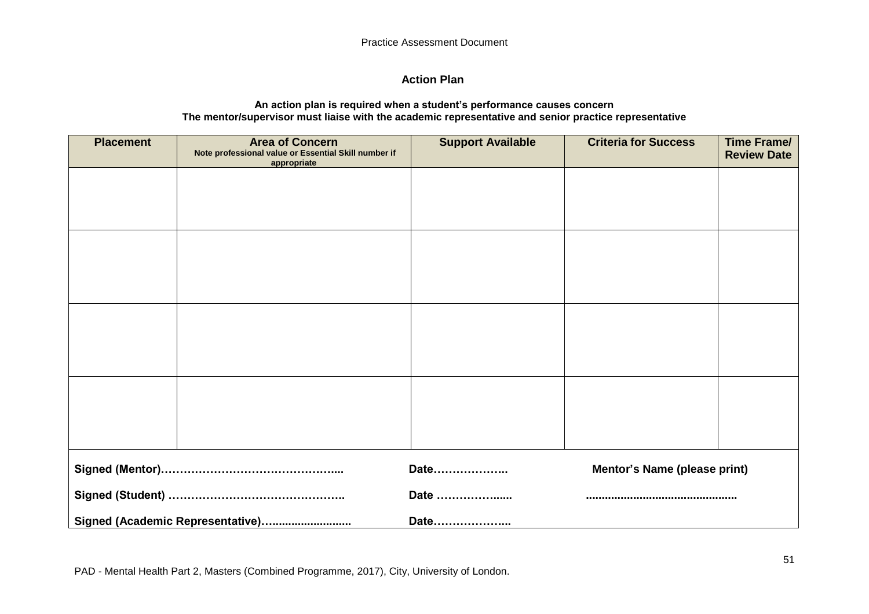## **Action Plan**

#### **An action plan is required when a student's performance causes concern The mentor/supervisor must liaise with the academic representative and senior practice representative**

| <b>Placement</b> | <b>Area of Concern</b><br>Note professional value or Essential Skill number if<br>appropriate | <b>Support Available</b> | <b>Criteria for Success</b>  | <b>Time Frame/</b><br><b>Review Date</b> |
|------------------|-----------------------------------------------------------------------------------------------|--------------------------|------------------------------|------------------------------------------|
|                  |                                                                                               |                          |                              |                                          |
|                  |                                                                                               |                          |                              |                                          |
|                  |                                                                                               |                          |                              |                                          |
|                  |                                                                                               |                          |                              |                                          |
|                  |                                                                                               |                          |                              |                                          |
|                  |                                                                                               |                          |                              |                                          |
|                  |                                                                                               |                          |                              |                                          |
|                  |                                                                                               |                          |                              |                                          |
|                  |                                                                                               |                          |                              |                                          |
|                  |                                                                                               | Date                     | Mentor's Name (please print) |                                          |
|                  |                                                                                               | Date                     |                              |                                          |
|                  | Signed (Academic Representative)                                                              | Date                     |                              |                                          |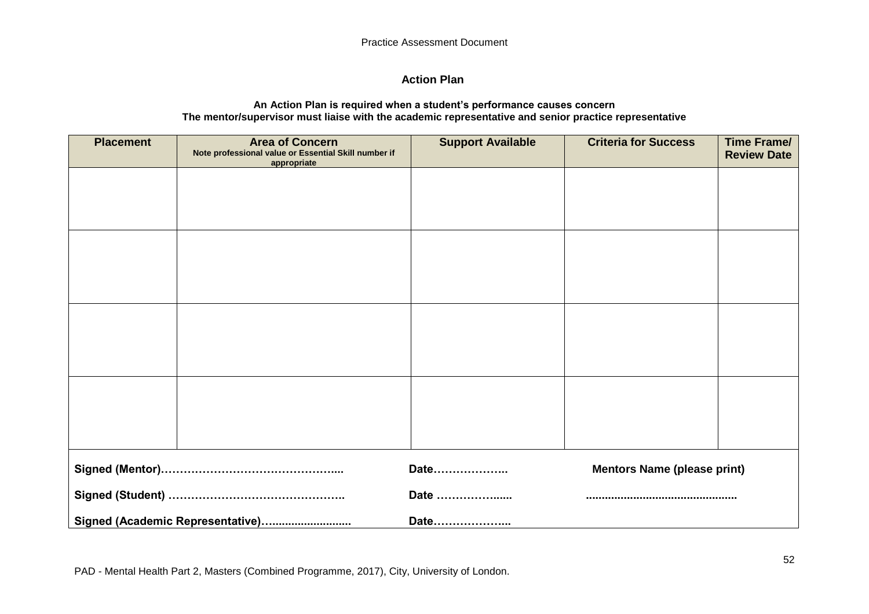## **Action Plan**

#### **An Action Plan is required when a student's performance causes concern The mentor/supervisor must liaise with the academic representative and senior practice representative**

| <b>Placement</b> | <b>Area of Concern</b><br>Note professional value or Essential Skill number if<br>appropriate | <b>Support Available</b> | <b>Criteria for Success</b>        | <b>Time Frame/</b><br><b>Review Date</b> |
|------------------|-----------------------------------------------------------------------------------------------|--------------------------|------------------------------------|------------------------------------------|
|                  |                                                                                               |                          |                                    |                                          |
|                  |                                                                                               |                          |                                    |                                          |
|                  |                                                                                               |                          |                                    |                                          |
|                  |                                                                                               |                          |                                    |                                          |
|                  |                                                                                               |                          |                                    |                                          |
|                  |                                                                                               |                          |                                    |                                          |
|                  |                                                                                               |                          |                                    |                                          |
|                  |                                                                                               |                          |                                    |                                          |
|                  |                                                                                               |                          |                                    |                                          |
|                  |                                                                                               |                          |                                    |                                          |
|                  |                                                                                               | Date                     | <b>Mentors Name (please print)</b> |                                          |
|                  |                                                                                               | Date                     |                                    |                                          |
|                  | Signed (Academic Representative)                                                              | Date                     |                                    |                                          |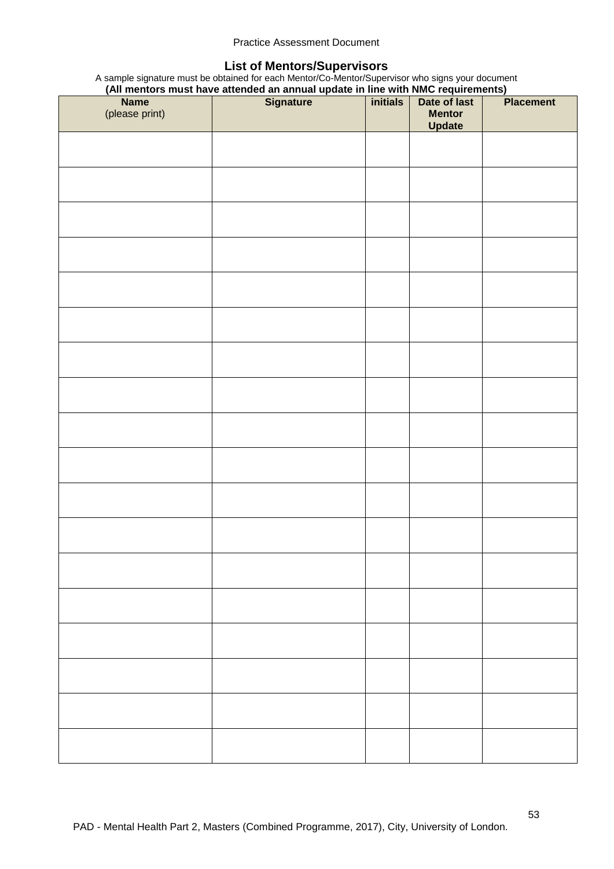#### **List of Mentors/Supervisors**

A sample signature must be obtained for each Mentor/Co-Mentor/Supervisor who signs your document

|  | (All mentors must have attended an annual update in line with NMC requirements) |  |  |  |
|--|---------------------------------------------------------------------------------|--|--|--|
|  |                                                                                 |  |  |  |

| Name<br>(please print) | Name Signature initials Date of last | <b>Mentor</b><br><b>Update</b> | <b>Placement</b> |
|------------------------|--------------------------------------|--------------------------------|------------------|
|                        |                                      |                                |                  |
|                        |                                      |                                |                  |
|                        |                                      |                                |                  |
|                        |                                      |                                |                  |
|                        |                                      |                                |                  |
|                        |                                      |                                |                  |
|                        |                                      |                                |                  |
|                        |                                      |                                |                  |
|                        |                                      |                                |                  |
|                        |                                      |                                |                  |
|                        |                                      |                                |                  |
|                        |                                      |                                |                  |
|                        |                                      |                                |                  |
|                        |                                      |                                |                  |
|                        |                                      |                                |                  |
|                        |                                      |                                |                  |
|                        |                                      |                                |                  |
|                        |                                      |                                |                  |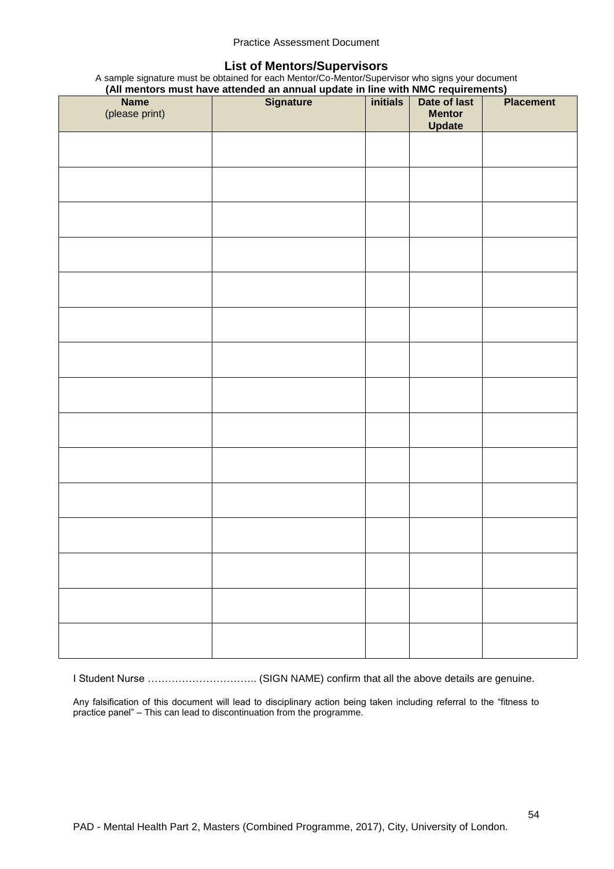#### **List of Mentors/Supervisors**

A sample signature must be obtained for each Mentor/Co-Mentor/Supervisor who signs your document

|  | (All mentors must have attended an annual update in line with NMC requirements) |  |  |
|--|---------------------------------------------------------------------------------|--|--|
|  |                                                                                 |  |  |

| Name<br>(please print) | (An incritor's must have attended an annual update in line with runo requirements)<br><b>Signature</b> | initials | Date of last<br><b>Mentor</b><br><b>Update</b> | <b>Placement</b> |
|------------------------|--------------------------------------------------------------------------------------------------------|----------|------------------------------------------------|------------------|
|                        |                                                                                                        |          |                                                |                  |
|                        |                                                                                                        |          |                                                |                  |
|                        |                                                                                                        |          |                                                |                  |
|                        |                                                                                                        |          |                                                |                  |
|                        |                                                                                                        |          |                                                |                  |
|                        |                                                                                                        |          |                                                |                  |
|                        |                                                                                                        |          |                                                |                  |
|                        |                                                                                                        |          |                                                |                  |
|                        |                                                                                                        |          |                                                |                  |
|                        |                                                                                                        |          |                                                |                  |
|                        |                                                                                                        |          |                                                |                  |
|                        |                                                                                                        |          |                                                |                  |
|                        |                                                                                                        |          |                                                |                  |
|                        |                                                                                                        |          |                                                |                  |
|                        |                                                                                                        |          |                                                |                  |

I Student Nurse ………………………….. (SIGN NAME) confirm that all the above details are genuine.

Any falsification of this document will lead to disciplinary action being taken including referral to the "fitness to practice panel" – This can lead to discontinuation from the programme.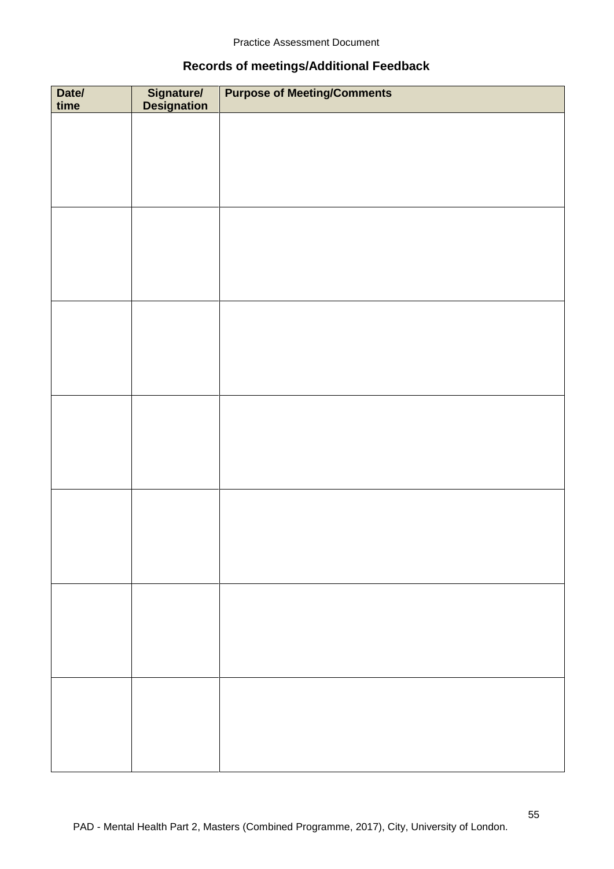## **Records of meetings/Additional Feedback**

| Date/<br>time | Signature/<br>Designation | <b>Purpose of Meeting/Comments</b> |
|---------------|---------------------------|------------------------------------|
|               |                           |                                    |
|               |                           |                                    |
|               |                           |                                    |
|               |                           |                                    |
|               |                           |                                    |
|               |                           |                                    |
|               |                           |                                    |
|               |                           |                                    |
|               |                           |                                    |
|               |                           |                                    |
|               |                           |                                    |
|               |                           |                                    |
|               |                           |                                    |
|               |                           |                                    |
|               |                           |                                    |
|               |                           |                                    |
|               |                           |                                    |
|               |                           |                                    |
|               |                           |                                    |
|               |                           |                                    |
|               |                           |                                    |
|               |                           |                                    |
|               |                           |                                    |
|               |                           |                                    |
|               |                           |                                    |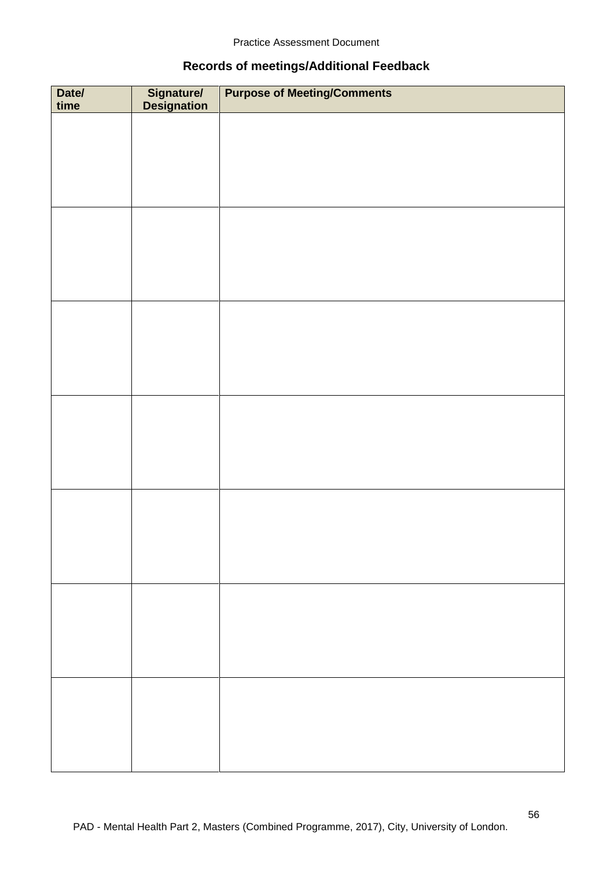## **Records of meetings/Additional Feedback**

| Date/<br>time | Signature/<br>Designation | <b>Purpose of Meeting/Comments</b> |
|---------------|---------------------------|------------------------------------|
|               |                           |                                    |
|               |                           |                                    |
|               |                           |                                    |
|               |                           |                                    |
|               |                           |                                    |
|               |                           |                                    |
|               |                           |                                    |
|               |                           |                                    |
|               |                           |                                    |
|               |                           |                                    |
|               |                           |                                    |
|               |                           |                                    |
|               |                           |                                    |
|               |                           |                                    |
|               |                           |                                    |
|               |                           |                                    |
|               |                           |                                    |
|               |                           |                                    |
|               |                           |                                    |
|               |                           |                                    |
|               |                           |                                    |
|               |                           |                                    |
|               |                           |                                    |
|               |                           |                                    |
|               |                           |                                    |
|               |                           |                                    |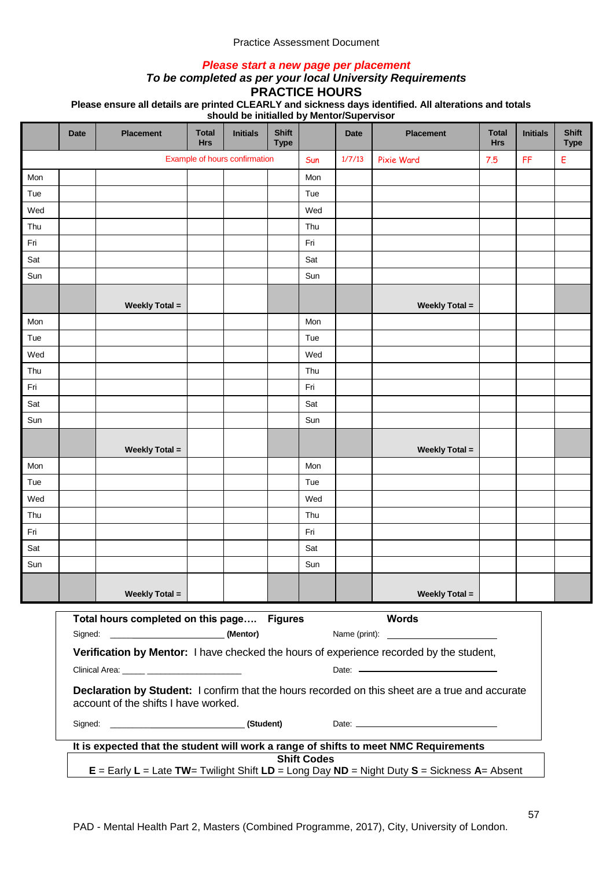#### *Please start a new page per placement*

#### *To be completed as per your local University Requirements* **PRACTICE HOURS**

|     |             |                                            |                            | should be imitialled by Menton'Supervisor |                             |                    |             |                                                                                                                                                                                                           |                            |                 |                             |
|-----|-------------|--------------------------------------------|----------------------------|-------------------------------------------|-----------------------------|--------------------|-------------|-----------------------------------------------------------------------------------------------------------------------------------------------------------------------------------------------------------|----------------------------|-----------------|-----------------------------|
|     | <b>Date</b> | <b>Placement</b>                           | <b>Total</b><br><b>Hrs</b> | <b>Initials</b>                           | <b>Shift</b><br><b>Type</b> |                    | <b>Date</b> | <b>Placement</b>                                                                                                                                                                                          | <b>Total</b><br><b>Hrs</b> | <b>Initials</b> | <b>Shift</b><br><b>Type</b> |
|     |             |                                            |                            | Example of hours confirmation             |                             | Sun                | 1/7/13      | Pixie Ward                                                                                                                                                                                                | 7.5                        | FF              | Е                           |
| Mon |             |                                            |                            |                                           |                             | Mon                |             |                                                                                                                                                                                                           |                            |                 |                             |
| Tue |             |                                            |                            |                                           |                             | Tue                |             |                                                                                                                                                                                                           |                            |                 |                             |
| Wed |             |                                            |                            |                                           |                             | Wed                |             |                                                                                                                                                                                                           |                            |                 |                             |
| Thu |             |                                            |                            |                                           |                             | Thu                |             |                                                                                                                                                                                                           |                            |                 |                             |
| Fri |             |                                            |                            |                                           |                             | Fri                |             |                                                                                                                                                                                                           |                            |                 |                             |
| Sat |             |                                            |                            |                                           |                             | Sat                |             |                                                                                                                                                                                                           |                            |                 |                             |
| Sun |             |                                            |                            |                                           |                             | Sun                |             |                                                                                                                                                                                                           |                            |                 |                             |
|     |             | <b>Weekly Total =</b>                      |                            |                                           |                             |                    |             | <b>Weekly Total =</b>                                                                                                                                                                                     |                            |                 |                             |
| Mon |             |                                            |                            |                                           |                             | Mon                |             |                                                                                                                                                                                                           |                            |                 |                             |
| Tue |             |                                            |                            |                                           |                             | Tue                |             |                                                                                                                                                                                                           |                            |                 |                             |
| Wed |             |                                            |                            |                                           |                             | Wed                |             |                                                                                                                                                                                                           |                            |                 |                             |
| Thu |             |                                            |                            |                                           |                             | Thu                |             |                                                                                                                                                                                                           |                            |                 |                             |
| Fri |             |                                            |                            |                                           |                             | Fri                |             |                                                                                                                                                                                                           |                            |                 |                             |
| Sat |             |                                            |                            |                                           |                             | Sat                |             |                                                                                                                                                                                                           |                            |                 |                             |
| Sun |             |                                            |                            |                                           |                             | Sun                |             |                                                                                                                                                                                                           |                            |                 |                             |
|     |             | <b>Weekly Total =</b>                      |                            |                                           |                             |                    |             | <b>Weekly Total =</b>                                                                                                                                                                                     |                            |                 |                             |
| Mon |             |                                            |                            |                                           |                             | Mon                |             |                                                                                                                                                                                                           |                            |                 |                             |
| Tue |             |                                            |                            |                                           |                             | Tue                |             |                                                                                                                                                                                                           |                            |                 |                             |
| Wed |             |                                            |                            |                                           |                             | Wed                |             |                                                                                                                                                                                                           |                            |                 |                             |
| Thu |             |                                            |                            |                                           |                             | Thu                |             |                                                                                                                                                                                                           |                            |                 |                             |
| Fri |             |                                            |                            |                                           |                             | Fri                |             |                                                                                                                                                                                                           |                            |                 |                             |
| Sat |             |                                            |                            |                                           |                             | Sat                |             |                                                                                                                                                                                                           |                            |                 |                             |
| Sun |             |                                            |                            |                                           |                             | Sun                |             |                                                                                                                                                                                                           |                            |                 |                             |
|     |             | <b>Weekly Total =</b>                      |                            |                                           |                             |                    |             | <b>Weekly Total =</b>                                                                                                                                                                                     |                            |                 |                             |
|     |             | Total hours completed on this page Figures |                            | (Mentor)                                  |                             |                    |             | <b>Words</b><br>Name (print): Name (print):                                                                                                                                                               |                            |                 |                             |
|     |             |                                            |                            |                                           |                             |                    |             | Verification by Mentor: I have checked the hours of experience recorded by the student,<br>Date: Note: Note: Note: Note: Note: Note: Note: Note: Note: Note: Note: Note: Note: Note: Note: Note: Note: No |                            |                 |                             |
|     |             |                                            |                            |                                           |                             |                    |             |                                                                                                                                                                                                           |                            |                 |                             |
|     |             | account of the shifts I have worked.       |                            |                                           |                             |                    |             | Declaration by Student: I confirm that the hours recorded on this sheet are a true and accurate                                                                                                           |                            |                 |                             |
|     |             |                                            |                            |                                           |                             |                    |             |                                                                                                                                                                                                           |                            |                 |                             |
|     |             |                                            |                            |                                           |                             |                    |             | It is expected that the student will work a range of shifts to meet NMC Requirements                                                                                                                      |                            |                 |                             |
|     |             |                                            |                            |                                           |                             | <b>Shift Codes</b> |             | $E =$ Early L = Late TW= Twilight Shift LD = Long Day ND = Night Duty S = Sickness A= Absent                                                                                                              |                            |                 |                             |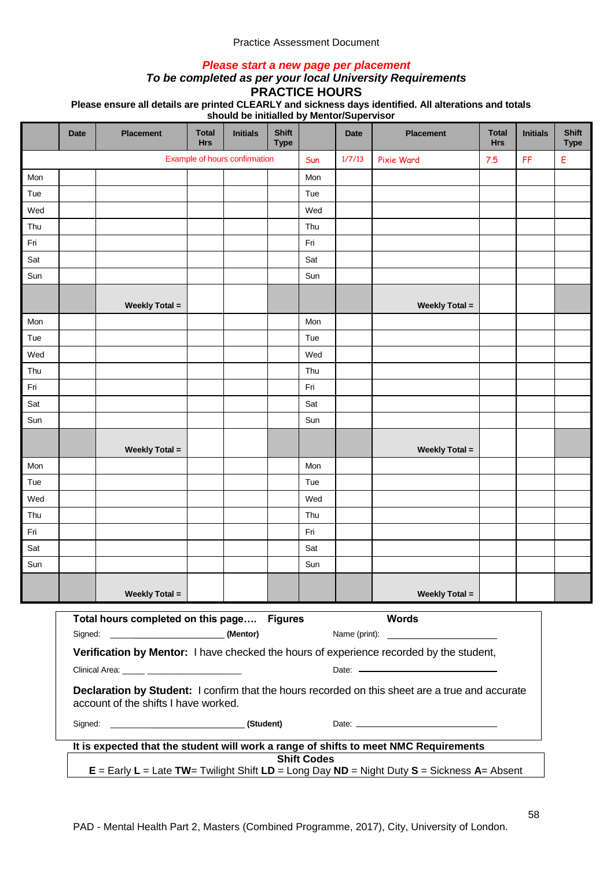#### *Please start a new page per placement*

#### *To be completed as per your local University Requirements* **PRACTICE HOURS**

|     |             |                                                      |                            | should be imitalied by Memor/Supervisor |                             |                    |             |                                                                                                 |                            |                 |                             |
|-----|-------------|------------------------------------------------------|----------------------------|-----------------------------------------|-----------------------------|--------------------|-------------|-------------------------------------------------------------------------------------------------|----------------------------|-----------------|-----------------------------|
|     | <b>Date</b> | <b>Placement</b>                                     | <b>Total</b><br><b>Hrs</b> | <b>Initials</b>                         | <b>Shift</b><br><b>Type</b> |                    | <b>Date</b> | <b>Placement</b>                                                                                | <b>Total</b><br><b>Hrs</b> | <b>Initials</b> | <b>Shift</b><br><b>Type</b> |
|     |             |                                                      |                            | Example of hours confirmation           |                             | Sun                | 1/7/13      | <b>Pixie Ward</b>                                                                               | 7.5                        | FF              | Е                           |
| Mon |             |                                                      |                            |                                         |                             | Mon                |             |                                                                                                 |                            |                 |                             |
| Tue |             |                                                      |                            |                                         |                             | Tue                |             |                                                                                                 |                            |                 |                             |
| Wed |             |                                                      |                            |                                         |                             | Wed                |             |                                                                                                 |                            |                 |                             |
| Thu |             |                                                      |                            |                                         |                             | Thu                |             |                                                                                                 |                            |                 |                             |
| Fri |             |                                                      |                            |                                         |                             | Fri                |             |                                                                                                 |                            |                 |                             |
| Sat |             |                                                      |                            |                                         |                             | Sat                |             |                                                                                                 |                            |                 |                             |
| Sun |             |                                                      |                            |                                         |                             | Sun                |             |                                                                                                 |                            |                 |                             |
|     |             | <b>Weekly Total =</b>                                |                            |                                         |                             |                    |             | <b>Weekly Total =</b>                                                                           |                            |                 |                             |
| Mon |             |                                                      |                            |                                         |                             | Mon                |             |                                                                                                 |                            |                 |                             |
| Tue |             |                                                      |                            |                                         |                             | Tue                |             |                                                                                                 |                            |                 |                             |
| Wed |             |                                                      |                            |                                         |                             | Wed                |             |                                                                                                 |                            |                 |                             |
| Thu |             |                                                      |                            |                                         |                             | Thu                |             |                                                                                                 |                            |                 |                             |
| Fri |             |                                                      |                            |                                         |                             | Fri                |             |                                                                                                 |                            |                 |                             |
| Sat |             |                                                      |                            |                                         |                             | Sat                |             |                                                                                                 |                            |                 |                             |
| Sun |             |                                                      |                            |                                         |                             | Sun                |             |                                                                                                 |                            |                 |                             |
|     |             | <b>Weekly Total =</b>                                |                            |                                         |                             |                    |             | <b>Weekly Total =</b>                                                                           |                            |                 |                             |
| Mon |             |                                                      |                            |                                         |                             | Mon                |             |                                                                                                 |                            |                 |                             |
| Tue |             |                                                      |                            |                                         |                             | Tue                |             |                                                                                                 |                            |                 |                             |
| Wed |             |                                                      |                            |                                         |                             | Wed                |             |                                                                                                 |                            |                 |                             |
| Thu |             |                                                      |                            |                                         |                             | Thu                |             |                                                                                                 |                            |                 |                             |
| Fri |             |                                                      |                            |                                         |                             | Fri                |             |                                                                                                 |                            |                 |                             |
| Sat |             |                                                      |                            |                                         |                             | Sat                |             |                                                                                                 |                            |                 |                             |
| Sun |             |                                                      |                            |                                         |                             | Sun                |             |                                                                                                 |                            |                 |                             |
|     |             | <b>Weekly Total =</b>                                |                            |                                         |                             |                    |             | <b>Weekly Total =</b>                                                                           |                            |                 |                             |
|     |             | Total hours completed on this page Figures           |                            |                                         |                             |                    |             | <b>Words</b><br>Name (print):                                                                   |                            |                 |                             |
|     |             | Clinical Area: <u>_____</u> ________________________ |                            |                                         |                             |                    |             | Verification by Mentor: I have checked the hours of experience recorded by the student,         |                            |                 |                             |
|     |             | account of the shifts I have worked.                 |                            |                                         |                             |                    |             | Declaration by Student: I confirm that the hours recorded on this sheet are a true and accurate |                            |                 |                             |
|     |             |                                                      |                            |                                         |                             |                    |             |                                                                                                 |                            |                 |                             |
|     |             |                                                      |                            |                                         |                             | <b>Shift Codes</b> |             | It is expected that the student will work a range of shifts to meet NMC Requirements            |                            |                 |                             |
|     |             |                                                      |                            |                                         |                             |                    |             | $E =$ Early L = Late TW= Twilight Shift LD = Long Day ND = Night Duty S = Sickness A= Absent    |                            |                 |                             |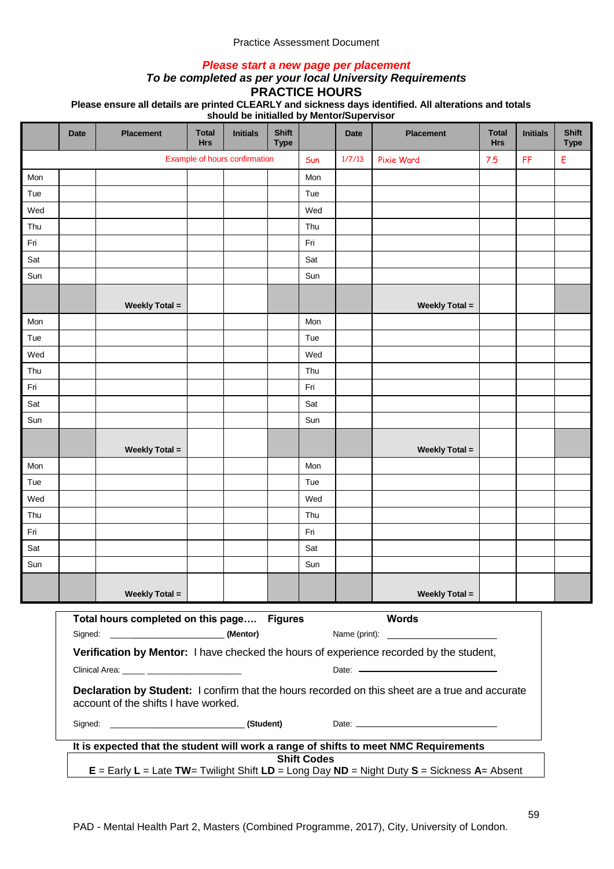#### *Please start a new page per placement*

#### *To be completed as per your local University Requirements* **PRACTICE HOURS**

|     |             |                                                      |                            | should be imitiality by Memor/Supervisor |                             |                    |             |                                                                                                  |                            |                 |                             |
|-----|-------------|------------------------------------------------------|----------------------------|------------------------------------------|-----------------------------|--------------------|-------------|--------------------------------------------------------------------------------------------------|----------------------------|-----------------|-----------------------------|
|     | <b>Date</b> | <b>Placement</b>                                     | <b>Total</b><br><b>Hrs</b> | <b>Initials</b>                          | <b>Shift</b><br><b>Type</b> |                    | <b>Date</b> | <b>Placement</b>                                                                                 | <b>Total</b><br><b>Hrs</b> | <b>Initials</b> | <b>Shift</b><br><b>Type</b> |
|     |             |                                                      |                            | Example of hours confirmation            |                             | Sun                | 1/7/13      | <b>Pixie Ward</b>                                                                                | 7.5                        | FF              | E                           |
| Mon |             |                                                      |                            |                                          |                             | Mon                |             |                                                                                                  |                            |                 |                             |
| Tue |             |                                                      |                            |                                          |                             | Tue                |             |                                                                                                  |                            |                 |                             |
| Wed |             |                                                      |                            |                                          |                             | Wed                |             |                                                                                                  |                            |                 |                             |
| Thu |             |                                                      |                            |                                          |                             | Thu                |             |                                                                                                  |                            |                 |                             |
| Fri |             |                                                      |                            |                                          |                             | Fri                |             |                                                                                                  |                            |                 |                             |
| Sat |             |                                                      |                            |                                          |                             | Sat                |             |                                                                                                  |                            |                 |                             |
| Sun |             |                                                      |                            |                                          |                             | Sun                |             |                                                                                                  |                            |                 |                             |
|     |             | <b>Weekly Total =</b>                                |                            |                                          |                             |                    |             | <b>Weekly Total =</b>                                                                            |                            |                 |                             |
| Mon |             |                                                      |                            |                                          |                             | Mon                |             |                                                                                                  |                            |                 |                             |
| Tue |             |                                                      |                            |                                          |                             | Tue                |             |                                                                                                  |                            |                 |                             |
| Wed |             |                                                      |                            |                                          |                             | Wed                |             |                                                                                                  |                            |                 |                             |
| Thu |             |                                                      |                            |                                          |                             | Thu                |             |                                                                                                  |                            |                 |                             |
| Fri |             |                                                      |                            |                                          |                             | Fri                |             |                                                                                                  |                            |                 |                             |
| Sat |             |                                                      |                            |                                          |                             | Sat                |             |                                                                                                  |                            |                 |                             |
| Sun |             |                                                      |                            |                                          |                             | Sun                |             |                                                                                                  |                            |                 |                             |
|     |             | <b>Weekly Total =</b>                                |                            |                                          |                             |                    |             | <b>Weekly Total =</b>                                                                            |                            |                 |                             |
| Mon |             |                                                      |                            |                                          |                             | Mon                |             |                                                                                                  |                            |                 |                             |
| Tue |             |                                                      |                            |                                          |                             | Tue                |             |                                                                                                  |                            |                 |                             |
| Wed |             |                                                      |                            |                                          |                             | Wed                |             |                                                                                                  |                            |                 |                             |
| Thu |             |                                                      |                            |                                          |                             | Thu                |             |                                                                                                  |                            |                 |                             |
| Fri |             |                                                      |                            |                                          |                             | Fri                |             |                                                                                                  |                            |                 |                             |
| Sat |             |                                                      |                            |                                          |                             | Sat                |             |                                                                                                  |                            |                 |                             |
| Sun |             |                                                      |                            |                                          |                             | Sun                |             |                                                                                                  |                            |                 |                             |
|     |             | <b>Weekly Total =</b>                                |                            |                                          |                             |                    |             | <b>Weekly Total =</b>                                                                            |                            |                 |                             |
|     |             | Total hours completed on this page Figures           |                            |                                          |                             |                    |             | <b>Words</b><br>Name (print):                                                                    |                            |                 |                             |
|     |             | Clinical Area: <u>_____</u> ________________________ |                            |                                          |                             |                    |             | Verification by Mentor: I have checked the hours of experience recorded by the student,          |                            |                 |                             |
|     |             | account of the shifts I have worked.                 |                            |                                          |                             |                    |             | Declaration by Student: I confirm that the hours recorded on this sheet are a true and accurate  |                            |                 |                             |
|     |             |                                                      |                            |                                          |                             |                    |             |                                                                                                  |                            |                 |                             |
|     |             |                                                      |                            |                                          |                             | <b>Shift Codes</b> |             | It is expected that the student will work a range of shifts to meet NMC Requirements             |                            |                 |                             |
|     |             |                                                      |                            |                                          |                             |                    |             | $E =$ Early $L =$ Late TW= Twilight Shift $LD =$ Long Day ND = Night Duty S = Sickness A= Absent |                            |                 |                             |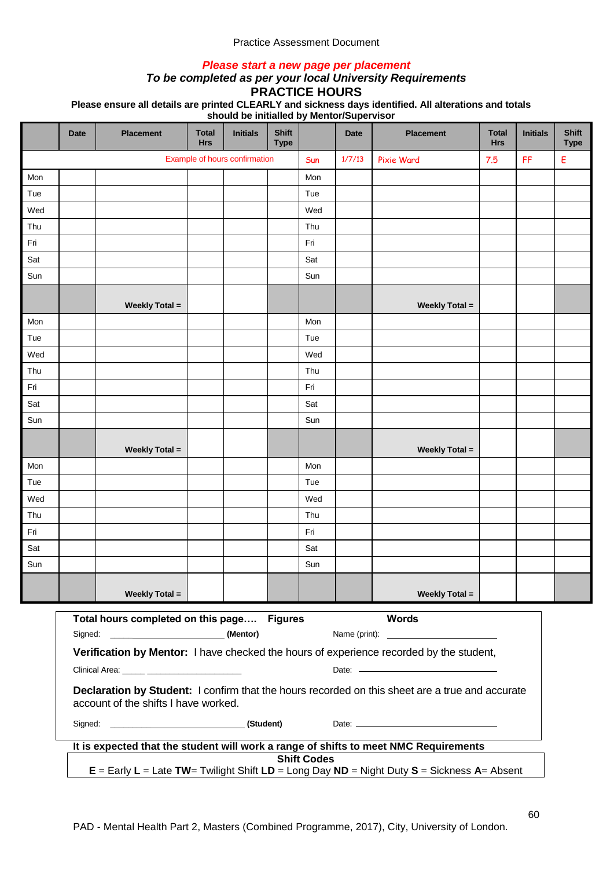#### *Please start a new page per placement*

#### *To be completed as per your local University Requirements* **PRACTICE HOURS**

|                                                                                                                    |                                                                                                                                                                  |                       |                            | should be imitialied by Menton Supervisor |                             |     |             |                       |                            |                 |                             |
|--------------------------------------------------------------------------------------------------------------------|------------------------------------------------------------------------------------------------------------------------------------------------------------------|-----------------------|----------------------------|-------------------------------------------|-----------------------------|-----|-------------|-----------------------|----------------------------|-----------------|-----------------------------|
|                                                                                                                    | <b>Date</b>                                                                                                                                                      | <b>Placement</b>      | <b>Total</b><br><b>Hrs</b> | <b>Initials</b>                           | <b>Shift</b><br><b>Type</b> |     | <b>Date</b> | <b>Placement</b>      | <b>Total</b><br><b>Hrs</b> | <b>Initials</b> | <b>Shift</b><br><b>Type</b> |
|                                                                                                                    | Example of hours confirmation                                                                                                                                    |                       |                            |                                           |                             | Sun | 1/7/13      | Pixie Ward            | 7.5                        | FF              | E                           |
| Mon                                                                                                                |                                                                                                                                                                  |                       |                            |                                           |                             | Mon |             |                       |                            |                 |                             |
| Tue                                                                                                                |                                                                                                                                                                  |                       |                            |                                           |                             | Tue |             |                       |                            |                 |                             |
| Wed                                                                                                                |                                                                                                                                                                  |                       |                            |                                           |                             | Wed |             |                       |                            |                 |                             |
| Thu                                                                                                                |                                                                                                                                                                  |                       |                            |                                           |                             | Thu |             |                       |                            |                 |                             |
| Fri                                                                                                                |                                                                                                                                                                  |                       |                            |                                           |                             | Fri |             |                       |                            |                 |                             |
| Sat                                                                                                                |                                                                                                                                                                  |                       |                            |                                           |                             | Sat |             |                       |                            |                 |                             |
| Sun                                                                                                                |                                                                                                                                                                  |                       |                            |                                           |                             | Sun |             |                       |                            |                 |                             |
|                                                                                                                    |                                                                                                                                                                  | <b>Weekly Total =</b> |                            |                                           |                             |     |             | <b>Weekly Total =</b> |                            |                 |                             |
| Mon                                                                                                                |                                                                                                                                                                  |                       |                            |                                           |                             | Mon |             |                       |                            |                 |                             |
| Tue                                                                                                                |                                                                                                                                                                  |                       |                            |                                           |                             | Tue |             |                       |                            |                 |                             |
| Wed                                                                                                                |                                                                                                                                                                  |                       |                            |                                           |                             | Wed |             |                       |                            |                 |                             |
| Thu                                                                                                                |                                                                                                                                                                  |                       |                            |                                           |                             | Thu |             |                       |                            |                 |                             |
| Fri                                                                                                                |                                                                                                                                                                  |                       |                            |                                           |                             | Fri |             |                       |                            |                 |                             |
| Sat                                                                                                                |                                                                                                                                                                  |                       |                            |                                           |                             | Sat |             |                       |                            |                 |                             |
| Sun                                                                                                                |                                                                                                                                                                  |                       |                            |                                           |                             | Sun |             |                       |                            |                 |                             |
|                                                                                                                    |                                                                                                                                                                  | <b>Weekly Total =</b> |                            |                                           |                             |     |             | <b>Weekly Total =</b> |                            |                 |                             |
| Mon                                                                                                                |                                                                                                                                                                  |                       |                            |                                           |                             | Mon |             |                       |                            |                 |                             |
| Tue                                                                                                                |                                                                                                                                                                  |                       |                            |                                           |                             | Tue |             |                       |                            |                 |                             |
| Wed                                                                                                                |                                                                                                                                                                  |                       |                            |                                           |                             | Wed |             |                       |                            |                 |                             |
| Thu                                                                                                                |                                                                                                                                                                  |                       |                            |                                           |                             | Thu |             |                       |                            |                 |                             |
| Fri                                                                                                                |                                                                                                                                                                  |                       |                            |                                           |                             | Fri |             |                       |                            |                 |                             |
| Sat                                                                                                                |                                                                                                                                                                  |                       |                            |                                           |                             | Sat |             |                       |                            |                 |                             |
| Sun                                                                                                                |                                                                                                                                                                  |                       |                            |                                           |                             | Sun |             |                       |                            |                 |                             |
|                                                                                                                    |                                                                                                                                                                  | <b>Weekly Total =</b> |                            |                                           |                             |     |             | <b>Weekly Total =</b> |                            |                 |                             |
|                                                                                                                    | <b>Words</b><br>Total hours completed on this page Figures<br>(Mentor)<br>Name (print):                                                                          |                       |                            |                                           |                             |     |             |                       |                            |                 |                             |
|                                                                                                                    | Verification by Mentor: I have checked the hours of experience recorded by the student,<br>Date: Date: 2002<br>Clinical Area: _____ ____________________________ |                       |                            |                                           |                             |     |             |                       |                            |                 |                             |
|                                                                                                                    | Declaration by Student: I confirm that the hours recorded on this sheet are a true and accurate<br>account of the shifts I have worked.                          |                       |                            |                                           |                             |     |             |                       |                            |                 |                             |
|                                                                                                                    |                                                                                                                                                                  |                       |                            |                                           |                             |     |             |                       |                            |                 |                             |
| It is expected that the student will work a range of shifts to meet NMC Requirements                               |                                                                                                                                                                  |                       |                            |                                           |                             |     |             |                       |                            |                 |                             |
| <b>Shift Codes</b><br>$E =$ Early L = Late TW= Twilight Shift LD = Long Day ND = Night Duty S = Sickness A= Absent |                                                                                                                                                                  |                       |                            |                                           |                             |     |             |                       |                            |                 |                             |